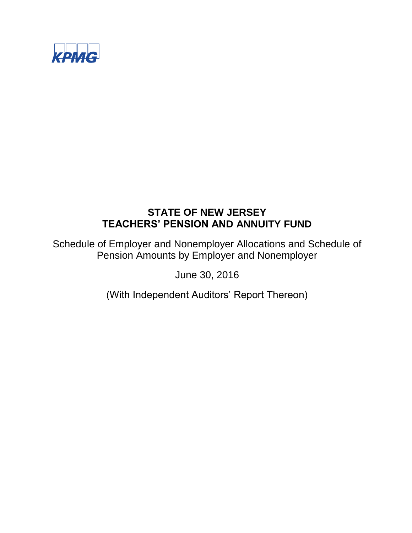

Schedule of Employer and Nonemployer Allocations and Schedule of Pension Amounts by Employer and Nonemployer

June 30, 2016

(With Independent Auditors' Report Thereon)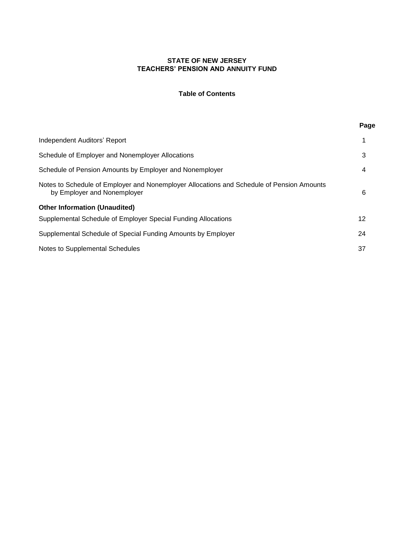# **Table of Contents**

**Page**

| Independent Auditors' Report<br>3<br>Schedule of Employer and Nonemployer Allocations<br>Schedule of Pension Amounts by Employer and Nonemployer<br>4<br>Notes to Schedule of Employer and Nonemployer Allocations and Schedule of Pension Amounts<br>6<br>by Employer and Nonemployer<br><b>Other Information (Unaudited)</b><br>12<br>Supplemental Schedule of Employer Special Funding Allocations<br>24<br>Supplemental Schedule of Special Funding Amounts by Employer<br>37<br>Notes to Supplemental Schedules |  |  |
|----------------------------------------------------------------------------------------------------------------------------------------------------------------------------------------------------------------------------------------------------------------------------------------------------------------------------------------------------------------------------------------------------------------------------------------------------------------------------------------------------------------------|--|--|
|                                                                                                                                                                                                                                                                                                                                                                                                                                                                                                                      |  |  |
|                                                                                                                                                                                                                                                                                                                                                                                                                                                                                                                      |  |  |
|                                                                                                                                                                                                                                                                                                                                                                                                                                                                                                                      |  |  |
|                                                                                                                                                                                                                                                                                                                                                                                                                                                                                                                      |  |  |
|                                                                                                                                                                                                                                                                                                                                                                                                                                                                                                                      |  |  |
|                                                                                                                                                                                                                                                                                                                                                                                                                                                                                                                      |  |  |
|                                                                                                                                                                                                                                                                                                                                                                                                                                                                                                                      |  |  |
|                                                                                                                                                                                                                                                                                                                                                                                                                                                                                                                      |  |  |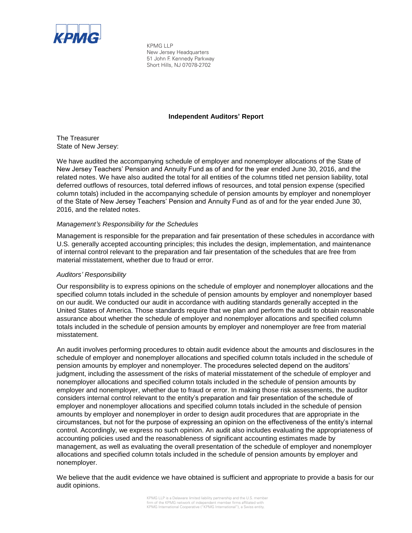

KPMG LLP New Jersey Headquarters 51 John F. Kennedy Parkway Short Hills, NJ 07078-2702

## **Independent Auditors' Report**

The Treasurer State of New Jersey:

We have audited the accompanying schedule of employer and nonemployer allocations of the State of New Jersey Teachers' Pension and Annuity Fund as of and for the year ended June 30, 2016, and the related notes. We have also audited the total for all entities of the columns titled net pension liability, total deferred outflows of resources, total deferred inflows of resources, and total pension expense (specified column totals) included in the accompanying schedule of pension amounts by employer and nonemployer of the State of New Jersey Teachers' Pension and Annuity Fund as of and for the year ended June 30, 2016, and the related notes.

## *Management's Responsibility for the Schedules*

Management is responsible for the preparation and fair presentation of these schedules in accordance with U.S. generally accepted accounting principles; this includes the design, implementation, and maintenance of internal control relevant to the preparation and fair presentation of the schedules that are free from material misstatement, whether due to fraud or error.

### *Auditors' Responsibility*

Our responsibility is to express opinions on the schedule of employer and nonemployer allocations and the specified column totals included in the schedule of pension amounts by employer and nonemployer based on our audit. We conducted our audit in accordance with auditing standards generally accepted in the United States of America. Those standards require that we plan and perform the audit to obtain reasonable assurance about whether the schedule of employer and nonemployer allocations and specified column totals included in the schedule of pension amounts by employer and nonemployer are free from material misstatement.

An audit involves performing procedures to obtain audit evidence about the amounts and disclosures in the schedule of employer and nonemployer allocations and specified column totals included in the schedule of pension amounts by employer and nonemployer. The procedures selected depend on the auditors' judgment, including the assessment of the risks of material misstatement of the schedule of employer and nonemployer allocations and specified column totals included in the schedule of pension amounts by employer and nonemployer, whether due to fraud or error. In making those risk assessments, the auditor considers internal control relevant to the entity's preparation and fair presentation of the schedule of employer and nonemployer allocations and specified column totals included in the schedule of pension amounts by employer and nonemployer in order to design audit procedures that are appropriate in the circumstances, but not for the purpose of expressing an opinion on the effectiveness of the entity's internal control. Accordingly, we express no such opinion. An audit also includes evaluating the appropriateness of accounting policies used and the reasonableness of significant accounting estimates made by management, as well as evaluating the overall presentation of the schedule of employer and nonemployer allocations and specified column totals included in the schedule of pension amounts by employer and nonemployer.

We believe that the audit evidence we have obtained is sufficient and appropriate to provide a basis for our audit opinions.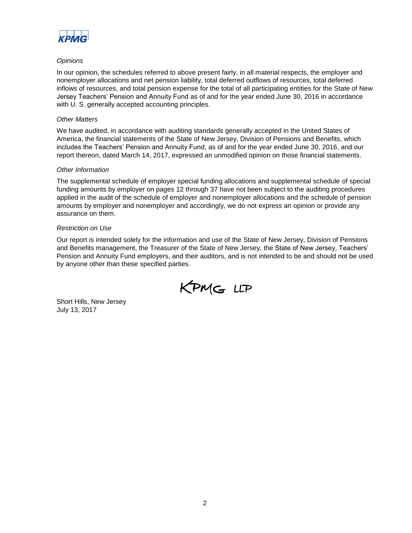

## *Opinions*

In our opinion, the schedules referred to above present fairly, in all material respects, the employer and nonemployer allocations and net pension liability, total deferred outflows of resources, total deferred inflows of resources, and total pension expense for the total of all participating entities for the State of New Jersey Teachers' Pension and Annuity Fund as of and for the year ended June 30, 2016 in accordance with U. S. generally accepted accounting principles.

### *Other Matters*

We have audited, in accordance with auditing standards generally accepted in the United States of America, the financial statements of the State of New Jersey, Division of Pensions and Benefits, which includes the Teachers' Pension and Annuity Fund, as of and for the year ended June 30, 2016, and our report thereon, dated March 14, 2017, expressed an unmodified opinion on those financial statements.

### *Other Information*

The supplemental schedule of employer special funding allocations and supplemental schedule of special funding amounts by employer on pages 12 through 37 have not been subject to the auditing procedures applied in the audit of the schedule of employer and nonemployer allocations and the schedule of pension amounts by employer and nonemployer and accordingly, we do not express an opinion or provide any assurance on them.

## *Restriction on Use*

Our report is intended solely for the information and use of the State of New Jersey, Division of Pensions and Benefits management, the Treasurer of the State of New Jersey, the State of New Jersey, Teachers' Pension and Annuity Fund employers, and their auditors, and is not intended to be and should not be used by anyone other than these specified parties.

KPMG LLP

Short Hills, New Jersey July 13, 2017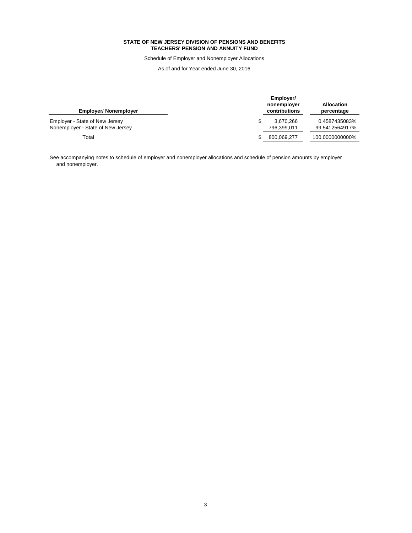Schedule of Employer and Nonemployer Allocations

As of and for Year ended June 30, 2016

| <b>Employer/ Nonemployer</b>                                        | Employer/<br>nonemployer<br>contributions | <b>Allocation</b><br>percentage |
|---------------------------------------------------------------------|-------------------------------------------|---------------------------------|
| Employer - State of New Jersey<br>Nonemployer - State of New Jersey | 3.670.266<br>796.399.011                  | 0.4587435083%<br>99.5412564917% |
| Total                                                               | 800,069,277                               | 100.0000000000%                 |

See accompanying notes to schedule of employer and nonemployer allocations and schedule of pension amounts by employer and nonemployer.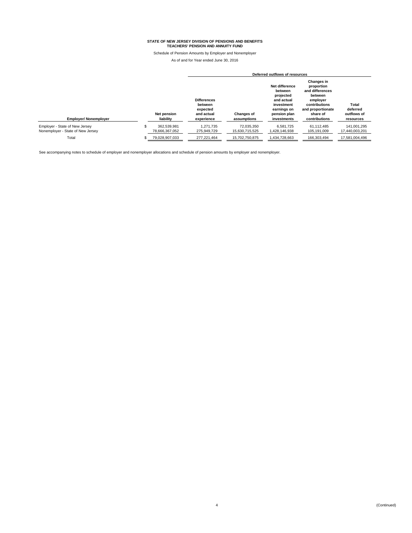Schedule of Pension Amounts by Employer and Nonemployer

As of and for Year ended June 30, 2016

|                                                                     |                               |                                                                       |                                  | Deferred outflows of resources                                                                                   |                                                                                                                                       |                                               |
|---------------------------------------------------------------------|-------------------------------|-----------------------------------------------------------------------|----------------------------------|------------------------------------------------------------------------------------------------------------------|---------------------------------------------------------------------------------------------------------------------------------------|-----------------------------------------------|
| <b>Employer/ Nonemployer</b>                                        | Net pension<br>liability      | <b>Differences</b><br>between<br>expected<br>and actual<br>experience | <b>Changes of</b><br>assumptions | Net difference<br>between<br>projected<br>and actual<br>investment<br>earnings on<br>pension plan<br>investments | Changes in<br>proportion<br>and differences<br>between<br>employer<br>contributions<br>and proportionate<br>share of<br>contributions | Total<br>deferred<br>outflows of<br>resources |
| Employer - State of New Jersey<br>Nonemployer - State of New Jersey | 362.539.981<br>78,666,367,052 | 1,271,735<br>275,949,729                                              | 72,035,350<br>15,630,715,525     | 6,581,725<br>1,428,146,938                                                                                       | 61.112.485<br>105,191,009                                                                                                             | 141.001.295<br>17,440,003,201                 |
| Total                                                               | 79,028,907,033                | 277,221,464                                                           | 15.702.750.875                   | 1,434,728,663                                                                                                    | 166,303,494                                                                                                                           | 17,581,004,496                                |
|                                                                     |                               |                                                                       |                                  |                                                                                                                  |                                                                                                                                       |                                               |

See accompanying notes to schedule of employer and nonemployer allocations and schedule of pension amounts by employer and nonemployer.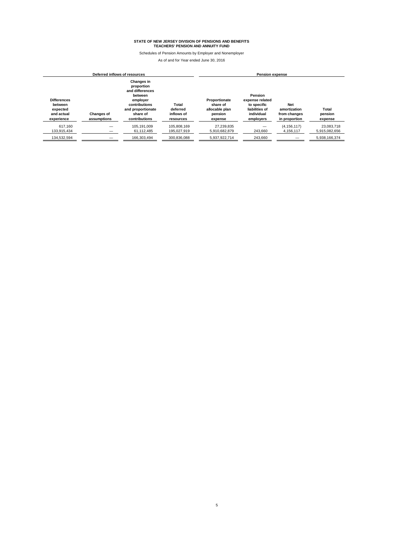Schedules of Pension Amounts by Employer and Nonemployer

| Deferred inflows of resources<br>Pension expense                      |                                  |                                                                                                                                              |                                              |                                                                   |                                                                                        |                                                             |                             |
|-----------------------------------------------------------------------|----------------------------------|----------------------------------------------------------------------------------------------------------------------------------------------|----------------------------------------------|-------------------------------------------------------------------|----------------------------------------------------------------------------------------|-------------------------------------------------------------|-----------------------------|
| <b>Differences</b><br>between<br>expected<br>and actual<br>experience | <b>Changes of</b><br>assumptions | <b>Changes in</b><br>proportion<br>and differences<br>between<br>emplover<br>contributions<br>and proportionate<br>share of<br>contributions | Total<br>deferred<br>inflows of<br>resources | Proportionate<br>share of<br>allocable plan<br>pension<br>expense | Pension<br>expense related<br>to specific<br>liabilities of<br>individual<br>employers | <b>Net</b><br>amortization<br>from changes<br>in proportion | Total<br>pension<br>expense |
| 617.160<br>133.915.434                                                |                                  | 105.191.009<br>61.112.485                                                                                                                    | 105.808.169<br>195.027.919                   | 27.239.835<br>5.910.682.879                                       | 243.660                                                                                | (4, 156, 117)<br>4,156,117                                  | 23.083.718<br>5.915.082.656 |
| 134.532.594                                                           |                                  | 166.303.494                                                                                                                                  | 300.836.088                                  | 5.937.922.714                                                     | 243.660                                                                                |                                                             | 5.938.166.374               |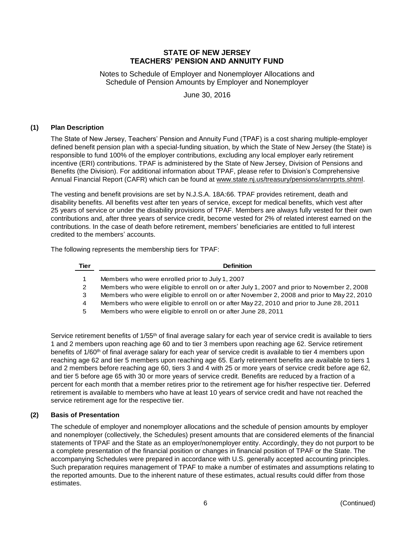Notes to Schedule of Employer and Nonemployer Allocations and Schedule of Pension Amounts by Employer and Nonemployer

June 30, 2016

## **(1) Plan Description**

The State of New Jersey, Teachers' Pension and Annuity Fund (TPAF) is a cost sharing multiple-employer defined benefit pension plan with a special-funding situation, by which the State of New Jersey (the State) is responsible to fund 100% of the employer contributions, excluding any local employer early retirement incentive (ERI) contributions. TPAF is administered by the State of New Jersey, Division of Pensions and Benefits (the Division). For additional information about TPAF, please refer to Division's Comprehensive Annual Financial Report (CAFR) which can be found at www.state.nj.us/treasury/pensions/annrprts.shtml.

The vesting and benefit provisions are set by N.J.S.A. 18A:66. TPAF provides retirement, death and disability benefits. All benefits vest after ten years of service, except for medical benefits, which vest after 25 years of service or under the disability provisions of TPAF. Members are always fully vested for their own contributions and, after three years of service credit, become vested for 2% of related interest earned on the contributions. In the case of death before retirement, members' beneficiaries are entitled to full interest credited to the members' accounts.

The following represents the membership tiers for TPAF:

| <b>Tier</b> | <b>Definition</b>                                                                          |
|-------------|--------------------------------------------------------------------------------------------|
|             | Members who were enrolled prior to July 1, 2007                                            |
|             | Members who were eligible to enroll on or after July 1, 2007 and prior to November 2, 2008 |
| 3           | Members who were eligible to enroll on or after November 2, 2008 and prior to May 22, 2010 |
| 4           | Members who were eligible to enroll on or after May 22, 2010 and prior to June 28, 2011    |
|             | Menders uka waxa alisikle ta sarall en en aftan June 00, 0044                              |

5 Members who were eligible to enroll on or after June 28, 2011

Service retirement benefits of 1/55<sup>th</sup> of final average salary for each year of service credit is available to tiers 1 and 2 members upon reaching age 60 and to tier 3 members upon reaching age 62. Service retirement benefits of 1/60<sup>th</sup> of final average salary for each year of service credit is available to tier 4 members upon reaching age 62 and tier 5 members upon reaching age 65. Early retirement benefits are available to tiers 1 and 2 members before reaching age 60, tiers 3 and 4 with 25 or more years of service credit before age 62, and tier 5 before age 65 with 30 or more years of service credit. Benefits are reduced by a fraction of a percent for each month that a member retires prior to the retirement age for his/her respective tier. Deferred retirement is available to members who have at least 10 years of service credit and have not reached the service retirement age for the respective tier.

# **(2) Basis of Presentation**

The schedule of employer and nonemployer allocations and the schedule of pension amounts by employer and nonemployer (collectively, the Schedules) present amounts that are considered elements of the financial statements of TPAF and the State as an employer/nonemployer entity. Accordingly, they do not purport to be a complete presentation of the financial position or changes in financial position of TPAF or the State. The accompanying Schedules were prepared in accordance with U.S. generally accepted accounting principles. Such preparation requires management of TPAF to make a number of estimates and assumptions relating to the reported amounts. Due to the inherent nature of these estimates, actual results could differ from those estimates.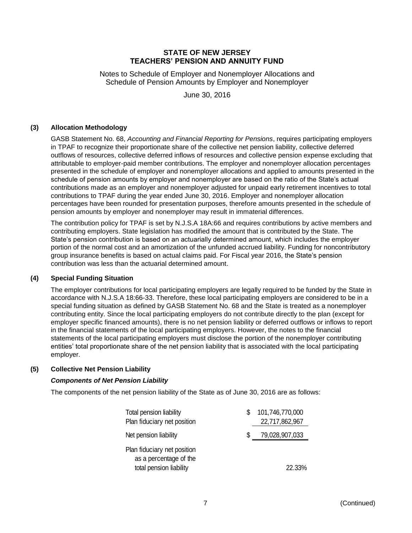Notes to Schedule of Employer and Nonemployer Allocations and Schedule of Pension Amounts by Employer and Nonemployer

June 30, 2016

# **(3) Allocation Methodology**

GASB Statement No. 68, *Accounting and Financial Reporting for Pensions*, requires participating employers in TPAF to recognize their proportionate share of the collective net pension liability, collective deferred outflows of resources, collective deferred inflows of resources and collective pension expense excluding that attributable to employer-paid member contributions. The employer and nonemployer allocation percentages presented in the schedule of employer and nonemployer allocations and applied to amounts presented in the schedule of pension amounts by employer and nonemployer are based on the ratio of the State's actual contributions made as an employer and nonemployer adjusted for unpaid early retirement incentives to total contributions to TPAF during the year ended June 30, 2016. Employer and nonemployer allocation percentages have been rounded for presentation purposes, therefore amounts presented in the schedule of pension amounts by employer and nonemployer may result in immaterial differences.

The contribution policy for TPAF is set by N.J.S.A 18A:66 and requires contributions by active members and contributing employers. State legislation has modified the amount that is contributed by the State. The State's pension contribution is based on an actuarially determined amount, which includes the employer portion of the normal cost and an amortization of the unfunded accrued liability. Funding for noncontributory group insurance benefits is based on actual claims paid. For Fiscal year 2016, the State's pension contribution was less than the actuarial determined amount.

### **(4) Special Funding Situation**

The employer contributions for local participating employers are legally required to be funded by the State in accordance with N.J.S.A 18:66-33. Therefore, these local participating employers are considered to be in a special funding situation as defined by GASB Statement No. 68 and the State is treated as a nonemployer contributing entity. Since the local participating employers do not contribute directly to the plan (except for employer specific financed amounts), there is no net pension liability or deferred outflows or inflows to report in the financial statements of the local participating employers. However, the notes to the financial statements of the local participating employers must disclose the portion of the nonemployer contributing entities' total proportionate share of the net pension liability that is associated with the local participating employer.

### **(5) Collective Net Pension Liability**

# *Components of Net Pension Liability*

The components of the net pension liability of the State as of June 30, 2016 are as follows:

| Total pension liability<br>Plan fiduciary net position                           | 101,746,770,000<br>22,717,862,967 |
|----------------------------------------------------------------------------------|-----------------------------------|
| Net pension liability                                                            | 79,028,907,033                    |
| Plan fiduciary net position<br>as a percentage of the<br>total pension liability | 22.33%                            |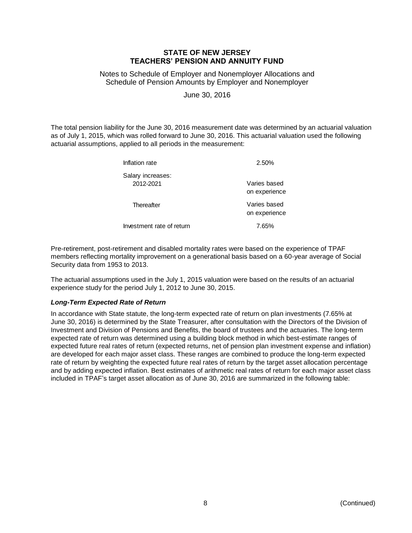Notes to Schedule of Employer and Nonemployer Allocations and Schedule of Pension Amounts by Employer and Nonemployer

June 30, 2016

The total pension liability for the June 30, 2016 measurement date was determined by an actuarial valuation as of July 1, 2015, which was rolled forward to June 30, 2016. This actuarial valuation used the following actuarial assumptions, applied to all periods in the measurement:

| Inflation rate                 | 2.50%                         |
|--------------------------------|-------------------------------|
| Salary increases:<br>2012-2021 | Varies based<br>on experience |
| Thereafter                     | Varies based<br>on experience |
| Investment rate of return      | 7.65%                         |

Pre-retirement, post-retirement and disabled mortality rates were based on the experience of TPAF members reflecting mortality improvement on a generational basis based on a 60-year average of Social Security data from 1953 to 2013.

The actuarial assumptions used in the July 1, 2015 valuation were based on the results of an actuarial experience study for the period July 1, 2012 to June 30, 2015.

# *Long-Term Expected Rate of Return*

In accordance with State statute, the long-term expected rate of return on plan investments (7.65% at June 30, 2016) is determined by the State Treasurer, after consultation with the Directors of the Division of Investment and Division of Pensions and Benefits, the board of trustees and the actuaries. The long-term expected rate of return was determined using a building block method in which best-estimate ranges of expected future real rates of return (expected returns, net of pension plan investment expense and inflation) are developed for each major asset class. These ranges are combined to produce the long-term expected rate of return by weighting the expected future real rates of return by the target asset allocation percentage and by adding expected inflation. Best estimates of arithmetic real rates of return for each major asset class included in TPAF's target asset allocation as of June 30, 2016 are summarized in the following table: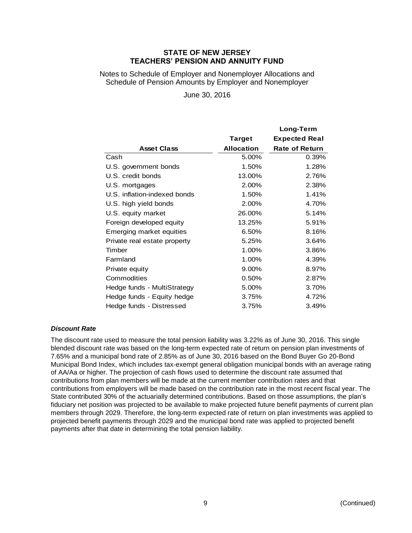Notes to Schedule of Employer and Nonemployer Allocations and Schedule of Pension Amounts by Employer and Nonemployer

June 30, 2016

|                                 |                   | Long-Term             |
|---------------------------------|-------------------|-----------------------|
|                                 | Target            | <b>Expected Real</b>  |
| <b>Asset Class</b>              | <b>Allocation</b> | <b>Rate of Return</b> |
| Cash                            | 5.00%             | 0.39%                 |
| U.S. government bonds           | 1.50%             | 1.28%                 |
| U.S. credit bonds               | 13.00%            | 2.76%                 |
| U.S. mortgages                  | 2.00%             | 2.38%                 |
| U.S. inflation-indexed bonds    | 1.50%             | 1.41%                 |
| U.S. high yield bonds           | 2.00%             | 4.70%                 |
| U.S. equity market              | 26.00%            | 5.14%                 |
| Foreign developed equity        | 13.25%            | 5.91%                 |
| <b>Emerging market equities</b> | 6.50%             | 8.16%                 |
| Private real estate property    | 5.25%             | 3.64%                 |
| Timber                          | 1.00%             | 3.86%                 |
| Farmland                        | 1.00%             | 4.39%                 |
| Private equity                  | 9.00%             | 8.97%                 |
| Commodities                     | 0.50%             | 2.87%                 |
| Hedge funds - MultiStrategy     | 5.00%             | 3.70%                 |
| Hedge funds - Equity hedge      | 3.75%             | 4.72%                 |
| Hedge funds - Distressed        | 3.75%             | 3.49%                 |

# *Discount Rate*

The discount rate used to measure the total pension liability was 3.22% as of June 30, 2016. This single blended discount rate was based on the long-term expected rate of return on pension plan investments of 7.65% and a municipal bond rate of 2.85% as of June 30, 2016 based on the Bond Buyer Go 20-Bond Municipal Bond Index, which includes tax-exempt general obligation municipal bonds with an average rating of AA/Aa or higher. The projection of cash flows used to determine the discount rate assumed that contributions from plan members will be made at the current member contribution rates and that contributions from employers will be made based on the contribution rate in the most recent fiscal year. The State contributed 30% of the actuarially determined contributions. Based on those assumptions, the plan's fiduciary net position was projected to be available to make projected future benefit payments of current plan members through 2029. Therefore, the long-term expected rate of return on plan investments was applied to projected benefit payments through 2029 and the municipal bond rate was applied to projected benefit payments after that date in determining the total pension liability.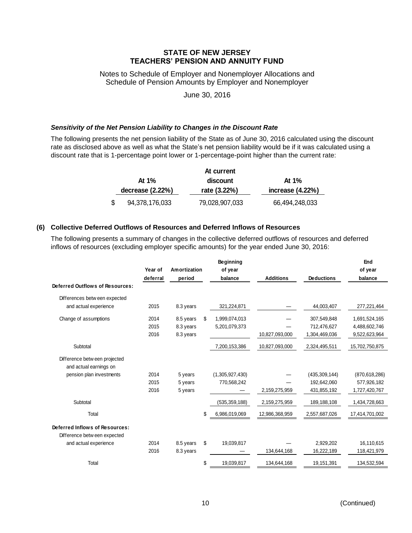Notes to Schedule of Employer and Nonemployer Allocations and Schedule of Pension Amounts by Employer and Nonemployer

June 30, 2016

### *Sensitivity of the Net Pension Liability to Changes in the Discount Rate*

The following presents the net pension liability of the State as of June 30, 2016 calculated using the discount rate as disclosed above as well as what the State's net pension liability would be if it was calculated using a discount rate that is 1-percentage point lower or 1-percentage-point higher than the current rate:

|                    |                | At current     |                  |
|--------------------|----------------|----------------|------------------|
|                    | At $1\%$       | discount       | At $1\%$         |
| decrease $(2.22%)$ |                | rate (3.22%)   | increase (4.22%) |
|                    | 94,378,176,033 | 79,028,907,033 | 66,494,248,033   |

## **(6) Collective Deferred Outflows of Resources and Deferred Inflows of Resources**

The following presents a summary of changes in the collective deferred outflows of resources and deferred inflows of resources (excluding employer specific amounts) for the year ended June 30, 2016:

|                                 | Year of  | Amortization | <b>Beginning</b><br>of year |                  |                   | End<br>of year  |
|---------------------------------|----------|--------------|-----------------------------|------------------|-------------------|-----------------|
|                                 | deferral | period       | balance                     | <b>Additions</b> | <b>Deductions</b> | balance         |
| Deferred Outflows of Resources: |          |              |                             |                  |                   |                 |
| Differences between expected    |          |              |                             |                  |                   |                 |
| and actual experience           | 2015     | 8.3 years    | 321,224,871                 |                  | 44,003,407        | 277,221,464     |
| Change of assumptions           | 2014     | 8.5 years    | \$<br>1,999,074,013         |                  | 307,549,848       | 1,691,524,165   |
|                                 | 2015     | 8.3 years    | 5,201,079,373               |                  | 712,476,627       | 4,488,602,746   |
|                                 | 2016     | 8.3 years    |                             | 10,827,093,000   | 1,304,469,036     | 9,522,623,964   |
| Subtotal                        |          |              | 7,200,153,386               | 10,827,093,000   | 2,324,495,511     | 15,702,750,875  |
| Difference betw een projected   |          |              |                             |                  |                   |                 |
| and actual earnings on          |          |              |                             |                  |                   |                 |
| pension plan investments        | 2014     | 5 years      | (1,305,927,430)             |                  | (435, 309, 144)   | (870, 618, 286) |
|                                 | 2015     | 5 years      | 770,568,242                 |                  | 192,642,060       | 577,926,182     |
|                                 | 2016     | 5 years      |                             | 2,159,275,959    | 431,855,192       | 1,727,420,767   |
| Subtotal                        |          |              | (535, 359, 188)             | 2,159,275,959    | 189,188,108       | 1,434,728,663   |
| Total                           |          |              | \$<br>6,986,019,069         | 12,986,368,959   | 2,557,687,026     | 17,414,701,002  |
| Deferred Inflows of Resources:  |          |              |                             |                  |                   |                 |
| Difference betw een expected    |          |              |                             |                  |                   |                 |
| and actual experience           | 2014     | 8.5 years    | \$<br>19,039,817            |                  | 2,929,202         | 16,110,615      |
|                                 | 2016     | 8.3 years    |                             | 134,644,168      | 16,222,189        | 118,421,979     |
| Total                           |          |              | \$<br>19,039,817            | 134,644,168      | 19,151,391        | 134,532,594     |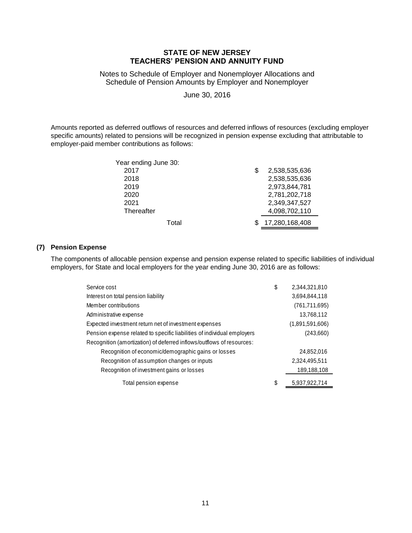Notes to Schedule of Employer and Nonemployer Allocations and Schedule of Pension Amounts by Employer and Nonemployer

June 30, 2016

Amounts reported as deferred outflows of resources and deferred inflows of resources (excluding employer specific amounts) related to pensions will be recognized in pension expense excluding that attributable to employer-paid member contributions as follows:

| Year ending June 30: |                     |
|----------------------|---------------------|
| 2017                 | \$<br>2,538,535,636 |
| 2018                 | 2,538,535,636       |
| 2019                 | 2,973,844,781       |
| 2020                 | 2,781,202,718       |
| 2021                 | 2,349,347,527       |
| Thereafter           | 4,098,702,110       |
| Total                | 17,280,168,408      |

# **(7) Pension Expense**

The components of allocable pension expense and pension expense related to specific liabilities of individual employers, for State and local employers for the year ending June 30, 2016 are as follows:

| Service cost                                                            | \$<br>2,344,321,810 |
|-------------------------------------------------------------------------|---------------------|
| Interest on total pension liability                                     | 3,694,844,118       |
| Member contributions                                                    | (761, 711, 695)     |
| Administrative expense                                                  | 13,768,112          |
| Expected investment return net of investment expenses                   | (1,891,591,606)     |
| Pension expense related to specific liabilities of individual employers | (243,660)           |
| Recognition (amortization) of deferred inflows/outflows of resources:   |                     |
| Recognition of economic/demographic gains or losses                     | 24,852,016          |
| Recognition of assumption changes or inputs                             | 2,324,495,511       |
| Recognition of investment gains or losses                               | 189,188,108         |
| Total pension expense                                                   | \$<br>5,937,922,714 |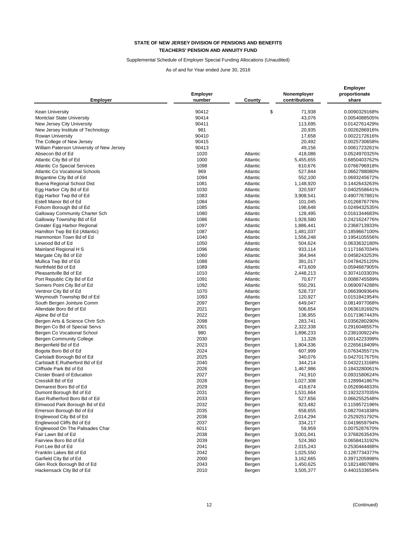# Supplemental Schedule of Employer Special Funding Allocations (Unaudited)

|                                           |                 |          |               | Employer      |  |
|-------------------------------------------|-----------------|----------|---------------|---------------|--|
|                                           | <b>Employer</b> |          | Nonemployer   | proportionate |  |
| <b>Employer</b>                           | number          | County   | contributions | share         |  |
| Kean University                           | 90412           | \$       | 71,938        | 0.0090329168% |  |
| Montclair State University                | 90414           |          | 43,076        | 0.0054088505% |  |
| New Jersey City University                | 90411           |          | 113,695       | 0.0142761429% |  |
| New Jersey Institute of Technology        | 981             |          |               | 0.0026286916% |  |
|                                           |                 |          | 20,935        |               |  |
| <b>Rowan University</b>                   | 90410           |          | 17,658        | 0.0022172616% |  |
| The College of New Jersey                 | 90415           |          | 20,492        | 0.0025730658% |  |
| William Paterson University of New Jersey | 90413           |          | 49,156        | 0.0061723261% |  |
| Absecon Bd of Ed                          | 1020            | Atlantic | 418,086       | 0.0524970325% |  |
| Atlantic City Bd of Ed                    | 1000            | Atlantic | 5,455,655     | 0.6850403762% |  |
| <b>Atlantic Co Special Services</b>       | 1098            | Atlantic | 610,676       | 0.0766796918% |  |
| <b>Atlantic Co Vocational Schools</b>     | 969             | Atlantic | 527,844       | 0.0662788080% |  |
| Brigantine City Bd of Ed                  | 1094            | Atlantic | 552,100       | 0.0693245672% |  |
| <b>Buena Regional School Dist</b>         | 1081            | Atlantic | 1,148,920     | 0.1442643263% |  |
| Egg Harbor City Bd of Ed                  | 1030            | Atlantic | 320,597       | 0.0402558641% |  |
| Egg Harbor Twp Bd of Ed                   | 1083            | Atlantic | 3,908,541     | 0.4907767881% |  |
| Estell Manor Bd of Ed                     | 1084            | Atlantic | 101,045       | 0.0126876776% |  |
| Folsom Borough Bd of Ed                   | 1085            | Atlantic | 198,648       | 0.0249432535% |  |
| Galloway Community Charter Sch            | 1080            | Atlantic | 128,495       | 0.0161344683% |  |
| Galloway Township Bd of Ed                | 1086            | Atlantic | 1,928,580     | 0.2421624776% |  |
| Greater Egg Harbor Regional               | 1097            | Atlantic | 1,886,441     | 0.2368713933% |  |
| Hamilton Twp Bd Ed (Atlantic)             | 1087            | Atlantic | 1,481,037     | 0.1859667100% |  |
| Hammonton Town Bd of Ed                   | 1040            | Atlantic | 1,556,248     | 0.1954105556% |  |
| Linwood Bd of Ed                          | 1050            | Atlantic | 504,624       | 0.0633632180% |  |
| Mainland Regional H S                     | 1096            | Atlantic | 933,114       | 0.1171667034% |  |
| Margate City Bd of Ed                     | 1060            | Atlantic | 364,944       | 0.0458243253% |  |
| Mullica Twp Bd of Ed                      | 1088            | Atlantic | 381,017       | 0.0478425120% |  |
| Northfield Bd of Ed                       | 1089            | Atlantic | 473,609       | 0.0594687905% |  |
| Pleasantville Bd of Ed                    | 1010            | Atlantic | 2,448,213     | 0.3074103303% |  |
| Port Republic City Bd of Ed               | 1091            | Atlantic | 70,677        | 0.0088745589% |  |
| Somers Point City Bd of Ed                | 1092            | Atlantic | 550,291       | 0.0690974288% |  |
| Ventnor City Bd of Ed                     | 1070            | Atlantic | 528,737       | 0.0663909364% |  |
|                                           |                 |          |               |               |  |
| Weymouth Township Bd of Ed                | 1093            | Atlantic | 120,927       | 0.0151841954% |  |
| South Bergen Jointure Comm                | 2097            | Bergen   | 649,047       | 0.0814977068% |  |
| Allendale Boro Bd of Ed                   | 2021            | Bergen   | 506,654       | 0.0636181692% |  |
| Alpine Bd of Ed                           | 2022            | Bergen   | 136,955       | 0.0171967443% |  |
| Bergen Arts & Science Chrtr Sch           | 2098            | Bergen   | 283,741       | 0.0356280290% |  |
| Bergen Co Bd of Special Servs             | 2001            | Bergen   | 2,322,338     | 0.2916048557% |  |
| Bergen Co Vocational School               | 980             | Bergen   | 1,896,233     | 0.2381009224% |  |
| <b>Bergen Community College</b>           | 2030            | Bergen   | 11,328        | 0.0014223399% |  |
| Bergenfield Bd of Ed                      | 2023            | Bergen   | 1,804,336     | 0.2265618409% |  |
| Bogota Boro Bd of Ed                      | 2024            | Bergen   | 607,999       | 0.0763435571% |  |
| Carlstadt Borough Bd of Ed                | 2025            | Bergen   | 340,076       | 0.0427017675% |  |
| Carlstadt E.Rutherford Bd of Ed           | 2040            | Bergen   | 344,214       | 0.0432213168% |  |
| Cliffside Park Bd of Ed                   | 2026            | Bergen   | 1,467,986     | 0.1843280061% |  |
| <b>Closter Board of Education</b>         | 2027            | Bergen   | 741,910       | 0.0931580624% |  |
| Cresskill Bd of Ed                        | 2028            | Bergen   | 1,027,308     | 0.1289941867% |  |
| Demarest Boro Bd of Ed                    | 2029            | Bergen   | 419,674       | 0.0526964833% |  |
| Dumont Borough Bd of Ed                   | 2031            | Bergen   | 1,531,664     | 0.1923237035% |  |
| East Rutherford Boro Bd of Ed             | 2033            | Bergen   | 527,656       | 0.0662552548% |  |
| Elmwood Park Borough Bd of Ed             | 2032            | Bergen   | 923,482       | 0.1159572196% |  |
| Emerson Borough Bd of Ed                  | 2035            | Bergen   | 658,655       | 0.0827041838% |  |
| Englewood City Bd of Ed                   | 2036            | Bergen   | 2,014,294     | 0.2529251792% |  |
| Englewood Cliffs Bd of Ed                 | 2037            | Bergen   | 334,217       | 0.0419659794% |  |
| Englewood On The Palisades Char           | 6011            | Bergen   | 59,959        | 0.0075287670% |  |
| Fair Lawn Bd of Ed                        | 2038            | Bergen   | 3,001,041     | 0.3768263543% |  |
| Fairview Boro Bd of Ed                    | 2039            | Bergen   | 524,360       | 0.0658413192% |  |
| Fort Lee Bd of Ed                         | 2041            | Bergen   | 2,015,243     | 0.2530444488% |  |
| Franklin Lakes Bd of Ed                   | 2042            |          | 1,025,550     |               |  |
| Garfield City Bd of Ed                    |                 | Bergen   |               | 0.1287734377% |  |
|                                           | 2000            | Bergen   | 3,162,665     | 0.3971205998% |  |
| Glen Rock Borough Bd of Ed                | 2043            | Bergen   | 1,450,625     | 0.1821480788% |  |
| Hackensack City Bd of Ed                  | 2010            | Bergen   | 3,505,377     | 0.4401533654% |  |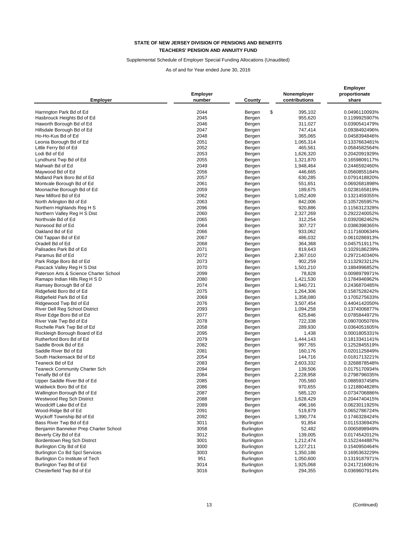### Supplemental Schedule of Employer Special Funding Allocations (Unaudited)

| <b>Employer</b>                                                | <b>Employer</b><br>number | County                                 | Nonemployer<br>contributions | Employer<br>proportionate<br>share |
|----------------------------------------------------------------|---------------------------|----------------------------------------|------------------------------|------------------------------------|
|                                                                | 2044                      | \$                                     | 395,102                      | 0.0496110093%                      |
| Harrington Park Bd of Ed<br>Hasbrouck Heights Bd of Ed         | 2045                      | Bergen<br>Bergen                       | 955,620                      | 0.1199925907%                      |
| Haworth Borough Bd of Ed                                       | 2046                      | Bergen                                 | 311,027                      | 0.0390541479%                      |
| Hillsdale Borough Bd of Ed                                     | 2047                      | Bergen                                 | 747,414                      | 0.0938492496%                      |
| Ho-Ho-Kus Bd of Ed                                             | 2048                      | Bergen                                 | 365,065                      | 0.0458394846%                      |
| Leonia Borough Bd of Ed                                        | 2051                      | Bergen                                 | 1,065,314                    | 0.1337663481%                      |
| Little Ferry Bd of Ed                                          | 2052                      | Bergen                                 | 465,561                      | 0.0584582564%                      |
| Lodi Bd of Ed                                                  | 2053                      | Bergen                                 | 1,626,320                    | 0.2042091929%                      |
| Lyndhurst Twp Bd of Ed                                         | 2055                      | Bergen                                 | 1,321,870                    | 0.1659809117%                      |
| Mahwah Bd of Ed                                                | 2049                      | Bergen                                 | 1,948,464                    | 0.2446592460%                      |
| Maywood Bd of Ed                                               | 2056                      | Bergen                                 | 446,665                      | 0.0560855184%                      |
| Midland Park Boro Bd of Ed                                     | 2057                      | Bergen                                 | 630,285                      | 0.0791418820%                      |
| Montvale Borough Bd of Ed                                      | 2061                      | Bergen                                 | 551,651                      | 0.0692681898%                      |
| Moonachie Borough Bd of Ed                                     | 2059                      | Bergen                                 | 189,675                      | 0.0238165819%                      |
| New Milford Bd of Ed                                           | 2062                      | Bergen                                 | 1,052,409                    | 0.1321459355%                      |
| North Arlington Bd of Ed                                       | 2063                      | Bergen                                 | 842,006                      | 0.1057265957%                      |
| Northern Highlands Reg H S                                     | 2096                      | Bergen                                 | 920,886                      | 0.1156312328%                      |
| Northern Valley Reg H S Dist                                   | 2060                      | Bergen                                 | 2,327,269                    | 0.2922240052%                      |
| Northvale Bd of Ed                                             | 2065                      | Bergen                                 | 312,254                      | 0.0392082462%                      |
| Norwood Bd of Ed                                               | 2064                      | Bergen                                 | 307,727                      | 0.0386398365%                      |
| Oakland Bd of Ed                                               | 2066                      | Bergen                                 | 933,062                      | 0.1171600634%                      |
| Old Tappan Bd of Ed                                            | 2067                      | Bergen                                 | 486,032                      | 0.0610286913%                      |
| Oradell Bd of Ed                                               | 2068                      | Bergen                                 | 364,368                      | 0.0457519117%                      |
| Palisades Park Bd of Ed                                        | 2071                      | Bergen                                 | 819,643                      | 0.1029186239%                      |
| Paramus Bd of Ed                                               | 2072                      | Bergen                                 | 2,367,010                    | 0.2972140340%                      |
| Park Ridge Boro Bd of Ed                                       | 2073                      | Bergen                                 | 902,259                      | 0.1132923212%                      |
| Pascack Valley Reg H S Dist                                    | 2070                      | Bergen                                 | 1,501,210                    | 0.1884996852%                      |
| Paterson Arts & Science Charter School                         | 2099                      | Bergen                                 | 78,828                       | 0.0098979971%                      |
| Ramapo Indian Hills Reg H S D                                  | 2080                      | Bergen                                 | 1,421,530                    | 0.1784946962%                      |
| Ramsey Borough Bd of Ed                                        | 2074                      | Bergen                                 | 1,940,721                    | 0.2436870485%                      |
| Ridgefield Boro Bd of Ed                                       | 2075                      | Bergen                                 | 1,264,306                    | 0.1587528242%                      |
| Ridgefield Park Bd of Ed                                       | 2069                      | Bergen                                 | 1,358,080                    | 0.1705275633%                      |
| Ridgewood Twp Bd of Ed                                         | 2076                      | Bergen                                 | 3,507,454                    | 0.4404142050%                      |
| River Dell Reg School District                                 | 2093                      | Bergen                                 | 1,094,258                    | 0.1374006877%                      |
| River Edge Boro Bd of Ed                                       | 2077                      | Bergen                                 | 625,846                      | 0.0785844972%                      |
| River Vale Twp Bd of Ed                                        | 2078                      | Bergen                                 | 722,338                      | 0.0907005076%                      |
| Rochelle Park Twp Bd of Ed                                     | 2058                      | Bergen                                 | 289,930                      | 0.0364051605%                      |
| Rockleigh Borough Board of Ed                                  | 2095                      | Bergen                                 | 1,438                        | 0.0001805331%                      |
| Rutherford Boro Bd of Ed                                       | 2079                      | Bergen                                 | 1,444,143                    | 0.1813341141%                      |
| Saddle Brook Bd of Ed                                          | 2082                      | Bergen                                 | 997,765                      | 0.1252845519%                      |
| Saddle River Bd of Ed                                          | 2081                      | Bergen                                 | 160,176                      | 0.0201125849%                      |
| South Hackensack Bd of Ed                                      | 2054                      | Bergen                                 | 144,716                      | 0.0181713221%                      |
| Teaneck Bd of Ed                                               | 2083                      | Bergen                                 | 2,603,332                    | 0.3268878548%                      |
| Teaneck Community Charter Sch                                  | 2094                      | Bergen                                 | 139,506                      | 0.0175170934%                      |
| Tenafly Bd of Ed                                               | 2084                      | Bergen                                 | 2,228,958                    | 0.2798796035%                      |
| Upper Saddle River Bd of Ed                                    | 2085                      | Bergen                                 | 705,560                      | 0.0885937458%                      |
| Waldwick Boro Bd of Ed                                         | 2086                      | Bergen                                 | 970,655                      | 0.1218804828%                      |
| Wallington Borough Bd of Ed                                    | 2087                      | Bergen                                 | 585,120                      | 0.0734706886%                      |
| Westwood Reg Sch District                                      | 2088                      | Bergen                                 | 1,628,429                    | 0.2044740415%                      |
| Woodcliff Lake Bd of Ed                                        | 2089                      | Bergen                                 | 496,166                      | 0.0623011925%                      |
| Wood-Ridge Bd of Ed                                            | 2091                      | Bergen                                 | 519,879                      | 0.0652786724%                      |
| Wyckoff Township Bd of Ed<br>Bass River Twp Bd of Ed           | 2092<br>3011              | Bergen                                 | 1,390,774                    | 0.1746328424%                      |
|                                                                |                           | Burlington                             | 91,854                       | 0.0115336943%                      |
| Benjamin Banneker Prep Charter School<br>Beverly City Bd of Ed | 3058<br>3012              | <b>Burlington</b>                      | 52,482<br>139,005            | 0.0065898949%                      |
|                                                                |                           | Burlington                             |                              | 0.0174542012%                      |
| Bordentown Reg Sch District<br>Burlington City Bd of Ed        | 3001<br>3000              | <b>Burlington</b>                      | 1,212,474<br>1,227,211       | 0.1522444887%                      |
| Burlington Co Bd Spcl Services                                 | 3003                      | <b>Burlington</b><br><b>Burlington</b> |                              | 0.1540950464%                      |
| Burlington Co Institute of Tech                                | 951                       | Burlington                             | 1,350,186<br>1,050,600       | 0.1695363229%<br>0.1319187971%     |
| Burlington Twp Bd of Ed                                        | 3014                      | <b>Burlington</b>                      | 1,925,068                    | 0.2417216061%                      |
| Chesterfield Twp Bd of Ed                                      | 3016                      | Burlington                             | 294,355                      | 0.0369607914%                      |
|                                                                |                           |                                        |                              |                                    |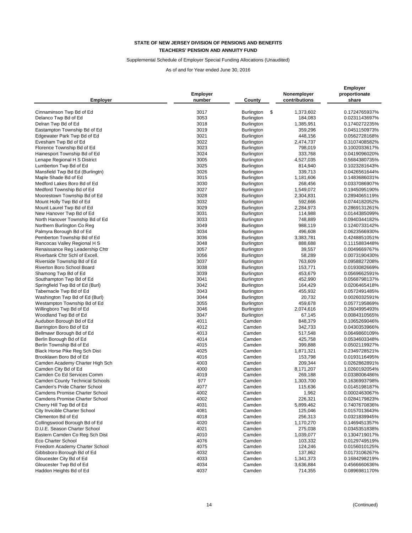### Supplemental Schedule of Employer Special Funding Allocations (Unaudited)

| <b>Employer</b>                                        | <b>Employer</b><br>number | County            | Nonemployer<br>contributions | <b>Employer</b><br>proportionate<br>share |
|--------------------------------------------------------|---------------------------|-------------------|------------------------------|-------------------------------------------|
| Cinnaminson Twp Bd of Ed                               | 3017                      | Burlington<br>\$  | 1,373,602                    | 0.1724765937%                             |
| Delanco Twp Bd of Ed                                   | 3053                      | <b>Burlington</b> | 184,083                      | 0.0231143697%                             |
| Delran Twp Bd of Ed                                    | 3018                      | Burlington        | 1,385,951                    | 0.1740272235%                             |
| Eastampton Township Bd of Ed                           | 3019                      | <b>Burlington</b> | 359,296                      | 0.0451150973%                             |
| Edgewater Park Twp Bd of Ed                            | 3021                      | Burlington        | 448,156                      | 0.0562728168%                             |
| Evesham Twp Bd of Ed                                   | 3022                      | <b>Burlington</b> | 2,474,737                    | 0.3107408582%                             |
| Florence Township Bd of Ed                             | 3023                      | <b>Burlington</b> | 798,019                      | 0.1002033617%                             |
| Hainesport Township Bd of Ed                           | 3024                      | <b>Burlington</b> | 333,768                      |                                           |
|                                                        | 3005                      |                   |                              | 0.0419096020%<br>0.5684380735%            |
| Lenape Regional H S District<br>Lumberton Twp Bd of Ed | 3025                      | <b>Burlington</b> | 4,527,035                    |                                           |
|                                                        | 3026                      | <b>Burlington</b> | 814,940                      | 0.1023281643%                             |
| Mansfield Twp Bd Ed (Burlingtn)                        | 3015                      | <b>Burlington</b> | 339,713                      | 0.0426561644%<br>0.1483686031%            |
| Maple Shade Bd of Ed                                   |                           | <b>Burlington</b> | 1,181,606                    |                                           |
| Medford Lakes Boro Bd of Ed                            | 3030                      | <b>Burlington</b> | 268,456                      | 0.0337086907%                             |
| Medford Township Bd of Ed                              | 3027                      | <b>Burlington</b> | 1,549,072                    | 0.1945095190%                             |
| Moorestown Township Bd of Ed                           | 3028                      | <b>Burlington</b> | 2,304,831                    | 0.2894065119%                             |
| Mount Holly Twp Bd of Ed                               | 3032                      | <b>Burlington</b> | 592,666                      | 0.0744182052%                             |
| Mount Laurel Twp Bd of Ed                              | 3029                      | <b>Burlington</b> | 2,284,973                    | 0.2869131261%                             |
| New Hanover Twp Bd of Ed                               | 3031                      | <b>Burlington</b> | 114,988                      | 0.0144385099%                             |
| North Hanover Township Bd of Ed                        | 3033                      | <b>Burlington</b> | 748,889                      | 0.0940344182%                             |
| Northern Burlington Co Reg                             | 3049                      | <b>Burlington</b> | 988,119                      | 0.1240733142%                             |
| Palmyra Borough Bd of Ed                               | 3034                      | Burlington        | 496,608                      | 0.0623566930%                             |
| Pemberton Township Bd of Ed                            | 3036                      | <b>Burlington</b> | 3,383,781                    | 0.4248851051%                             |
| Rancocas Valley Regional H S                           | 3048                      | <b>Burlington</b> | 888,688                      | 0.1115883448%                             |
| Renaissance Reg Leadership Chtr                        | 3057                      | <b>Burlington</b> | 39,557                       | 0.0049669767%                             |
| Riverbank Chtr Schl of Excell.                         | 3056                      | Burlington        | 58,289                       | 0.0073190430%                             |
| Riverside Township Bd of Ed                            | 3037                      | <b>Burlington</b> | 763,609                      | 0.0958827208%                             |
| Riverton Boro School Board                             | 3038                      | Burlington        | 153,771                      | 0.0193082669%                             |
| Shamong Twp Bd of Ed                                   | 3039                      | <b>Burlington</b> | 453,679                      | 0.0569662591%                             |
| Southampton Twp Bd of Ed                               | 3041                      | Burlington        | 452,990                      | 0.0568798137%                             |
| Springfield Twp Bd of Ed (Burl)                        | 3042                      | Burlington        | 164,429                      | 0.0206465418%                             |
| Tabernacle Twp Bd of Ed                                | 3043                      | <b>Burlington</b> | 455,932                      | 0.0572491485%                             |
| Washington Twp Bd of Ed (Burl)                         | 3044                      | <b>Burlington</b> | 20,732                       | 0.0026032591%                             |
| Westampton Township Bd of Ed                           | 3055                      | <b>Burlington</b> | 459,678                      | 0.0577195869%                             |
| Willingboro Twp Bd of Ed                               | 3046                      | <b>Burlington</b> | 2,074,616                    | 0.2604995493%                             |
| Woodland Twp Bd of Ed                                  | 3047                      | <b>Burlington</b> | 67,145                       | 0.0084310565%                             |
| Audubon Borough Bd of Ed                               | 4011                      | Camden            | 848,379                      | 0.1065269046%                             |
| Barrington Boro Bd of Ed                               | 4012                      | Camden            | 342,733                      | 0.0430353966%                             |
| Bellmawr Borough Bd of Ed                              | 4013                      | Camden            | 517,548                      | 0.0649860109%                             |
| Berlin Borough Bd of Ed                                | 4014                      | Camden            | 425,758                      | 0.0534603348%                             |
| Berlin Township Bd of Ed                               | 4015                      | Camden            | 399,888                      | 0.0502119927%                             |
| Black Horse Pike Reg Sch Dist                          | 4025                      | Camden            | 1,871,321                    | 0.2349728521%                             |
| Brooklawn Boro Bd of Ed                                | 4016                      | Camden            | 153,798                      | 0.0193116495%                             |
| Camden Academy Charter High Sch                        | 4003                      | Camden            | 209,344                      | 0.0262862891%                             |
| Camden City Bd of Ed                                   | 4000                      | Camden            | 8,171,207                    | 1.0260192054%                             |
| Camden Co Ed Services Comm                             | 4019                      | Camden            | 269,188                      | 0.0338006486%                             |
| Camden County Technical Schools                        | 977                       | Camden            | 1,303,700                    | 0.1636993798%                             |
| Camden's Pride Charter School                          | 4077                      | Camden            | 115,636                      | 0.0145198187%                             |
| Camdens Promise Charter School                         | 4002                      | Camden            | 1,962                        | 0.0002463067%                             |
| <b>Camdens Promise Charter School</b>                  | 4002                      | Camden            | 226,321                      | 0.0284179823%                             |
| Cherry Hill Twp Bd of Ed                               | 4031                      | Camden            | 5,899,462                    | 0.7407670836%                             |
| City Invicible Charter School                          | 4081                      | Camden            | 125,046                      | 0.0157013643%                             |
| Clementon Bd of Ed                                     | 4018                      | Camden            | 256,313                      | 0.0321839945%                             |
| Collingswood Borough Bd of Ed                          | 4020                      | Camden            | 1,170,270                    | 0.1469451357%                             |
| D.U.E. Season Charter School                           | 4021                      | Camden            | 275,038                      | 0.0345351838%                             |
| Eastern Camden Co Reg Sch Dist                         | 4010                      | Camden            | 1,039,077                    | 0.1304719017%                             |
| Eco Charter School                                     | 4076                      | Camden            | 103,332                      | 0.0129749519%                             |
| Freedom Academy Charter School                         | 4075                      | Camden            | 124,246                      | 0.0156010125%                             |
| Gibbsboro Borough Bd of Ed                             | 4032                      | Camden            | 137,862                      | 0.0173106267%                             |
| Gloucester City Bd of Ed                               | 4033                      | Camden            | 1,341,373                    | 0.1684298219%                             |
| Gloucester Twp Bd of Ed                                | 4034                      | Camden            | 3,636,884                    | 0.4566660636%                             |
| Haddon Heights Bd of Ed                                | 4037                      | Camden            | 714,355                      | 0.0896981170%                             |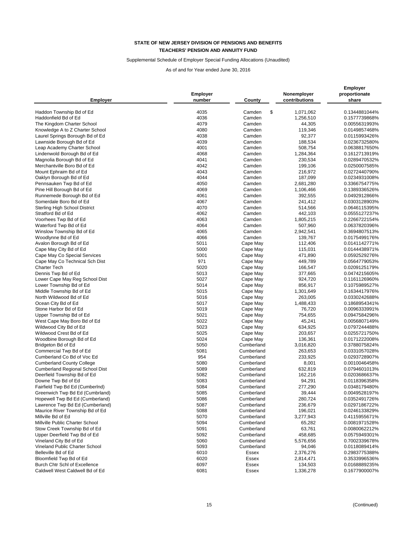### Supplemental Schedule of Employer Special Funding Allocations (Unaudited)

| <b>Employer</b>                      | Employer<br>number | County           | Nonemployer<br>contributions | <b>Employer</b><br>proportionate<br>share |
|--------------------------------------|--------------------|------------------|------------------------------|-------------------------------------------|
| Haddon Township Bd of Ed             | 4035               | \$<br>Camden     | 1,071,062                    | 0.1344881044%                             |
| Haddonfield Bd of Ed                 | 4036               | Camden           | 1,256,510                    | 0.1577739868%                             |
| The Kingdom Charter School           | 4079               | Camden           | 44,305                       | 0.0055631993%                             |
| Knowledge A to Z Charter School      | 4080               | Camden           | 119,346                      | 0.0149857468%                             |
| Laurel Springs Borough Bd of Ed      | 4038               | Camden           | 92,377                       | 0.0115993426%                             |
| Lawnside Borough Bd of Ed            | 4039               | Camden           | 188,534                      | 0.0236732580%                             |
|                                      | 4001               | Camden           | 508,754                      |                                           |
| Leap Academy Charter School          | 4068               | Camden           |                              | 0.0638817650%                             |
| Lindenwold Borough Bd of Ed          | 4041               | Camden           | 1,284,364                    | 0.1612713919%                             |
| Magnolia Borough Bd of Ed            | 4042               |                  | 230,534                      | 0.0289470532%<br>0.0250007585%            |
| Merchantville Boro Bd of Ed          | 4043               | Camden           | 199,106                      | 0.0272440790%                             |
| Mount Ephraim Bd of Ed               | 4044               | Camden<br>Camden | 216,972                      |                                           |
| Oaklyn Borough Bd of Ed              | 4050               |                  | 187,099                      | 0.0234931008%                             |
| Pennsauken Twp Bd of Ed              |                    | Camden           | 2,681,280                    | 0.3366754775%                             |
| Pine Hill Borough Bd of Ed           | 4069               | Camden           | 1,106,466                    | 0.1389336526%                             |
| Runnemede Borough Bd of Ed           | 4061               | Camden           | 392,555                      | 0.0492912866%                             |
| Somerdale Boro Bd of Ed              | 4067               | Camden           | 241,412                      | 0.0303128903%                             |
| <b>Sterling High School District</b> | 4070               | Camden           | 514,566                      | 0.0646115395%                             |
| Stratford Bd of Ed                   | 4062               | Camden           | 442,103                      | 0.0555127237%                             |
| Voorhees Twp Bd of Ed                | 4063               | Camden           | 1,805,215                    | 0.2266722154%                             |
| Waterford Twp Bd of Ed               | 4064               | Camden           | 507,960                      | 0.0637820396%                             |
| Winslow Township Bd of Ed            | 4065               | Camden           | 2,942,541                    | 0.3694807513%                             |
| Woodlynne Bd of Ed                   | 4066               | Camden           | 139,767                      | 0.0175499176%                             |
| Avalon Borough Bd of Ed              | 5011               | Cape May         | 112,406                      | 0.0141142771%                             |
| Cape May City Bd of Ed               | 5000               | Cape May         | 115,031                      | 0.0144438971%                             |
| Cape May Co Special Services         | 5001               | Cape May         | 471,890                      | 0.0592529276%                             |
| Cape May Co Technical Sch Dist       | 971                | Cape May         | 449,789                      | 0.0564779053%                             |
| <b>Charter Tech</b>                  | 5020               | Cape May         | 166,547                      | 0.0209125179%                             |
| Dennis Twp Bd of Ed                  | 5013               | Cape May         | 377,665                      | 0.0474215605%                             |
| Lower Cape May Reg School Dist       | 5027               | Cape May         | 924,720                      | 0.1161126960%                             |
| Lower Township Bd of Ed              | 5014               | Cape May         | 856,917                      | 0.1075989527%                             |
| Middle Township Bd of Ed             | 5015               | Cape May         | 1,301,649                    | 0.1634417976%                             |
| North Wildwood Bd of Ed              | 5016               | Cape May         | 263,005                      | 0.0330242688%                             |
| Ocean City Bd of Ed                  | 5017               | Cape May         | 1,488,433                    | 0.1868954341%                             |
| Stone Harbor Bd of Ed                | 5019               | Cape May         | 76,720                       | 0.0096333991%                             |
| Upper Township Bd of Ed              | 5021               | Cape May         | 754,655                      | 0.0947584296%                             |
| West Cape May Boro Bd of Ed          | 5022               | Cape May         | 45,241                       | 0.0056807149%                             |
| Wildwood City Bd of Ed               | 5023               | Cape May         | 634,925                      | 0.0797244488%                             |
| Wildwood Crest Bd of Ed              | 5025               | Cape May         | 203,657                      | 0.0255721750%                             |
| Woodbine Borough Bd of Ed            | 5024               | Cape May         | 136,361                      | 0.0171222008%                             |
| Bridgeton Bd of Ed                   | 5050               | Cumberland       | 3,016,820                    | 0.3788075824%                             |
| Commercial Twp Bd of Ed              | 5081               | Cumberland       | 263,653                      | 0.0331057028%                             |
| Cumberland Co Bd of Voc Ed           | 954                | Cumberland       | 233,925                      | 0.0293728907%                             |
| <b>Cumberland County College</b>     | 5080               | Cumberland       | 8,001                        | 0.0010046458%                             |
| Cumberland Regional School Dist      | 5089               | Cumberland       | 632,819                      | 0.0794601013%                             |
| Deerfield Township Bd of Ed          | 5082               | Cumberland       | 162,216                      | 0.0203686637%                             |
| Downe Twp Bd of Ed                   | 5083               | Cumberland       | 94,291                       | 0.0118396358%                             |
| Fairfield Twp Bd Ed (CumberInd)      | 5084               | Cumberland       | 277,290                      | 0.0348179480%                             |
| Greenwich Twp Bd Ed (Cumbrland)      | 5085               | Cumberland       | 39,444                       | 0.0049528197%                             |
| Hopewell Twp Bd Ed (Cumberland)      | 5086               | Cumberland       | 280,724                      | 0.0352491726%                             |
| Lawrence Twp Bd Ed (Cumberland)      | 5087               | Cumberland       | 236,679                      | 0.0297186722%                             |
| Maurice River Township Bd of Ed      | 5088               | Cumberland       | 196,021                      | 0.0246133829%                             |
| Millville Bd of Ed                   | 5070               | Cumberland       | 3,277,943                    | 0.4115955671%                             |
| Millville Public Charter School      | 5094               | Cumberland       | 65,282                       | 0.0081971528%                             |
| Stow Creek Township Bd of Ed         | 5091               | Cumberland       | 63,761                       | 0.0080062212%                             |
| Upper Deerfield Twp Bd of Ed         | 5092               | Cumberland       | 458,685                      | 0.0575949301%                             |
| Vineland City Bd of Ed               | 5060               | Cumberland       | 5,576,656                    | 0.7002339678%                             |
| Vineland Public Charter School       | 5093               | Cumberland       | 94,046                       | 0.0118089414%                             |
| Belleville Bd of Ed                  | 6010               | Essex            | 2,376,276                    | 0.2983775388%                             |
| Bloomfield Twp Bd of Ed              | 6020               | <b>Essex</b>     | 2,814,471                    | 0.3533996536%                             |
| Burch Chtr Schl of Excellence        | 6097               | Essex            | 134,503                      | 0.0168889235%                             |
| Caldwell West Caldwell Bd of Ed      | 6081               | Essex            | 1,336,278                    | 0.1677900007%                             |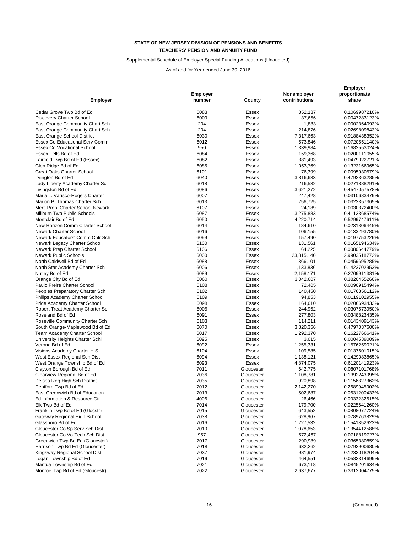### Supplemental Schedule of Employer Special Funding Allocations (Unaudited)

| <b>Employer</b>                   | Employer<br>number | County       | Nonemployer<br>contributions | <b>Employer</b><br>proportionate<br>share |
|-----------------------------------|--------------------|--------------|------------------------------|-------------------------------------------|
| Cedar Grove Twp Bd of Ed          | 6083               | Essex        | 852,137                      | 0.1069987210%                             |
| <b>Discovery Charter School</b>   | 6009               | <b>Essex</b> | 37,656                       | 0.0047283123%                             |
| East Orange Community Chart Sch   | 204                | Essex        | 1,883                        | 0.0002364093%                             |
| East Orange Community Chart Sch   | 204                | Essex        | 214,876                      | 0.0269809843%                             |
| East Orange School District       | 6030               | Essex        | 7,317,663                    | 0.9188438352%                             |
| Essex Co Educational Serv Comm    | 6012               | Essex        | 573,846                      | 0.0720551140%                             |
| <b>Essex Co Vocational School</b> | 950                | Essex        | 1,339,984                    | 0.1682553024%                             |
| Essex Fells Bd of Ed              | 6084               | Essex        | 159,368                      | 0.0200111055%                             |
| Fairfield Twp Bd of Ed (Essex)    | 6082               | Essex        | 381,493                      | 0.0479022721%                             |
| Glen Ridge Bd of Ed               | 6085               | Essex        | 1,053,769                    | 0.1323166965%                             |
| <b>Great Oaks Charter School</b>  | 6101               | Essex        | 76,399                       | 0.0095930579%                             |
| Irvington Bd of Ed                | 6040               | Essex        | 3,816,633                    | 0.4792363285%                             |
| Lady Liberty Academy Charter Sc   | 6018               | Essex        | 216,532                      | 0.0271888291%                             |
| Livingston Bd of Ed               | 6086               | Essex        | 3,621,272                    | 0.4547057578%                             |
| Maria L. Varisco-Rogers Charter   | 6007               | Essex        | 247,428                      | 0.0310683479%                             |
| Marion P. Thomas Charter Sch      | 6013               | Essex        | 256,725                      | 0.0322357365%                             |
| Merti Prep. Charter School Newark | 6107               | Essex        | 24,189                       | 0.0030372400%                             |
| Millburn Twp Public Schools       | 6087               | Essex        | 3,275,883                    | 0.4113368574%                             |
| Montclair Bd of Ed                | 6050               | Essex        | 4,220,714                    | 0.5299747611%                             |
| New Horizon Comm Charter School   | 6014               | Essex        | 184,610                      | 0.0231806445%                             |
| Newark Charter School             | 6016               | Essex        | 106,155                      | 0.0133293780%                             |
| Newark Educators' Comm Chtr Sch   | 6099               | Essex        | 157,490                      | 0.0197753226%                             |
| Newark Legacy Charter School      | 6100               | Essex        | 131,561                      | 0.0165194634%                             |
| Newark Prep Charter School        | 6106               | Essex        | 64,225                       | 0.0080644779%                             |
| <b>Newark Public Schools</b>      | 6000               | Essex        | 23,815,140                   | 2.9903518772%                             |
| North Caldwell Bd of Ed           | 6088               | Essex        | 366,101                      | 0.0459695285%                             |
| North Star Academy Charter Sch    | 6006               | Essex        | 1,133,836                    | 0.1423702953%                             |
| Nutley Bd of Ed                   | 6089               | Essex        | 2,158,171                    | 0.2709911381%                             |
| Orange City Bd of Ed              | 6060               | <b>Essex</b> | 3,042,607                    | 0.3820455260%                             |
| Paulo Freire Charter School       | 6108               | Essex        | 72,405                       | 0.0090915494%                             |
| Peoples Preparatory Charter Sch   | 6102               | Essex        | 140,450                      | 0.0176356112%                             |
| Philips Academy Charter School    | 6109               | Essex        | 94,853                       | 0.0119102955%                             |
| Pride Academy Charter School      | 6098               | Essex        | 164,610                      | 0.0206693433%                             |
| Robert Treat Academy Charter Sc   | 6005               | Essex        | 244,952                      | 0.0307573950%                             |
| Roseland Bd of Ed                 | 6091               | Essex        | 277,803                      | 0.0348823435%                             |
| Roseville Community Charter Sch   | 6103               | Essex        | 114,211                      | 0.0143409143%                             |
| South Orange-Maplewood Bd of Ed   | 6070               | <b>Essex</b> | 3,820,356                    | 0.4797037600%                             |
| Team Academy Charter School       | 6017               | Essex        | 1,292,370                    | 0.1622766641%                             |
| University Heights Charter Schl   | 6095               | Essex        | 3,615                        | 0.0004539009%                             |
| Verona Bd of Ed                   | 6092               | Essex        | 1,255,331                    | 0.1576259021%                             |
| Visions Academy Charter H.S.      | 6104               | <b>Essex</b> | 109,585                      | 0.0137601015%                             |
| West Essex Regional Sch Dist      | 6094               | Essex        | 1,138,121                    | 0.1429083865%                             |
| West Orange Township Bd of Ed     | 6093               | <b>Essex</b> | 4,874,075                    | 0.6120141923%                             |
| Clayton Borough Bd of Ed          | 7011               | Gloucester   | 642,775                      | 0.0807101768%                             |
| Clearview Regional Bd of Ed       | 7036               | Gloucester   | 1,108,781                    | 0.1392243095%                             |
| Delsea Reg High Sch District      | 7035               | Gloucester   | 920,898                      | 0.1156327362%                             |
| Deptford Twp Bd of Ed             | 7012               | Gloucester   | 2,142,270                    | 0.2689945002%                             |
| East Greenwich Bd of Education    | 7013               | Gloucester   | 502,687                      | 0.0631200433%                             |
| Ed Information & Resource Ctr     | 4006               | Gloucester   | 26,466                       | 0.0033232615%                             |
| Elk Twp Bd of Ed                  | 7014               | Gloucester   | 179,700                      | 0.0225641260%                             |
| Franklin Twp Bd of Ed (Glocstr)   | 7015               | Gloucester   | 643,552                      | 0.0808077724%                             |
| Gateway Regional High School      | 7038               | Gloucester   | 628,967                      | 0.0789763829%                             |
| Glassboro Bd of Ed                | 7016               | Gloucester   | 1,227,532                    | 0.1541352623%                             |
| Gloucester Co Sp Serv Sch Dist    | 7010               | Gloucester   | 1,078,653                    | 0.1354412588%                             |
| Gloucester Co Vo-Tech Sch Dist    | 957                | Gloucester   | 572,467                      | 0.0718819727%                             |
| Greenwich Twp Bd Ed (Gloucster)   | 7017               | Gloucester   | 290,989                      | 0.0365380859%                             |
| Harrison Twp Bd Ed (Gloucester)   | 7018               | Gloucester   | 632,262                      | 0.0793900680%                             |
| Kingsway Regional School Dist     | 7037               | Gloucester   | 981,974                      | 0.1233018204%                             |
| Logan Township Bd of Ed           | 7019               | Gloucester   | 464,551                      | 0.0583314699%                             |
| Mantua Township Bd of Ed          | 7021               | Gloucester   | 673,118                      | 0.0845201634%                             |
| Monroe Twp Bd of Ed (Gloucestr)   | 7022               | Gloucester   | 2,637,677                    | 0.3312004775%                             |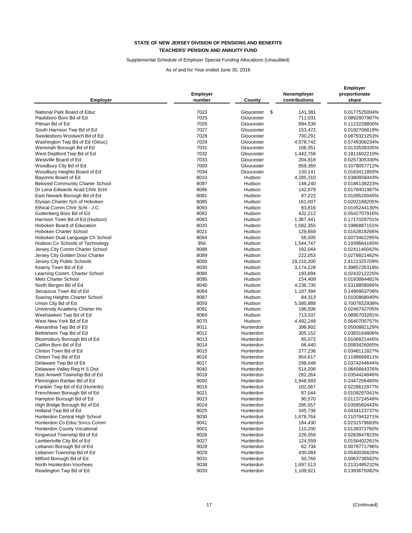# Supplemental Schedule of Employer Special Funding Allocations (Unaudited)

| <b>Employer</b>                                        | <b>Employer</b><br>number | County            | Nonemployer<br>contributions | <b>Employer</b><br>proportionate<br>share |
|--------------------------------------------------------|---------------------------|-------------------|------------------------------|-------------------------------------------|
| National Park Board of Educ                            | 7023                      | Gloucester<br>-\$ | 141,381                      | 0.0177525004%                             |
| Paulsboro Boro Bd of Ed                                | 7025                      | Gloucester        | 711,031                      | 0.0892807987%                             |
| Pitman Bd of Ed                                        | 7026                      | Gloucester        | 894,538                      | 0.1123228800%                             |
| South Harrison Twp Bd of Ed                            | 7027                      | Gloucester        | 153,472                      | 0.0192706819%                             |
| Swedesboro Woolwich Bd of Ed                           | 7028                      | Gloucester        | 700,291                      | 0.0879321253%                             |
| Washington Twp Bd of Ed (Glouc)                        | 7029                      | Gloucester        | 4,578,742                    | 0.5749306234%                             |
| Wenonah Borough Bd of Ed                               | 7031                      | Gloucester        | 106,351                      | 0.0133539335%                             |
| West Deptford Twp Bd of Ed                             | 7032                      | Gloucester        | 1,442,758                    | 0.1811602210%                             |
| Westville Board of Ed                                  | 7033                      | Gloucester        | 204,918                      | 0.0257305330%                             |
|                                                        | 7000                      | Gloucester        | 859,360                      | 0.1079057712%                             |
| Woodbury City Bd of Ed<br>Woodbury Heights Board of Ed | 7034                      | Gloucester        | 130,141                      | 0.0163411855%                             |
| Bayonne Board of Ed                                    | 8010                      | Hudson            | 4,285,310                    | 0.5380858443%                             |
| <b>Beloved Community Charter School</b>                | 8097                      | Hudson            | 148,240                      | 0.0186138223%                             |
| Dr Lena Edwards Acad Chrtr Schl                        | 8096                      | Hudson            |                              | 0.0178401987%                             |
| East Newark Borough Bd of Ed                           | 8081                      | Hudson            | 142,079<br>87,222            |                                           |
|                                                        |                           |                   |                              | 0.0109520045%                             |
| Elysian Charter Sch of Hoboken                         | 8085                      | Hudson            | 161,007                      | 0.0202168205%                             |
| Ethical Comm Chrtr Schl - J.C.                         | 8093                      | Hudson            | 83,816                       | 0.0105244130%                             |
| Guttenberg Boro Bd of Ed                               | 8082                      | Hudson            | 432,212                      | 0.0542707916%                             |
| Harrison Town Bd of Ed (Hudson)                        | 8083                      | Hudson            | 1,367,441                    | 0.1717029701%                             |
| Hoboken Board of Education                             | 8020                      | Hudson            | 1,582,355                    | 0.1986887151%                             |
| Hoboken Charter School                                 | 8021                      | Hudson            | 129,669                      | 0.0162819266%                             |
| Hoboken Dual Language Ch School                        | 8094                      | Hudson            | 58,505                       | 0.0073462295%                             |
| Hudson Co Schools of Technology                        | 956                       | Hudson            | 1,544,747                    | 0.1939664165%                             |
| Jersey City Comm Charter School                        | 8088                      | Hudson            | 192,044                      | 0.0241140042%                             |
| Jersey City Golden Door Charter                        | 8089                      | Hudson            | 222,053                      | 0.0278821462%                             |
| Jersey City Public Schools                             | 8000                      | Hudson            | 19,210,200                   | 2.4121325709%                             |
| Kearny Town Bd of Ed                                   | 8030                      | Hudson            | 3,174,228                    | 0.3985726318%                             |
| Learning Comm. Charter School                          | 8086                      | Hudson            | 193,694                      | 0.0243212225%                             |
| Mets Charter School                                    | 8095                      | Hudson            | 154,409                      | 0.0193884481%                             |
| North Bergen Bd of Ed                                  | 8040                      | Hudson            | 4,236,730                    | 0.5319858066%                             |
| Secaucus Town Bd of Ed                                 | 8084                      | Hudson            | 1,187,394                    | 0.1490953708%                             |
| Soaring Heights Charter School                         | 8087                      | Hudson            | 84,313                       | 0.0105868040%                             |
| Union City Bd of Ed                                    | 8050                      | Hudson            | 5,580,888                    | 0.7007652938%                             |
| University Academy Charter Hs                          | 8091                      | Hudson            | 196,506                      | 0.0246742705%                             |
| Weehawken Twp Bd of Ed                                 | 8060                      | Hudson            | 713,337                      | 0.0895703281%                             |
| West New York Bd of Ed                                 | 8070                      | Hudson            | 4,492,249                    | 0.5640700757%                             |
| Alexandria Twp Bd of Ed                                | 9011                      | Hunterdon         | 398,902                      | 0.0500882129%                             |
| Bethlehem Twp Bd of Ed                                 | 9012                      | Hunterdon         | 305,152                      | 0.0383164806%                             |
| Bloomsbury Borough Bd of Ed                            | 9013                      | Hunterdon         | 85,072                       | 0.0106821445%                             |
| Califon Boro Bd of Ed                                  | 9014                      | Hunterdon         | 66,440                       | 0.0083426065%                             |
| Clinton Town Bd of Ed                                  | 9015                      | Hunterdon         | 277,236                      | 0.0348111827%                             |
| Clinton Twp Bd of Ed                                   | 9016                      | Hunterdon         | 954,617                      | 0.1198666811%                             |
| Delaware Twp Bd of Ed                                  | 9017                      | Hunterdon         | 298,048                      | 0.0374244644%                             |
| Delaware Valley Reg H S Dist                           | 9040                      | Hunterdon         | 514,206                      | 0.0645664376%                             |
| East Amwell Township Bd of Ed                          | 9018                      | Hunterdon         | 282,264                      | 0.0354424846%                             |
| Flemington Raritan Bd of Ed                            | 9000                      | Hunterdon         | 1,948,993                    | 0.2447256460%                             |
| Franklin Twp Bd of Ed (Huntrdn)                        | 9019                      | Hunterdon         | 182,067                      | 0.0228612977%                             |
| Frenchtown Borough Bd of Ed                            | 9021                      | Hunterdon         | 87,044                       | 0.0109297041%                             |
| Hampton Borough Bd of Ed                               | 9023                      | Hunterdon         | 90,570                       | 0.0113724548%                             |
| High Bridge Borough Bd of Ed                           | 9024                      | Hunterdon         | 285,557                      | 0.0358560443%                             |
| Holland Twp Bd of Ed                                   | 9025                      | Hunterdon         | 345,736                      | 0.0434123737%                             |
| Hunterdon Central High School                          | 9030                      | Hunterdon         | 1,678,764                    | 0.2107943271%                             |
| Hunterdon Co Educ Srvcs Comm                           | 9041                      | Hunterdon         | 184,430                      | 0.0231579683%                             |
| Hunterdon County Vocational                            | 9001                      | Hunterdon         | 110,200                      | 0.0138372760%                             |
| Kingwood Township Bd of Ed                             | 9026                      | Hunterdon         | 226,056                      | 0.0283847823%                             |
| Lambertville City Bd of Ed                             | 9027                      | Hunterdon         | 124,559                      | 0.0156402261%                             |
| Lebanon Borough Bd of Ed                               | 9028                      | Hunterdon         | 62,734                       | 0.0078771796%                             |
| Lebanon Township Bd of Ed                              | 9029                      | Hunterdon         | 430,084                      | 0.0540035626%                             |
| Milford Borough Bd of Ed                               | 9031                      | Hunterdon         | 50,760                       | 0.0063736562%                             |
| North Hunterdon-Voorhees                               | 9038                      | Hunterdon         | 1,697,513                    | 0.2131485232%                             |
| Readington Twp Bd of Ed                                | 9033                      | Hunterdon         | 1,109,921                    | 0.1393675082%                             |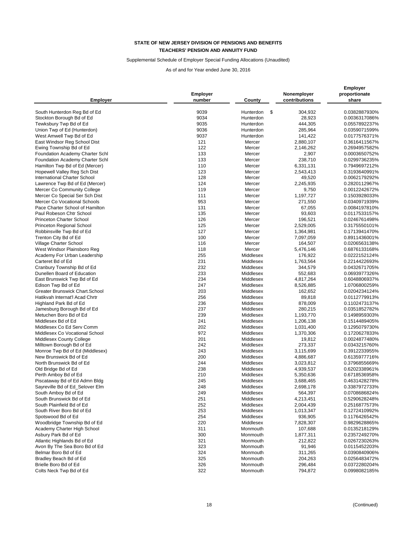### Supplemental Schedule of Employer Special Funding Allocations (Unaudited)

| <b>Employer</b>                                               | <b>Employer</b><br>number | County           | Nonemployer<br>contributions | <b>Employer</b><br>proportionate<br>share |
|---------------------------------------------------------------|---------------------------|------------------|------------------------------|-------------------------------------------|
| South Hunterdon Reg Bd of Ed                                  | 9039                      | Hunterdon<br>\$  | 304,932                      | 0.0382887930%                             |
| Stockton Borough Bd of Ed                                     | 9034                      | Hunterdon        | 28,923                       | 0.0036317086%                             |
| Tewksbury Twp Bd of Ed                                        | 9035                      | Hunterdon        | 444,305                      | 0.0557892237%                             |
| Union Twp of Ed (Hunterdon)                                   | 9036                      | Hunterdon        | 285,964                      | 0.0359071599%                             |
| West Amwell Twp Bd of Ed                                      | 9037                      | Hunterdon        | 141,422                      | 0.0177576371%                             |
| East Windsor Reg School Dist                                  | 121                       | Mercer           | 2,880,107                    | 0.3616411567%                             |
| Ewing Township Bd of Ed                                       | 122                       | Mercer           | 2,146,262                    | 0.2694957582%                             |
| Foundation Academy Charter Schl                               | 133                       | Mercer           | 2,907                        | 0.0003650752%                             |
| Foundation Academy Charter Schl                               | 133                       | Mercer           | 238,710                      | 0.0299736235%                             |
| Hamilton Twp Bd of Ed (Mercer)                                | 110                       | Mercer           | 6,331,131                    | 0.7949697212%                             |
| Hopewell Valley Reg Sch Dist                                  | 123                       | Mercer           | 2,543,413                    | 0.3193640991%                             |
| International Charter School                                  | 128                       | Mercer           | 49,520                       | 0.0062179292%                             |
| Lawrence Twp Bd of Ed (Mercer)                                | 124                       | Mercer           | 2,245,935                    | 0.2820112967%                             |
|                                                               | 119                       |                  |                              | 0.0012242672%                             |
| Mercer Co Community College<br>Mercer Co Special Ser Sch Dist | 111                       | Mercer<br>Mercer | 9,750<br>1,197,727           |                                           |
| Mercer Co Vocational Schools                                  | 953                       |                  |                              | 0.1503928033%                             |
|                                                               |                           | Mercer           | 271,550                      | 0.0340971939%                             |
| Pace Charter School of Hamilton                               | 131                       | Mercer           | 67,055                       | 0.0084197810%                             |
| Paul Robeson Chtr School                                      | 135                       | Mercer           | 93,603                       | 0.0117533157%                             |
| Princeton Charter School                                      | 126                       | Mercer           | 196,521                      | 0.0246761498%                             |
| Princeton Regional School                                     | 125                       | Mercer           | 2,529,005                    | 0.3175550101%                             |
| Robbinsville Twp Bd of Ed                                     | 127                       | Mercer           | 1,364,981                    | 0.1713941470%                             |
| Trenton City Bd of Ed                                         | 100                       | Mercer           | 7,097,059                    | 0.8911436001%                             |
| Village Charter School                                        | 116                       | Mercer           | 164,507                      | 0.0206563138%                             |
| West Windsor Plainsboro Reg                                   | 118                       | Mercer           | 5,476,146                    | 0.6876133168%                             |
| Academy For Urban Leadership                                  | 255                       | Middlesex        | 176,922                      | 0.0222152124%                             |
| Carteret Bd of Ed                                             | 231                       | Middlesex        | 1,763,564                    | 0.2214422693%                             |
| Cranbury Township Bd of Ed                                    | 232                       | Middlesex        | 344,579                      | 0.0432671705%                             |
| Dunellen Board of Education                                   | 233                       | Middlesex        | 552,683                      | 0.0693977326%                             |
| East Brunswick Twp Bd of Ed                                   | 234                       | Middlesex        | 4,817,264                    | 0.6048806937%                             |
| Edison Twp Bd of Ed                                           | 247                       | Middlesex        | 8,526,885                    | 1.0706800259%                             |
| Greater Brunswick Chart.School                                | 203                       | Middlesex        | 162,652                      | 0.0204234124%                             |
| Hatikvah Internat'l Acad Chrtr                                | 256                       | Middlesex        | 89,818                       | 0.0112779913%                             |
| Highland Park Bd of Ed                                        | 236                       | Middlesex        | 878,009                      | 0.1102473137%                             |
| Jamesburg Borough Bd of Ed                                    | 237                       | Middlesex        | 280,215                      | 0.0351852782%                             |
| Metuchen Boro Bd of Ed                                        | 239                       | Middlesex        | 1,193,770                    | 0.1498959303%                             |
| Middlesex Bd of Ed                                            | 241                       | Middlesex        | 1,206,138                    | 0.1514489405%                             |
| Middlesex Co Ed Serv Comm                                     | 202                       | Middlesex        | 1,031,400                    | 0.1295079730%                             |
| Middlesex Co Vocational School                                | 972                       | Middlesex        | 1,370,306                    | 0.1720627833%                             |
| <b>Middlesex County College</b>                               | 201                       | Middlesex        | 19,812                       | 0.0024877480%                             |
| Milltown Borough Bd of Ed                                     | 242                       | Middlesex        | 273,337                      | 0.0343215760%                             |
| Monroe Twp Bd of Ed (Middlesex)                               | 243                       | Middlesex        | 3,115,699                    | 0.3912233955%                             |
| New Brunswick Bd of Ed                                        | 200                       | Middlesex        | 4,886,687                    | 0.6135977716%                             |
| North Brunswick Bd of Ed                                      | 244                       | Middlesex        | 3,023,812                    | 0.3796855669%                             |
| Old Bridge Bd of Ed                                           | 238                       | Middlesex        | 4,939,537                    | 0.6202338961%                             |
| Perth Amboy Bd of Ed                                          | 210                       | Middlesex        | 5,350,636                    | 0.6718536958%                             |
| Piscataway Bd of Ed Admn Bldg                                 | 245                       | Middlesex        | 3,688,465                    | 0.4631428278%                             |
| Sayreville Bd of Ed_Selover Elm                               | 248                       | Middlesex        | 2,698,178                    | 0.3387972733%                             |
| South Amboy Bd of Ed                                          | 249                       | Middlesex        | 564,397                      | 0.0708686824%                             |
| South Brunswick Bd of Ed                                      | 251                       | Middlesex        | 4,213,451                    | 0.5290628248%                             |
| South Plainfield Bd of Ed                                     | 252                       | Middlesex        | 2,004,439                    | 0.2516877573%                             |
| South River Boro Bd of Ed                                     | 253                       | Middlesex        | 1,013,347                    | 0.1272410992%                             |
| Spotswood Bd of Ed                                            | 254                       | Middlesex        | 936,905                      | 0.1176426542%                             |
| Woodbridge Township Bd of Ed                                  | 220                       | Middlesex        | 7,828,307                    | 0.9829628865%                             |
| Academy Charter High School                                   | 311                       | Monmouth         | 107,688                      | 0.0135218129%                             |
| Asbury Park Bd of Ed                                          | 300                       | Monmouth         | 1,877,311                    | 0.2357249270%                             |
| Atlantic Highlands Bd of Ed                                   | 321                       | Monmouth         | 212,822                      | 0.0267230263%                             |
| Avon By The Sea Boro Bd of Ed                                 | 323                       | Monmouth         | 91,946                       | 0.0115452203%                             |
| Belmar Boro Bd of Ed                                          | 324                       | Monmouth         | 311,265                      | 0.0390840906%                             |
| Bradley Beach Bd of Ed                                        | 325                       | Monmouth         | 204,263                      | 0.0256483472%                             |
| Brielle Boro Bd of Ed                                         | 326                       | Monmouth         | 296,484                      | 0.0372280204%                             |
| Colts Neck Twp Bd of Ed                                       | 322                       | Monmouth         | 794,872                      | 0.0998082185%                             |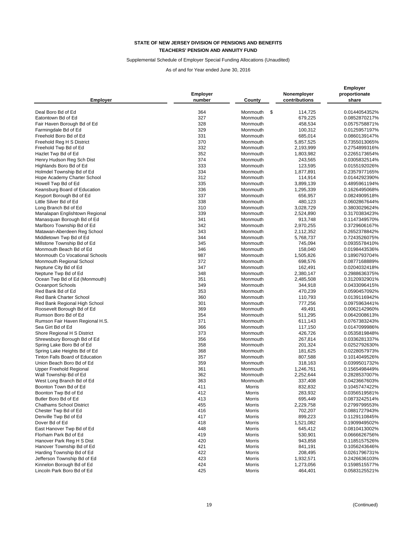### Supplemental Schedule of Employer Special Funding Allocations (Unaudited)

| <b>Employer</b>                 | <b>Employer</b><br>number | County         | Nonemployer<br>contributions | <b>Employer</b><br>proportionate<br>share |
|---------------------------------|---------------------------|----------------|------------------------------|-------------------------------------------|
| Deal Boro Bd of Ed              | 364                       | Monmouth<br>\$ | 114,725                      | 0.0144054352%                             |
| Eatontown Bd of Ed              | 327                       | Monmouth       | 679,225                      | 0.0852870217%                             |
| Fair Haven Borough Bd of Ed     | 328                       | Monmouth       | 458,534                      | 0.0575758871%                             |
| Farmingdale Bd of Ed            | 329                       | Monmouth       |                              |                                           |
|                                 | 331                       |                | 100,312                      | 0.0125957197%                             |
| Freehold Boro Bd of Ed          | 370                       | Monmouth       | 685,014                      | 0.0860139147%                             |
| Freehold Reg H S District       |                           | Monmouth       | 5,857,525                    | 0.7355013065%                             |
| Freehold Twp Bd of Ed           | 332                       | Monmouth       | 2,193,999                    | 0.2754899316%                             |
| Hazlet Twp Bd of Ed             | 352                       | Monmouth       | 1,803,982                    | 0.2265173654%                             |
| Henry Hudson Reg Sch Dist       | 374                       | Monmouth       | 243,565                      | 0.0305832514%                             |
| Highlands Boro Bd of Ed         | 333                       | Monmouth       | 123,595                      | 0.0155192026%                             |
| Holmdel Township Bd of Ed       | 334                       | Monmouth       | 1,877,891                    | 0.2357977165%                             |
| Hope Academy Charter School     | 312                       | Monmouth       | 114,914                      | 0.0144292390%                             |
| Howell Twp Bd of Ed             | 335                       | Monmouth       | 3,899,139                    | 0.4895961194%                             |
| Keansburg Board of Education    | 336                       | Monmouth       | 1,295,339                    | 0.1626495068%                             |
| Keyport Borough Bd of Ed        | 337                       | Monmouth       | 656,957                      | 0.0824909518%                             |
| Little Silver Bd of Ed          | 338                       | Monmouth       | 480,123                      | 0.0602867644%                             |
| Long Branch Bd of Ed            | 310                       | Monmouth       | 3,028,729                    | 0.3803029624%                             |
| Manalapan Englishtown Regional  | 339                       | Monmouth       | 2,524,890                    | 0.3170383423%                             |
| Manasquan Borough Bd of Ed      | 341                       | Monmouth       | 913,748                      | 0.1147349570%                             |
| Marlboro Township Bd of Ed      | 342                       | Monmouth       | 2,970,255                    | 0.3729606167%                             |
| Matawan-Aberdeen Reg School     | 343                       | Monmouth       | 2,112,352                    | 0.2652378842%                             |
| Middletown Twp Bd of Ed         | 344                       | Monmouth       | 5,768,737                    | 0.7243526075%                             |
| Millstone Township Bd of Ed     | 345                       | Monmouth       | 745,094                      | 0.0935578410%                             |
| Monmouth Beach Bd of Ed         | 346                       | Monmouth       | 158,040                      | 0.0198443536%                             |
| Monmouth Co Vocational Schools  | 987                       | Monmouth       | 1,505,826                    | 0.1890793704%                             |
| Monmouth Regional School        | 372                       | Monmouth       | 698,576                      | 0.0877168889%                             |
| Neptune City Bd of Ed           | 347                       | Monmouth       | 162,491                      | 0.0204032418%                             |
| Neptune Twp Bd of Ed            | 348                       | Monmouth       | 2,380,147                    | 0.2988636375%                             |
| Ocean Twp Bd of Ed (Monmouth)   | 351                       | Monmouth       | 2,485,508                    | 0.3120932901%                             |
| Oceanport Schools               | 349                       | Monmouth       | 344,918                      | 0.0433096415%                             |
| Red Bank Bd of Ed               | 353                       | Monmouth       | 470,239                      | 0.0590457092%                             |
| Red Bank Charter School         | 360                       | Monmouth       | 110,793                      | 0.0139116942%                             |
| Red Bank Regional High School   | 301                       | Monmouth       | 777,256                      | 0.0975963441%                             |
| Roosevelt Borough Bd of Ed      | 369                       | Monmouth       | 49,491                       | 0.0062142960%                             |
| Rumson Boro Bd of Ed            | 354                       | Monmouth       | 511,295                      | 0.0642008613%                             |
| Rumson Fair Haven Regional H.S. | 371                       | Monmouth       | 611,143                      | 0.0767383243%                             |
| Sea Girt Bd of Ed               | 366                       | Monmouth       | 117,150                      | 0.0147099986%                             |
| Shore Regional H S District     | 373                       | Monmouth       | 426,726                      | 0.0535819848%                             |
| Shrewsbury Borough Bd of Ed     | 356                       | Monmouth       | 267,814                      | 0.0336281337%                             |
| Spring Lake Boro Bd of Ed       | 358                       | Monmouth       | 201,324                      | 0.0252792630%                             |
| Spring Lake Heights Bd of Ed    | 368                       | Monmouth       | 181,625                      | 0.0228057973%                             |
| Tinton Falls Board of Education | 357                       | Monmouth       | 807,588                      | 0.1014049526%                             |
| Union Beach Boro Bd of Ed       | 359                       | Monmouth       | 318,163                      | 0.0399501732%                             |
| <b>Upper Freehold Regional</b>  | 361                       | Monmouth       | 1,246,761                    | 0.1565498449%                             |
| Wall Township Bd of Ed          | 362                       | Monmouth       | 2,252,644                    | 0.2828537007%                             |
| West Long Branch Bd of Ed       | 363                       | Monmouth       | 337,408                      | 0.0423667603%                             |
| Boonton Town Bd of Ed           | 411                       | Morris         | 832,832                      | 0.1045747422%                             |
| Boonton Twp Bd of Ed            | 412                       | Morris         | 283,932                      | 0.0356519581%                             |
| Butler Boro Bd of Ed            | 413                       | Morris         | 695,449                      | 0.0873242514%                             |
| <b>Chathams School District</b> | 455                       | Morris         | 2,229,758                    | 0.2799799553%                             |
| Chester Twp Bd of Ed            | 416                       | Morris         | 702,207                      | 0.0881727943%                             |
| Denville Twp Bd of Ed           | 417                       | Morris         | 899,223                      | 0.1129110845%                             |
| Dover Bd of Ed                  | 418                       | Morris         | 1,521,082                    | 0.1909949502%                             |
| East Hanover Twp Bd of Ed       | 448                       | Morris         | 645,412                      | 0.0810413002%                             |
| Florham Park Bd of Ed           | 419                       | Morris         | 530,901                      | 0.0666626756%                             |
| Hanover Park Reg H S Dist       | 420                       | Morris         | 943,858                      | 0.1185157526%                             |
| Hanover Township Bd of Ed       | 421                       | Morris         | 841,191                      | 0.1056243646%                             |
| Harding Township Bd of Ed       | 422                       | Morris         | 208,495                      | 0.0261796731%                             |
| Jefferson Township Bd of Ed     | 423                       | Morris         | 1,932,571                    | 0.2426636103%                             |
| Kinnelon Borough Bd of Ed       | 424                       | Morris         | 1,273,056                    | 0.1598515577%                             |
| Lincoln Park Boro Bd of Ed      | 425                       | Morris         | 464,401                      | 0.0583125521%                             |
|                                 |                           |                |                              |                                           |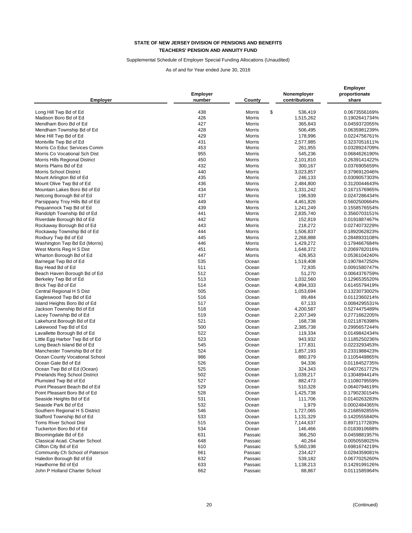### Supplemental Schedule of Employer Special Funding Allocations (Unaudited)

| <b>Employer</b>                 | <b>Employer</b><br>number | County        | Nonemployer<br>contributions | <b>Employer</b><br>proportionate<br>share |
|---------------------------------|---------------------------|---------------|------------------------------|-------------------------------------------|
| Long Hill Twp Bd of Ed          | 438                       | \$<br>Morris  | 536,419                      | 0.0673556169%                             |
| Madison Boro Bd of Ed           | 426                       | Morris        | 1,515,262                    | 0.1902641734%                             |
| Mendham Boro Bd of Ed           | 427                       | Morris        | 365,843                      | 0.0459372055%                             |
| Mendham Township Bd of Ed       | 428                       | Morris        | 506,495                      | 0.0635981239%                             |
| Mine Hill Twp Bd of Ed          | 429                       | Morris        | 178,996                      | 0.0224756761%                             |
| Montville Twp Bd of Ed          | 431                       | Morris        | 2,577,985                    | 0.3237051611%                             |
| Morris Co Educ Services Comm    | 453                       | Morris        | 261,955                      | 0.0328924709%                             |
| Morris Co Vocational Sch Dist   | 955                       | Morris        | 545,236                      | 0.0684626190%                             |
| Morris Hills Regional District  | 450                       | Morris        | 2,101,810                    | 0.2639141422%                             |
| Morris Plains Bd of Ed          | 432                       | Morris        | 300,167                      | 0.0376905659%                             |
| <b>Morris School District</b>   | 440                       | Morris        | 3,023,857                    | 0.3796912046%                             |
| Mount Arlington Bd of Ed        | 435                       | <b>Morris</b> | 246,133                      | 0.0309057303%                             |
| Mount Olive Twp Bd of Ed        | 436                       | Morris        | 2,484,800                    | 0.3120044643%                             |
| Mountain Lakes Boro Bd of Ed    | 434                       | Morris        | 1,331,242                    | 0.1671576965%                             |
| Netcong Borough Bd of Ed        | 437                       | Morris        | 196,939                      | 0.0247286434%                             |
| Parsippany Troy Hills Bd of Ed  | 449                       | Morris        | 4,461,826                    | 0.5602500664%                             |
| Pequannock Twp Bd of Ed         | 439                       | Morris        | 1,241,249                    | 0.1558576554%                             |
| Randolph Township Bd of Ed      | 441                       | Morris        | 2,835,740                    | 0.3560703151%                             |
| Riverdale Borough Bd of Ed      | 442                       | <b>Morris</b> | 152,819                      | 0.0191887467%                             |
| Rockaway Borough Bd of Ed       | 443                       | <b>Morris</b> | 218,272                      | 0.0274073229%                             |
| Rockaway Township Bd of Ed      | 444                       | Morris        | 1,506,837                    | 0.1892062823%                             |
| Roxbury Twp Bd of Ed            | 445                       | Morris        | 2,268,888                    | 0.2848933108%                             |
| Washington Twp Bd Ed (Morris)   | 446                       | Morris        | 1,429,272                    | 0.1794667684%                             |
| West Morris Reg H S Dist        | 451                       | Morris        | 1,648,372                    | 0.2069782016%                             |
| Wharton Borough Bd of Ed        | 447                       | Morris        | 426,953                      | 0.0536104240%                             |
| Barnegat Twp Bd of Ed           | 535                       | Ocean         | 1,519,408                    | 0.1907847250%                             |
| Bay Head Bd of Ed               | 511                       | Ocean         | 72,935                       | 0.0091580747%                             |
| Beach Haven Borough Bd of Ed    | 512                       | Ocean         | 51,270                       | 0.0064376759%                             |
| Berkeley Twp Bd of Ed           | 513                       | Ocean         | 1,032,560                    | 0.1296535520%                             |
| Brick Twp Bd of Ed              | 514                       | Ocean         | 4,894,333                    | 0.6145579419%                             |
| Central Regional H S Dist       | 505                       | Ocean         | 1,053,694                    | 0.1323073002%                             |
| Eagleswood Twp Bd of Ed         | 516                       | Ocean         | 89,484                       | 0.0112360214%                             |
| Island Heights Boro Bd of Ed    | 517                       | Ocean         | 67,133                       | 0.0084295531%                             |
| Jackson Township Bd of Ed       | 518                       | Ocean         | 4,200,587                    | 0.5274475489%                             |
| Lacey Township Bd of Ed         | 519                       | Ocean         | 2,207,349                    | 0.2771662205%                             |
| Lakehurst Borough Bd of Ed      | 521                       | Ocean         | 168,738                      | 0.0211876398%                             |
| Lakewood Twp Bd of Ed           | 500                       | Ocean         | 2,385,738                    | 0.2995657244%                             |
| Lavallette Borough Bd of Ed     | 522                       | Ocean         | 119,334                      | 0.0149842434%                             |
| Little Egg Harbor Twp Bd of Ed  | 523                       | Ocean         | 943,932                      | 0.1185250236%                             |
| Long Beach Island Bd of Ed      | 545                       | Ocean         | 177,831                      | 0.0223293453%                             |
| Manchester Township Bd of Ed    | 524                       | Ocean         | 1,857,193                    | 0.2331988423%                             |
| Ocean County Vocational School  | 986                       | Ocean         | 880,379                      | 0.1105449865%                             |
| Ocean Gate Bd of Ed             | 526                       | Ocean         | 94,336                       | 0.0118452735%                             |
| Ocean Twp Bd of Ed (Ocean)      | 525                       | Ocean         | 324,343                      | 0.0407261772%                             |
| Pinelands Reg School District   | 502                       | Ocean         | 1,039,217                    | 0.1304894414%                             |
| Plumsted Twp Bd of Ed           | 527                       | Ocean         | 882,473                      | 0.1108079559%                             |
| Point Pleasant Beach Bd of Ed   | 529                       | Ocean         | 510,328                      | 0.0640794619%                             |
| Point Pleasant Boro Bd of Ed    | 528                       | Ocean         | 1,425,738                    | 0.1790230154%                             |
| Seaside Heights Bd of Ed        | 531                       | Ocean         | 111,706                      | 0.0140263283%                             |
| Seaside Park Bd of Ed           | 532                       | Ocean         | 1,979                        | 0.0002484365%                             |
| Southern Regional H S District  | 546                       | Ocean         | 1,727,065                    | 0.2168592855%                             |
| Stafford Township Bd of Ed      | 533                       | Ocean         | 1,131,329                    | 0.1420555840%                             |
| Toms River School Dist          | 515                       | Ocean         | 7,144,637                    | 0.8971177283%                             |
| Tuckerton Boro Bd of Ed         | 534                       | Ocean         | 146,466                      | 0.0183910688%                             |
| Bloomingdale Bd of Ed           | 631                       | Passaic       | 366,250                      | 0.0459881957%                             |
| Classical Acad. Charter School  | 648                       | Passaic       | 40,264                       | 0.0050558025%                             |
| Clifton City Bd of Ed           | 610                       | Passaic       | 5,560,198                    | 0.6981674219%                             |
| Community Ch School of Paterson | 661                       | Passaic       | 234,427                      | 0.0294359081%                             |
| Haledon Borough Bd of Ed        | 632                       | Passaic       | 539,182                      | 0.0677025260%                             |
| Hawthorne Bd of Ed              | 633                       | Passaic       | 1,138,213                    | 0.1429199126%                             |
| John P Holland Charter School   | 662                       | Passaic       | 88,867                       | 0.0111585964%                             |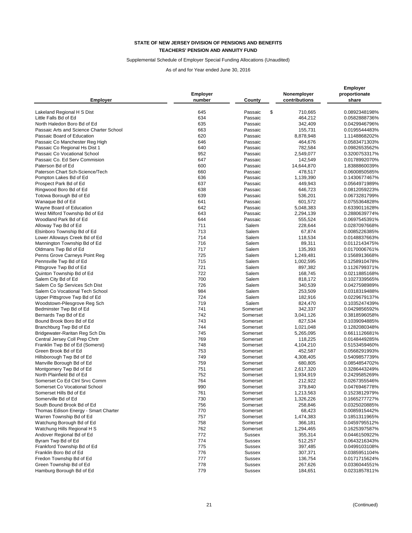# Supplemental Schedule of Employer Special Funding Allocations (Unaudited)

|                                                     |                 |               |               | <b>Employer</b> |  |
|-----------------------------------------------------|-----------------|---------------|---------------|-----------------|--|
|                                                     | <b>Employer</b> |               | Nonemployer   | proportionate   |  |
| <b>Employer</b>                                     | number          | County        | contributions | share           |  |
|                                                     | 645             | \$<br>Passaic |               | 0.0892348198%   |  |
| Lakeland Regional H S Dist<br>Little Falls Bd of Ed | 634             | Passaic       | 710,665       | 0.0582888736%   |  |
|                                                     |                 |               | 464,212       |                 |  |
| North Haledon Boro Bd of Ed                         | 635             | Passaic       | 342,409       | 0.0429946796%   |  |
| Passaic Arts and Science Charter School             | 663             | Passaic       | 155,731       | 0.0195544483%   |  |
| Passaic Board of Education                          | 620             | Passaic       | 8,878,948     | 1.1148868202%   |  |
| Passaic Co Manchester Reg High                      | 646             | Passaic       | 464,676       | 0.0583471303%   |  |
| Passaic Co Regional Hs Dist 1                       | 640             | Passaic       | 782,584       | 0.0982653562%   |  |
| Passaic Co Vocational School                        | 952             | Passaic       | 2,549,077     | 0.3200753317%   |  |
| Passaic Co. Ed Serv Commision                       | 647             | Passaic       | 142,549       | 0.0178992070%   |  |
| Paterson Bd of Ed                                   | 600             | Passaic       | 14,644,870    | 1.8388860039%   |  |
| Paterson Chart Sch-Science/Tech                     | 660             | Passaic       | 478,517       | 0.0600850585%   |  |
| Pompton Lakes Bd of Ed                              | 636             | Passaic       | 1,139,390     | 0.1430677467%   |  |
| Prospect Park Bd of Ed                              | 637             | Passaic       | 449,943       | 0.0564971989%   |  |
| Ringwood Boro Bd of Ed                              | 638             | Passaic       | 646,723       | 0.0812059223%   |  |
| Totowa Borough Bd of Ed                             | 639             | Passaic       | 536,201       | 0.0673281799%   |  |
| Wanaque Bd of Ed                                    | 641             | Passaic       | 601,572       | 0.0755364828%   |  |
| Wayne Board of Education                            | 642             | Passaic       | 5,048,383     | 0.6339011628%   |  |
| West Milford Township Bd of Ed                      | 643             | Passaic       | 2,294,139     | 0.2880639774%   |  |
| Woodland Park Bd of Ed                              | 644             | Passaic       | 555,524       | 0.0697545391%   |  |
| Alloway Twp Bd of Ed                                | 711             | Salem         | 228,644       | 0.0287097668%   |  |
| Elsinboro Township Bd of Ed                         | 713             | Salem         | 67,874        | 0.0085226385%   |  |
| Lower Alloways Creek Bd of Ed                       | 714             | Salem         | 118,534       | 0.0148837663%   |  |
| Mannington Township Bd of Ed                        | 716             | Salem         |               |                 |  |
|                                                     |                 |               | 89,311        | 0.0112143475%   |  |
| Oldmans Twp Bd of Ed                                | 717             | Salem         | 135,393       | 0.0170006761%   |  |
| Penns Grove Carneys Point Reg                       | 725             | Salem         | 1,249,481     | 0.1568913668%   |  |
| Pennsville Twp Bd of Ed                             | 715             | Salem         | 1,002,595     | 0.1258910478%   |  |
| Pittsgrove Twp Bd of Ed                             | 721             | Salem         | 897,382       | 0.1126799371%   |  |
| Quinton Township Bd of Ed                           | 722             | Salem         | 168,745       | 0.0211885168%   |  |
| Salem City Bd of Ed                                 | 700             | Salem         | 818,172       | 0.1027339565%   |  |
| Salem Co Sp Services Sch Dist                       | 726             | Salem         | 340,539       | 0.0427598989%   |  |
| Salem Co Vocational Tech School                     | 984             | Salem         | 253,509       | 0.0318319488%   |  |
| Upper Pittsgrove Twp Bd of Ed                       | 724             | Salem         | 182,916       | 0.0229679137%   |  |
| Woodstown-Pilesgrove Reg Sch                        | 719             | Salem         | 824,470       | 0.1035247439%   |  |
| Bedminster Twp Bd of Ed                             | 741             | Somerset      | 342,337       | 0.0429856592%   |  |
| Bernards Twp Bd of Ed                               | 742             | Somerset      | 3,041,126     | 0.3818596058%   |  |
| Bound Brook Boro Bd of Ed                           | 743             | Somerset      | 827,534       | 0.1039094885%   |  |
| Branchburg Twp Bd of Ed                             | 744             | Somerset      | 1,021,048     | 0.1282080348%   |  |
| Bridgewater-Raritan Reg Sch Dis                     | 745             | Somerset      | 5,265,095     | 0.6611126681%   |  |
| Central Jersey Coll Prep Chrtr                      | 769             | Somerset      | 118,225       | 0.0148449285%   |  |
| Franklin Twp Bd of Ed (Somerst)                     | 748             | Somerset      | 4,104,210     | 0.5153459460%   |  |
| Green Brook Bd of Ed                                | 753             | Somerset      | 452,587       | 0.0568291993%   |  |
| Hillsborough Twp Bd of Ed                           | 749             | Somerset      | 4,308,405     | 0.5409857739%   |  |
| Manville Borough Bd of Ed                           | 759             | Somerset      | 680,805       |                 |  |
|                                                     | 751             | Somerset      |               | 0.0854854702%   |  |
| Montgomery Twp Bd of Ed                             |                 |               | 2,617,320     | 0.3286443249%   |  |
| North Plainfield Bd of Ed                           | 752             | Somerset      | 1,934,919     | 0.2429585269%   |  |
| Somerset Co Ed Ctnl Srvc Comm                       | 764             | Somerset      | 212,922       | 0.0267355546%   |  |
| Somerset Co Vocational School                       | 990             | Somerset      | 379,840       | 0.0476946778%   |  |
| Somerset Hills Bd of Ed                             | 761             | Somerset      | 1,213,563     | 0.1523812979%   |  |
| Somerville Bd of Ed                                 | 730             | Somerset      | 1,326,226     | 0.1665277727%   |  |
| South Bound Brook Bd of Ed                          | 756             | Somerset      | 258,846       | 0.0325020885%   |  |
| Thomas Edison Energy - Smart Charter                | 770             | Somerset      | 68,423        | 0.0085915442%   |  |
| Warren Township Bd of Ed                            | 757             | Somerset      | 1,474,383     | 0.1851311965%   |  |
| Watchung Borough Bd of Ed                           | 758             | Somerset      | 366,181       | 0.0459795512%   |  |
| Watchung Hills Regional H S                         | 762             | Somerset      | 1,294,465     | 0.1625397587%   |  |
| Andover Regional Bd of Ed                           | 772             | Sussex        | 355,314       | 0.0446150922%   |  |
| Byram Twp Bd of Ed                                  | 774             | Sussex        | 512,257       | 0.0643216343%   |  |
| Frankford Township Bd of Ed                         | 775             | Sussex        | 397,485       | 0.0499103108%   |  |
| Franklin Boro Bd of Ed                              | 776             | Sussex        | 307,371       | 0.0385951104%   |  |
| Fredon Township Bd of Ed                            | 777             | Sussex        | 136,754       | 0.0171715624%   |  |
| Green Township Bd of Ed                             | 778             | Sussex        | 267,626       | 0.0336044551%   |  |
| Hamburg Borough Bd of Ed                            | 779             | Sussex        | 184,651       | 0.0231857811%   |  |
|                                                     |                 |               |               |                 |  |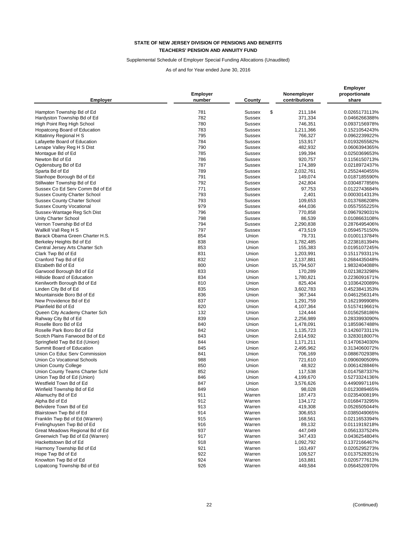### Supplemental Schedule of Employer Special Funding Allocations (Unaudited)

| <b>Employer</b>                     | <b>Employer</b><br>number | County              | Nonemployer<br>contributions | <b>Employer</b><br>proportionate<br>share |
|-------------------------------------|---------------------------|---------------------|------------------------------|-------------------------------------------|
| Hampton Township Bd of Ed           | 781                       | \$<br><b>Sussex</b> | 211,184                      | 0.0265173113%                             |
|                                     | 782                       | <b>Sussex</b>       | 371,334                      | 0.0466266388%                             |
| Hardyston Township Bd of Ed         | 780                       | <b>Sussex</b>       |                              | 0.0937156978%                             |
| High Point Reg High School          |                           | <b>Sussex</b>       | 746,351                      |                                           |
| Hopatcong Board of Education        | 783                       |                     | 1,211,366                    | 0.1521054243%                             |
| Kittatinny Regional H S             | 795                       | <b>Sussex</b>       | 766,327                      | 0.0962239922%                             |
| Lafayette Board of Education        | 784                       | <b>Sussex</b>       | 153,917                      | 0.0193265582%                             |
| Lenape Valley Reg H S Dist          | 790                       | <b>Sussex</b>       | 482,932                      | 0.0606394365%                             |
| Montague Bd of Ed                   | 785                       | <b>Sussex</b>       | 199,394                      | 0.0250369653%                             |
| Newton Bd of Ed                     | 786                       | <b>Sussex</b>       | 920,757                      | 0.1156150713%                             |
| Ogdensburg Bd of Ed                 | 787                       | <b>Sussex</b>       | 174,389                      | 0.0218972437%                             |
| Sparta Bd of Ed                     | 789                       | Sussex              | 2,032,761                    | 0.2552440455%                             |
| Stanhope Borough Bd of Ed           | 791                       | Sussex              | 149,074                      | 0.0187185590%                             |
| Stillwater Township Bd of Ed        | 792                       | <b>Sussex</b>       | 242,804                      | 0.0304877856%                             |
| Sussex Co Ed Serv Comm Bd of Ed     | 771                       | <b>Sussex</b>       | 97,753                       | 0.0122743684%                             |
| <b>Sussex County Charter School</b> | 793                       | <b>Sussex</b>       | 2,401                        | 0.0003014313%                             |
| <b>Sussex County Charter School</b> | 793                       | <b>Sussex</b>       | 109,653                      | 0.0137686208%                             |
| <b>Sussex County Vocational</b>     | 979                       | <b>Sussex</b>       | 444,036                      | 0.0557555225%                             |
| Sussex-Wantage Reg Sch Dist         | 796                       | <b>Sussex</b>       | 770,858                      | 0.0967929031%                             |
| Unity Charter School                | 798                       | <b>Sussex</b>       | 86,539                       | 0.0108663108%                             |
| Vernon Township Bd of Ed            | 794                       | <b>Sussex</b>       | 2,290,838                    | 0.2876495406%                             |
| Wallkill Vall Reg H S               | 797                       | Sussex              | 473,519                      | 0.0594575150%                             |
| Barack Obama Green Charter H.S.     | 854                       | Union               | 79,731                       | 0.0100113784%                             |
| Berkeley Heights Bd of Ed           | 838                       | Union               | 1,782,485                    | 0.2238181394%                             |
| Central Jersey Arts Charter Sch     | 853                       | Union               | 155,383                      | 0.0195107245%                             |
| Clark Twp Bd of Ed                  | 831                       | Union               | 1,203,991                    | 0.1511793311%                             |
| Cranford Twp Bd of Ed               | 832                       | Union               | 2,137,881                    | 0.2684435048%                             |
| Elizabeth Bd of Ed                  | 800                       | Union               | 15,794,507                   | 1.9832404088%                             |
| Garwood Borough Bd of Ed            | 833                       | Union               | 170,289                      | 0.0213823298%                             |
| Hillside Board of Education         | 834                       | Union               | 1,780,821                    | 0.2236091671%                             |
| Kenilworth Borough Bd of Ed         | 810                       | Union               | 825,404                      | 0.1036420089%                             |
| Linden City Bd of Ed                | 835                       | Union               | 3,602,783                    | 0.4523841353%                             |
| Mountainside Boro Bd of Ed          | 836                       | Union               | 367,344                      | 0.0461256314%                             |
| New Providence Bd of Ed             | 837                       | Union               | 1,291,759                    | 0.1621999908%                             |
| Plainfield Bd of Ed                 | 820                       | Union               | 4,107,364                    | 0.5157419661%                             |
| Queen City Academy Charter Sch      | 132                       | Union               | 124,444                      | 0.0156258186%                             |
| Rahway City Bd of Ed                | 839                       | Union               | 2,256,989                    | 0.2833993090%                             |
| Roselle Boro Bd of Ed               | 840                       | Union               | 1,478,091                    | 0.1855967488%                             |
| Roselle Park Boro Bd of Ed          | 842                       | Union               | 1,135,723                    | 0.1426073311%                             |
| Scotch Plains Fanwood Bd of Ed      | 843                       | Union               | 2,614,592                    | 0.3283018007%                             |
| Springfield Twp Bd Ed (Union)       | 844                       | Union               | 1,171,211                    | 0.1470634030%                             |
| Summit Board of Education           | 845                       | Union               | 2,495,962                    | 0.3134060072%                             |
| Union Co Educ Serv Commission       | 841                       | Union               | 706,169                      | 0.0886702938%                             |
| Union Co Vocational Schools         | 988                       | Union               | 721,610                      | 0.0906090509%                             |
| Union County College                | 850                       | Union               | 48,922                       | 0.0061428846%                             |
| Union County Teams Charter Schl     | 852                       | Union               | 117,538                      | 0.0147587337%                             |
| Union Twp Bd of Ed (Union)          | 846                       | Union               | 4,199,670                    | 0.5273324136%                             |
| Westfield Town Bd of Ed             | 847                       | Union               | 3,576,626                    | 0.4490997116%                             |
| Winfield Township Bd of Ed          | 849                       | Union               | 98,028                       | 0.0123089465%                             |
| Allamuchy Bd of Ed                  | 911                       | Warren              | 187,473                      | 0.0235400819%                             |
| Alpha Bd of Ed                      | 912                       | Warren              | 134,172                      | 0.0168473295%                             |
| Belvidere Town Bd of Ed             | 913                       | Warren              | 419,308                      | 0.0526505044%                             |
| Blairstown Twp Bd of Ed             | 914                       | Warren              | 306,653                      | 0.0385049065%                             |
| Franklin Twp Bd of Ed (Warren)      | 915                       | Warren              | 168,561                      | 0.0211653394%                             |
| Frelinghuysen Twp Bd of Ed          | 916                       | Warren              | 89,132                       | 0.0111919218%                             |
| Great Meadows Regional Bd of Ed     | 937                       | Warren              | 447,049                      | 0.0561337524%                             |
| Greenwich Twp Bd of Ed (Warren)     | 917                       | Warren              | 347,433                      | 0.0436254804%                             |
| Hackettstown Bd of Ed               | 918                       | Warren              | 1,092,792                    | 0.1372166467%                             |
| Harmony Township Bd of Ed           | 921                       | Warren              | 163,497                      | 0.0205295273%                             |
| Hope Twp Bd of Ed                   | 922                       | Warren              | 109,527                      | 0.0137528351%                             |
| Knowlton Twp Bd of Ed               | 924                       | Warren              | 163,881                      | 0.0205777613%                             |
| Lopatcong Township Bd of Ed         | 926                       | Warren              | 449,584                      | 0.0564520970%                             |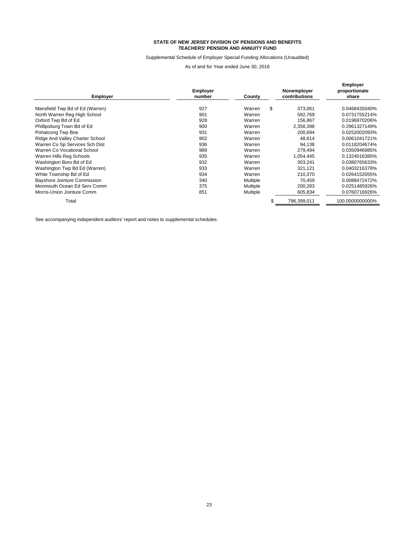#### Supplemental Schedule of Employer Special Funding Allocations (Unaudited)

As of and for Year ended June 30, 2016

| <b>Employer</b>                 | <b>Employer</b><br>number | County   | Nonemployer<br>contributions | <b>Employer</b><br>proportionate<br>share |
|---------------------------------|---------------------------|----------|------------------------------|-------------------------------------------|
|                                 | 927                       | Warren   |                              |                                           |
| Mansfield Twp Bd of Ed (Warren) |                           |          | \$<br>373,061                | 0.0468435040%                             |
| North Warren Reg High School    | 901                       | Warren   | 582.769                      | 0.0731755214%                             |
| Oxford Twp Bd of Ed             | 928                       | Warren   | 156,867                      | 0.0196970206%                             |
| Phillipsburg Town Bd of Ed      | 900                       | Warren   | 2,358,398                    | 0.2961327149%                             |
| Pohatcong Twp Boe               | 931                       | Warren   | 200,694                      | 0.0252002093%                             |
| Ridge And Valley Charter School | 902                       | Warren   | 48,614                       | 0.0061041721%                             |
| Warren Co Sp Services Sch Dist  | 936                       | Warren   | 94,138                       | 0.0118204674%                             |
| Warren Co Vocational School     | 989                       | Warren   | 279,494                      | 0.0350946985%                             |
| Warren Hills Reg Schools        | 935                       | Warren   | 1,054,445                    | 0.1324016385%                             |
| Washington Boro Bd of Ed        | 932                       | Warren   | 303,241                      | 0.0380765633%                             |
| Washington Twp Bd Ed (Warren)   | 933                       | Warren   | 321.121                      | 0.0403216378%                             |
| White Township Bd of Ed         | 934                       | Warren   | 210.370                      | 0.0264152055%                             |
| Bayshore Jointure Commission    | 340                       | Multiple | 70,459                       | 0.0088472472%                             |
| Monmouth Ocean Ed Serv Comm     | 375                       | Multiple | 200,283                      | 0.0251485926%                             |
| Morris-Union Jointure Comm      | 851                       | Multiple | 605,834                      | 0.0760716926%                             |
| Total                           |                           |          | 796,399,011                  | 100.0000000000%                           |

See accompanying independent auditors' report and notes to supplemental schedules.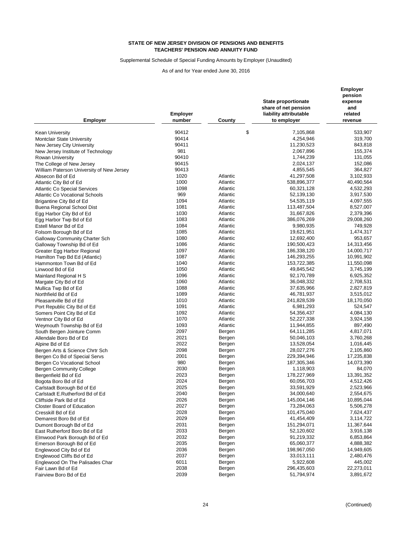## Supplemental Schedule of Special Funding Amounts by Employer (Unaudited)

| <b>Employer</b>                           | <b>Employer</b><br>number | County   | State proportionate<br>share of net pension<br>liability attributable<br>to employer | Employer<br>pension<br>expense<br>and<br>related<br>revenue |
|-------------------------------------------|---------------------------|----------|--------------------------------------------------------------------------------------|-------------------------------------------------------------|
|                                           | 90412                     | \$       | 7,105,868                                                                            | 533,907                                                     |
| <b>Kean University</b>                    | 90414                     |          | 4,254,946                                                                            | 319,700                                                     |
| <b>Montclair State University</b>         | 90411                     |          |                                                                                      |                                                             |
| New Jersey City University                |                           |          | 11,230,523                                                                           | 843,818                                                     |
| New Jersey Institute of Technology        | 981                       |          | 2,067,896<br>1,744,239                                                               | 155,374                                                     |
| <b>Rowan University</b>                   | 90410<br>90415            |          |                                                                                      | 131,055                                                     |
| The College of New Jersey                 |                           |          | 2,024,137                                                                            | 152,086                                                     |
| William Paterson University of New Jersey | 90413                     |          | 4,855,545                                                                            | 364,827                                                     |
| Absecon Bd of Ed                          | 1020                      | Atlantic | 41,297,508                                                                           | 3,102,933                                                   |
| Atlantic City Bd of Ed                    | 1000                      | Atlantic | 538,896,377                                                                          | 40,490,564                                                  |
| <b>Atlantic Co Special Services</b>       | 1098                      | Atlantic | 60,321,128                                                                           | 4,532,293                                                   |
| <b>Atlantic Co Vocational Schools</b>     | 969                       | Atlantic | 52,139,130                                                                           | 3,917,530                                                   |
| Brigantine City Bd of Ed                  | 1094                      | Atlantic | 54,535,119                                                                           | 4,097,555                                                   |
| Buena Regional School Dist                | 1081                      | Atlantic | 113,487,504                                                                          | 8,527,007                                                   |
| Egg Harbor City Bd of Ed                  | 1030                      | Atlantic | 31,667,826                                                                           | 2,379,396                                                   |
| Egg Harbor Twp Bd of Ed                   | 1083                      | Atlantic | 386,076,269                                                                          | 29,008,260                                                  |
| Estell Manor Bd of Ed                     | 1084                      | Atlantic | 9,980,935                                                                            | 749,928                                                     |
| Folsom Borough Bd of Ed                   | 1085                      | Atlantic | 19,621,951                                                                           | 1,474,317                                                   |
| <b>Galloway Community Charter Sch</b>     | 1080                      | Atlantic | 12,692,400                                                                           | 953,657                                                     |
| Galloway Township Bd of Ed                | 1086                      | Atlantic | 190,500,423                                                                          | 14,313,456                                                  |
| Greater Egg Harbor Regional               | 1097                      | Atlantic | 186,338,120                                                                          | 14,000,717                                                  |
| Hamilton Twp Bd Ed (Atlantic)             | 1087                      | Atlantic | 146,293,255                                                                          | 10,991,902                                                  |
| Hammonton Town Bd of Ed                   | 1040                      | Atlantic | 153,722,385                                                                          | 11,550,098                                                  |
| Linwood Bd of Ed                          | 1050                      | Atlantic | 49,845,542                                                                           | 3,745,199                                                   |
| Mainland Regional H S                     | 1096                      | Atlantic | 92,170,789                                                                           | 6,925,352                                                   |
| Margate City Bd of Ed                     | 1060                      | Atlantic | 36,048,332                                                                           | 2,708,531                                                   |
| Mullica Twp Bd of Ed                      | 1088                      | Atlantic | 37,635,966                                                                           | 2,827,819                                                   |
| Northfield Bd of Ed                       | 1089                      | Atlantic | 46,781,937                                                                           | 3,515,012                                                   |
| Pleasantville Bd of Ed                    | 1010                      | Atlantic | 241,828,539                                                                          | 18,170,050                                                  |
| Port Republic City Bd of Ed               | 1091                      | Atlantic | 6,981,293                                                                            | 524,547                                                     |
| Somers Point City Bd of Ed                | 1092                      | Atlantic | 54,356,437                                                                           | 4,084,130                                                   |
| Ventnor City Bd of Ed                     | 1070                      | Atlantic | 52,227,338                                                                           | 3,924,158                                                   |
| Weymouth Township Bd of Ed                | 1093                      | Atlantic | 11,944,855                                                                           | 897,490                                                     |
| South Bergen Jointure Comm                | 2097                      | Bergen   | 64,111,285                                                                           | 4,817,071                                                   |
| Allendale Boro Bd of Ed                   | 2021                      | Bergen   | 50,046,103                                                                           | 3,760,268                                                   |
| Alpine Bd of Ed                           | 2022                      | Bergen   | 13,528,054                                                                           | 1,016,445                                                   |
| Bergen Arts & Science Chrtr Sch           | 2098                      | Bergen   | 28,027,276                                                                           | 2,105,860                                                   |
| Bergen Co Bd of Special Servs             | 2001                      | Bergen   | 229,394,946                                                                          | 17,235,838                                                  |
| Bergen Co Vocational School               | 980                       | Bergen   | 187,305,346                                                                          | 14,073,390                                                  |
| <b>Bergen Community College</b>           | 2030                      | Bergen   | 1,118,903                                                                            | 84,070                                                      |
| Bergenfield Bd of Ed                      | 2023                      | Bergen   | 178,227,969                                                                          | 13,391,352                                                  |
| Bogota Boro Bd of Ed                      | 2024                      | Bergen   | 60,056,703                                                                           | 4,512,426                                                   |
| Carlstadt Borough Bd of Ed                | 2025                      | Bergen   | 33,591,929                                                                           | 2,523,966                                                   |
| Carlstadt E.Rutherford Bd of Ed           | 2040                      | Bergen   | 34,000,640                                                                           | 2,554,675                                                   |
| Cliffside Park Bd of Ed                   | 2026                      | Bergen   | 145,004,146                                                                          | 10,895,044                                                  |
| <b>Closter Board of Education</b>         | 2027                      | Bergen   | 73,284,063                                                                           | 5,506,278                                                   |
| Cresskill Bd of Ed                        | 2028                      | Bergen   | 101,475,040                                                                          | 7,624,437                                                   |
| Demarest Boro Bd of Ed                    | 2029                      | Bergen   | 41,454,409                                                                           | 3,114,722                                                   |
| Dumont Borough Bd of Ed                   | 2031                      | Bergen   | 151,294,071                                                                          | 11,367,644                                                  |
| East Rutherford Boro Bd of Ed             | 2033                      | Bergen   | 52,120,602                                                                           | 3,916,138                                                   |
| Elmwood Park Borough Bd of Ed             | 2032                      | Bergen   | 91,219,332                                                                           | 6,853,864                                                   |
| Emerson Borough Bd of Ed                  | 2035                      | Bergen   | 65,060,377                                                                           | 4,888,382                                                   |
| Englewood City Bd of Ed                   | 2036                      | Bergen   | 198,967,050                                                                          | 14,949,605                                                  |
| Englewood Cliffs Bd of Ed                 | 2037                      | Bergen   | 33,013,111                                                                           | 2,480,476                                                   |
| Englewood On The Palisades Char           | 6011                      | Bergen   | 5,922,608                                                                            | 445,002                                                     |
| Fair Lawn Bd of Ed                        | 2038                      | Bergen   | 296,435,603                                                                          | 22,273,011                                                  |
| Fairview Boro Bd of Ed                    | 2039                      | Bergen   | 51,794,974                                                                           | 3,891,672                                                   |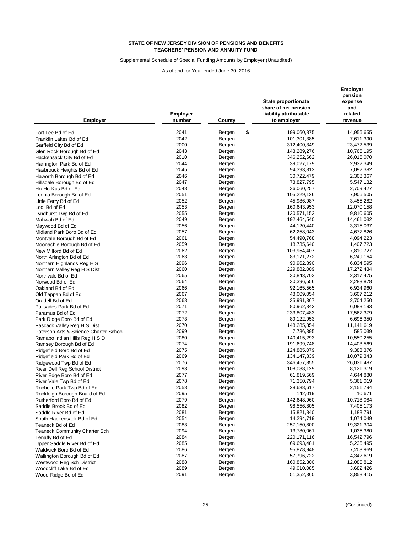Supplemental Schedule of Special Funding Amounts by Employer (Unaudited)

| <b>Employer</b>                        | <b>Employer</b><br>number | County       | State proportionate<br>share of net pension<br>liability attributable<br>to employer | <b>Employer</b><br>pension<br>expense<br>and<br>related<br>revenue |
|----------------------------------------|---------------------------|--------------|--------------------------------------------------------------------------------------|--------------------------------------------------------------------|
| Fort Lee Bd of Ed                      | 2041                      | \$<br>Bergen | 199,060,875                                                                          | 14,956,655                                                         |
|                                        | 2042                      | Bergen       | 101,301,385                                                                          | 7,611,390                                                          |
| Franklin Lakes Bd of Ed                | 2000                      | Bergen       | 312,400,349                                                                          | 23,472,539                                                         |
| Garfield City Bd of Ed                 | 2043                      | Bergen       | 143,289,276                                                                          | 10,766,195                                                         |
| Glen Rock Borough Bd of Ed             | 2010                      |              | 346,252,662                                                                          |                                                                    |
| Hackensack City Bd of Ed               | 2044                      | Bergen       |                                                                                      | 26,016,070                                                         |
| Harrington Park Bd of Ed               | 2045                      | Bergen       | 39,027,179<br>94,393,812                                                             | 2,932,349                                                          |
| Hasbrouck Heights Bd of Ed             | 2046                      | Bergen       |                                                                                      | 7,092,382                                                          |
| Haworth Borough Bd of Ed               | 2047                      | Bergen       | 30,722,479                                                                           | 2,308,367                                                          |
| Hillsdale Borough Bd of Ed             |                           | Bergen       | 73,827,795                                                                           | 5,547,132                                                          |
| Ho-Ho-Kus Bd of Ed                     | 2048                      | Bergen       | 36,060,257                                                                           | 2,709,427                                                          |
| Leonia Borough Bd of Ed                | 2051                      | Bergen       | 105,229,126                                                                          | 7,906,505                                                          |
| Little Ferry Bd of Ed                  | 2052                      | Bergen       | 45,986,987                                                                           | 3,455,282                                                          |
| Lodi Bd of Ed                          | 2053                      | Bergen       | 160,643,953                                                                          | 12,070,158                                                         |
| Lyndhurst Twp Bd of Ed                 | 2055                      | Bergen       | 130,571,153                                                                          | 9,810,605                                                          |
| Mahwah Bd of Ed                        | 2049                      | Bergen       | 192,464,540                                                                          | 14,461,032                                                         |
| Maywood Bd of Ed                       | 2056                      | Bergen       | 44,120,440                                                                           | 3,315,037                                                          |
| Midland Park Boro Bd of Ed             | 2057                      | Bergen       | 62,258,043                                                                           | 4,677,826                                                          |
| Montvale Borough Bd of Ed              | 2061                      | Bergen       | 54,490,768                                                                           | 4,094,223                                                          |
| Moonachie Borough Bd of Ed             | 2059                      | Bergen       | 18,735,640                                                                           | 1,407,723                                                          |
| New Milford Bd of Ed                   | 2062                      | Bergen       | 103,954,407                                                                          | 7,810,727                                                          |
| North Arlington Bd of Ed               | 2063                      | Bergen       | 83,171,272                                                                           | 6,249,164                                                          |
| Northern Highlands Reg H S             | 2096                      | Bergen       | 90,962,890                                                                           | 6,834,595                                                          |
| Northern Valley Reg H S Dist           | 2060                      | Bergen       | 229,882,009                                                                          | 17,272,434                                                         |
| Northvale Bd of Ed                     | 2065                      | Bergen       | 30,843,703                                                                           | 2,317,475                                                          |
| Norwood Bd of Ed                       | 2064                      | Bergen       | 30,396,556                                                                           | 2,283,878                                                          |
| Oakland Bd of Ed                       | 2066                      | Bergen       | 92,165,565                                                                           | 6,924,960                                                          |
| Old Tappan Bd of Ed                    | 2067                      | Bergen       | 48,009,054                                                                           | 3,607,212                                                          |
| Oradell Bd of Ed                       | 2068                      | Bergen       | 35,991,367                                                                           | 2,704,250                                                          |
| Palisades Park Bd of Ed                | 2071                      | Bergen       | 80,962,342                                                                           | 6,083,193                                                          |
| Paramus Bd of Ed                       | 2072                      | Bergen       | 233,807,483                                                                          | 17,567,379                                                         |
| Park Ridge Boro Bd of Ed               | 2073                      | Bergen       | 89,122,953                                                                           | 6,696,350                                                          |
| Pascack Valley Reg H S Dist            | 2070                      | Bergen       | 148,285,854                                                                          | 11,141,619                                                         |
| Paterson Arts & Science Charter School | 2099                      | Bergen       | 7,786,395                                                                            | 585,039                                                            |
| Ramapo Indian Hills Reg H S D          | 2080                      | Bergen       | 140,415,293                                                                          | 10,550,255                                                         |
| Ramsey Borough Bd of Ed                | 2074                      | Bergen       | 191,699,748                                                                          | 14,403,569                                                         |
| Ridgefield Boro Bd of Ed               | 2075                      | Bergen       | 124,885,079                                                                          | 9,383,376                                                          |
| Ridgefield Park Bd of Ed               | 2069                      | Bergen       | 134, 147, 839                                                                        | 10,079,343                                                         |
| Ridgewood Twp Bd of Ed                 | 2076                      | Bergen       | 346,457,855                                                                          | 26,031,487                                                         |
| River Dell Reg School District         | 2093                      | Bergen       | 108,088,129                                                                          | 8,121,319                                                          |
| River Edge Boro Bd of Ed               | 2077                      | Bergen       | 61,819,569                                                                           | 4,644,880                                                          |
| River Vale Twp Bd of Ed                | 2078                      | Bergen       | 71,350,794                                                                           | 5,361,019                                                          |
| Rochelle Park Twp Bd of Ed             | 2058                      | Bergen       | 28,638,617                                                                           | 2,151,794                                                          |
| Rockleigh Borough Board of Ed          | 2095                      | Bergen       | 142,019                                                                              | 10,671                                                             |
| Rutherford Boro Bd of Ed               | 2079                      | Bergen       | 142,648,960                                                                          | 10,718,084                                                         |
| Saddle Brook Bd of Ed                  | 2082                      | Bergen       | 98,556,805                                                                           | 7,405,173                                                          |
| Saddle River Bd of Ed                  | 2081                      | Bergen       | 15,821,840                                                                           | 1,188,791                                                          |
| South Hackensack Bd of Ed              | 2054                      | Bergen       | 14,294,719                                                                           | 1,074,049                                                          |
| Teaneck Bd of Ed                       | 2083                      | Bergen       | 257,150,800                                                                          | 19,321,304                                                         |
| <b>Teaneck Community Charter Sch</b>   | 2094                      | Bergen       | 13,780,061                                                                           | 1,035,380                                                          |
| Tenafly Bd of Ed                       | 2084                      | Bergen       | 220, 171, 116                                                                        | 16,542,796                                                         |
| Upper Saddle River Bd of Ed            | 2085                      | Bergen       | 69,693,481                                                                           | 5,236,495                                                          |
| Waldwick Boro Bd of Ed                 | 2086                      | Bergen       | 95,878,948                                                                           | 7,203,969                                                          |
| Wallington Borough Bd of Ed            | 2087                      | Bergen       | 57,796,722                                                                           | 4,342,619                                                          |
| Westwood Reg Sch District              | 2088                      | Bergen       | 160,852,300                                                                          | 12,085,812                                                         |
| Woodcliff Lake Bd of Ed                | 2089                      | Bergen       | 49,010,085                                                                           | 3,682,426                                                          |
| Wood-Ridge Bd of Ed                    | 2091                      | Bergen       | 51,352,360                                                                           | 3,858,415                                                          |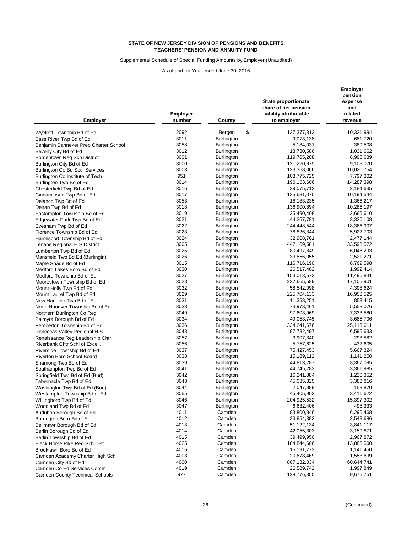Supplemental Schedule of Special Funding Amounts by Employer (Unaudited)

| <b>Employer</b>                        | <b>Employer</b><br>number | County            | <b>State proportionate</b><br>share of net pension<br>liability attributable<br>to employer | Employer<br>pension<br>expense<br>and<br>related<br>revenue |
|----------------------------------------|---------------------------|-------------------|---------------------------------------------------------------------------------------------|-------------------------------------------------------------|
| Wyckoff Township Bd of Ed              | 2092                      | \$<br>Bergen      | 137, 377, 313                                                                               | 10,321,994                                                  |
| Bass River Twp Bd of Ed                | 3011                      | <b>Burlington</b> | 9,073,138                                                                                   | 681,720                                                     |
| Benjamin Banneker Prep Charter School  | 3058                      | <b>Burlington</b> | 5,184,031                                                                                   | 389,508                                                     |
| Beverly City Bd of Ed                  | 3012                      | <b>Burlington</b> | 13,730,586                                                                                  | 1,031,662                                                   |
| Bordentown Reg Sch District            | 3001                      | <b>Burlington</b> | 119,765,208                                                                                 | 8,998,689                                                   |
| Burlington City Bd of Ed               | 3000                      | <b>Burlington</b> | 121,220,975                                                                                 | 9,108,070                                                   |
| Burlington Co Bd Spcl Services         | 3003                      | <b>Burlington</b> | 133,368,066                                                                                 | 10,020,754                                                  |
| Burlington Co Institute of Tech        | 951                       | <b>Burlington</b> | 103,775,725                                                                                 | 7,797,302                                                   |
| Burlington Twp Bd of Ed                | 3014                      | <b>Burlington</b> | 190,153,606                                                                                 | 14,287,398                                                  |
| Chesterfield Twp Bd of Ed              | 3016                      | Burlington        | 29,075,712                                                                                  | 2,184,635                                                   |
| Cinnaminson Twp Bd of Ed               | 3017                      | <b>Burlington</b> | 135,681,070                                                                                 | 10,194,544                                                  |
| Delanco Twp Bd of Ed                   | 3053                      | <b>Burlington</b> | 18,183,235                                                                                  | 1,366,217                                                   |
| Delran Twp Bd of Ed                    | 3018                      | <b>Burlington</b> | 136,900,894                                                                                 | 10,286,197                                                  |
| Eastampton Township Bd of Ed           | 3019                      | Burlington        | 35,490,408                                                                                  | 2,666,610                                                   |
| Edgewater Park Twp Bd of Ed            | 3021                      | Burlington        | 44,267,781                                                                                  | 3,326,108                                                   |
| Evesham Twp Bd of Ed                   | 3022                      | <b>Burlington</b> | 244,448,544                                                                                 | 18,366,907                                                  |
| Florence Township Bd of Ed             | 3023                      | <b>Burlington</b> | 78,826,344                                                                                  | 5,922,703                                                   |
| Hainesport Township Bd of Ed           | 3024                      | Burlington        | 32,968,761                                                                                  | 2,477,144                                                   |
| Lenape Regional H S District           | 3005                      | Burlington        | 447,169,581                                                                                 | 33,598,572                                                  |
| Lumberton Twp Bd of Ed                 | 3025                      | <b>Burlington</b> | 80,497,849                                                                                  | 6,048,293                                                   |
| Mansfield Twp Bd Ed (Burlingtn)        | 3026                      | <b>Burlington</b> | 33,556,055                                                                                  | 2,521,271                                                   |
| Maple Shade Bd of Ed                   | 3015                      | <b>Burlington</b> | 116,716,190                                                                                 | 8,769,598                                                   |
| Medford Lakes Boro Bd of Ed            | 3030                      | <b>Burlington</b> | 26,517,402                                                                                  | 1,992,414                                                   |
| Medford Township Bd of Ed              | 3027                      | <b>Burlington</b> | 153,013,572                                                                                 | 11,496,841                                                  |
| Moorestown Township Bd of Ed           | 3028                      | Burlington        | 227,665,589                                                                                 | 17,105,901                                                  |
| Mount Holly Twp Bd of Ed               | 3032                      | Burlington        | 58,542,098                                                                                  | 4,398,624                                                   |
| Mount Laurel Twp Bd of Ed              | 3029                      | <b>Burlington</b> | 225,704,133                                                                                 | 16,958,525                                                  |
| New Hanover Twp Bd of Ed               | 3031                      | Burlington        | 11,358,251                                                                                  | 853,415                                                     |
| North Hanover Township Bd of Ed        | 3033                      | <b>Burlington</b> | 73,973,461                                                                                  | 5,558,076                                                   |
| Northern Burlington Co Reg             | 3049                      | <b>Burlington</b> | 97,603,969                                                                                  | 7,333,580                                                   |
| Palmyra Borough Bd of Ed               | 3034                      | Burlington        | 49,053,745                                                                                  | 3,685,706                                                   |
| Pemberton Township Bd of Ed            | 3036                      | <b>Burlington</b> | 334,241,676                                                                                 | 25,113,611                                                  |
| Rancocas Valley Regional H S           | 3048                      | <b>Burlington</b> | 87,782,497                                                                                  | 6,595,633                                                   |
| Renaissance Reg Leadership Chtr        | 3057                      | <b>Burlington</b> | 3,907,340                                                                                   | 293,582                                                     |
| Riverbank Chtr Schl of Excell.         | 3056                      | <b>Burlington</b> | 5,757,625                                                                                   | 432,605                                                     |
| Riverside Township Bd of Ed            | 3037                      | <b>Burlington</b> | 75,427,453                                                                                  | 5,667,324                                                   |
| Riverton Boro School Board             | 3038                      | <b>Burlington</b> | 15,189,112                                                                                  | 1,141,250                                                   |
| Shamong Twp Bd of Ed                   | 3039                      | Burlington        | 44,813,287                                                                                  | 3,367,095                                                   |
| Southampton Twp Bd of Ed               | 3041                      | <b>Burlington</b> | 44,745,283                                                                                  | 3,361,985                                                   |
| Springfield Twp Bd of Ed (Burl)        | 3042                      | Burlington        | 16,241,884                                                                                  | 1,220,352                                                   |
| Tabernacle Twp Bd of Ed                | 3043                      | Burlington        | 45,035,825                                                                                  | 3,383,816                                                   |
| Washington Twp Bd of Ed (Burl)         | 3044                      | Burlington        | 2,047,889                                                                                   | 153,870                                                     |
| Westampton Township Bd of Ed           | 3055                      | <b>Burlington</b> | 45,405,902                                                                                  | 3,411,622                                                   |
| Willingboro Twp Bd of Ed               | 3046                      | Burlington        | 204,925,532                                                                                 | 15,397,302                                                  |
| Woodland Twp Bd of Ed                  | 3047                      | <b>Burlington</b> | 6,632,406                                                                                   | 498,333                                                     |
| Audubon Borough Bd of Ed               | 4011                      | Camden            | 83,800,846                                                                                  | 6,296,468                                                   |
| Barrington Boro Bd of Ed               | 4012                      | Camden            | 33,854,383                                                                                  | 2,543,686                                                   |
| Bellmawr Borough Bd of Ed              | 4013                      | Camden            | 51,122,134                                                                                  | 3,841,117                                                   |
| Berlin Borough Bd of Ed                | 4014                      | Camden            | 42,055,303                                                                                  | 3,159,871                                                   |
| Berlin Township Bd of Ed               | 4015                      | Camden            | 39,499,950                                                                                  | 2,967,872                                                   |
| Black Horse Pike Reg Sch Dist          | 4025                      | Camden            | 184,844,606                                                                                 | 13,888,500                                                  |
| Brooklawn Boro Bd of Ed                | 4016                      | Camden            | 15,191,773                                                                                  | 1,141,450                                                   |
| Camden Academy Charter High Sch        | 4003                      | Camden            | 20,678,469                                                                                  | 1,553,699                                                   |
| Camden City Bd of Ed                   | 4000                      | Camden            | 807,132,034                                                                                 | 60,644,741                                                  |
| Camden Co Ed Services Comm             | 4019                      | Camden            | 26,589,742                                                                                  | 1,997,849                                                   |
| <b>Camden County Technical Schools</b> | 977                       | Camden            | 128,776,355                                                                                 | 9,675,751                                                   |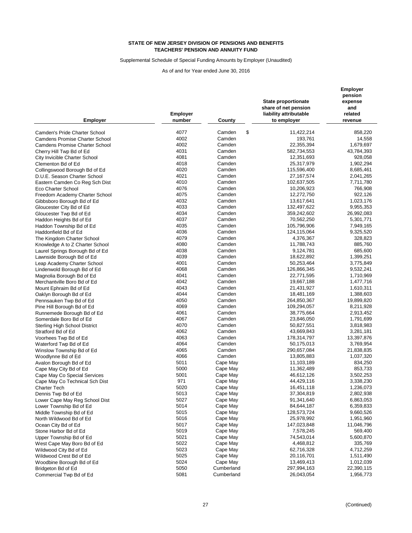Supplemental Schedule of Special Funding Amounts by Employer (Unaudited)

| Employer                              | <b>Employer</b><br>number | County           | <b>State proportionate</b><br>share of net pension<br>liability attributable<br>to employer | <b>Employer</b><br>pension<br>expense<br>and<br>related<br>revenue |
|---------------------------------------|---------------------------|------------------|---------------------------------------------------------------------------------------------|--------------------------------------------------------------------|
| Camden's Pride Charter School         | 4077                      | \$<br>Camden     | 11,422,214                                                                                  | 858.220                                                            |
| <b>Camdens Promise Charter School</b> | 4002                      | Camden           | 193,761                                                                                     | 14,558                                                             |
|                                       | 4002                      | Camden           | 22,355,394                                                                                  | 1,679,697                                                          |
| <b>Camdens Promise Charter School</b> | 4031                      | Camden           | 582,734,553                                                                                 | 43,784,393                                                         |
| Cherry Hill Twp Bd of Ed              | 4081                      | Camden           | 12,351,693                                                                                  | 928,058                                                            |
| City Invicible Charter School         | 4018                      | Camden           |                                                                                             |                                                                    |
| Clementon Bd of Ed                    | 4020                      |                  | 25,317,979<br>115,596,400                                                                   | 1,902,294                                                          |
| Collingswood Borough Bd of Ed         | 4021                      | Camden<br>Camden |                                                                                             | 8,685,461                                                          |
| D.U.E. Season Charter School          | 4010                      | Camden           | 27, 167, 574                                                                                | 2,041,265<br>7,711,780                                             |
| Eastern Camden Co Reg Sch Dist        | 4076                      | Camden           | 102,637,505                                                                                 |                                                                    |
| Eco Charter School                    | 4075                      | Camden           | 10,206,923                                                                                  | 766,908                                                            |
| Freedom Academy Charter School        | 4032                      | Camden           | 12,272,750                                                                                  | 922,126                                                            |
| Gibbsboro Borough Bd of Ed            | 4033                      |                  | 13,617,641                                                                                  | 1,023,176                                                          |
| Gloucester City Bd of Ed              | 4034                      | Camden<br>Camden | 132,497,622                                                                                 | 9,955,353                                                          |
| Gloucester Twp Bd of Ed               | 4037                      |                  | 359,242,602                                                                                 | 26,992,083                                                         |
| Haddon Heights Bd of Ed               |                           | Camden           | 70,562,250                                                                                  | 5,301,771                                                          |
| Haddon Township Bd of Ed              | 4035                      | Camden           | 105,796,906                                                                                 | 7,949,165                                                          |
| Haddonfield Bd of Ed                  | 4036                      | Camden           | 124,115,064                                                                                 | 9,325,520                                                          |
| The Kingdom Charter School            | 4079                      | Camden           | 4,376,367                                                                                   | 328,823                                                            |
| Knowledge A to Z Charter School       | 4080                      | Camden           | 11,788,743                                                                                  | 885,760                                                            |
| Laurel Springs Borough Bd of Ed       | 4038                      | Camden           | 9,124,781                                                                                   | 685,600                                                            |
| Lawnside Borough Bd of Ed             | 4039                      | Camden           | 18,622,892                                                                                  | 1,399,251                                                          |
| Leap Academy Charter School           | 4001                      | Camden           | 50,253,464                                                                                  | 3,775,849                                                          |
| Lindenwold Borough Bd of Ed           | 4068                      | Camden           | 126,866,345                                                                                 | 9,532,241                                                          |
| Magnolia Borough Bd of Ed             | 4041                      | Camden           | 22,771,595                                                                                  | 1,710,969                                                          |
| Merchantville Boro Bd of Ed           | 4042                      | Camden           | 19,667,188                                                                                  | 1,477,716                                                          |
| Mount Ephraim Bd of Ed                | 4043                      | Camden           | 21,431,927                                                                                  | 1,610,311                                                          |
| Oaklyn Borough Bd of Ed               | 4044                      | Camden           | 18,481,169                                                                                  | 1,388,603                                                          |
| Pennsauken Twp Bd of Ed               | 4050                      | Camden           | 264,850,367                                                                                 | 19,899,820                                                         |
| Pine Hill Borough Bd of Ed            | 4069                      | Camden           | 109,294,057                                                                                 | 8,211,928                                                          |
| Runnemede Borough Bd of Ed            | 4061                      | Camden           | 38,775,664                                                                                  | 2,913,452                                                          |
| Somerdale Boro Bd of Ed               | 4067                      | Camden           | 23,846,050                                                                                  | 1,791,699                                                          |
| Sterling High School District         | 4070                      | Camden           | 50,827,551                                                                                  | 3,818,983                                                          |
| Stratford Bd of Ed                    | 4062                      | Camden           | 43,669,843                                                                                  | 3,281,181                                                          |
| Voorhees Twp Bd of Ed                 | 4063                      | Camden           | 178,314,797                                                                                 | 13,397,876                                                         |
| Waterford Twp Bd of Ed                | 4064                      | Camden           | 50,175,013                                                                                  | 3,769,954                                                          |
| Winslow Township Bd of Ed             | 4065                      | Camden           | 290,657,084                                                                                 | 21,838,835                                                         |
| Woodlynne Bd of Ed                    | 4066                      | Camden           | 13,805,883                                                                                  | 1,037,320                                                          |
| Avalon Borough Bd of Ed               | 5011                      | Cape May         | 11,103,189                                                                                  | 834,250                                                            |
| Cape May City Bd of Ed                | 5000                      | Cape May         | 11,362,489                                                                                  | 853,733                                                            |
| Cape May Co Special Services          | 5001                      | Cape May         | 46,612,126                                                                                  | 3,502,253                                                          |
| Cape May Co Technical Sch Dist        | 971                       | Cape May         | 44,429,116                                                                                  | 3,338,230                                                          |
| Charter Tech                          | 5020                      | Cape May         | 16,451,118                                                                                  | 1,236,073                                                          |
| Dennis Twp Bd of Ed                   | 5013                      | Cape May         | 37,304,819                                                                                  | 2,802,938                                                          |
| Lower Cape May Reg School Dist        | 5027                      | Cape May         | 91,341,640                                                                                  | 6,863,053                                                          |
| Lower Township Bd of Ed               | 5014                      | Cape May         | 84,644,187                                                                                  | 6,359,833                                                          |
| Middle Township Bd of Ed              | 5015                      | Cape May         | 128,573,724                                                                                 | 9,660,526                                                          |
| North Wildwood Bd of Ed               | 5016                      | Cape May         | 25,978,992                                                                                  | 1,951,960                                                          |
| Ocean City Bd of Ed                   | 5017                      | Cape May         | 147,023,848                                                                                 | 11,046,796                                                         |
| Stone Harbor Bd of Ed                 | 5019                      | Cape May         | 7,578,245                                                                                   | 569,400                                                            |
| Upper Township Bd of Ed               | 5021                      | Cape May         | 74,543,014                                                                                  | 5,600,870                                                          |
| West Cape May Boro Bd of Ed           | 5022                      | Cape May         | 4,468,812                                                                                   | 335,769                                                            |
| Wildwood City Bd of Ed                | 5023                      | Cape May         | 62,716,328                                                                                  | 4,712,259                                                          |
| Wildwood Crest Bd of Ed               | 5025                      | Cape May         | 20,116,701                                                                                  | 1,511,490                                                          |
| Woodbine Borough Bd of Ed             | 5024                      | Cape May         | 13,469,413                                                                                  | 1,012,039                                                          |
| Bridgeton Bd of Ed                    | 5050                      | Cumberland       | 297,994,163                                                                                 | 22,390,115                                                         |
| Commercial Twp Bd of Ed               | 5081                      | Cumberland       | 26,043,054                                                                                  | 1,956,773                                                          |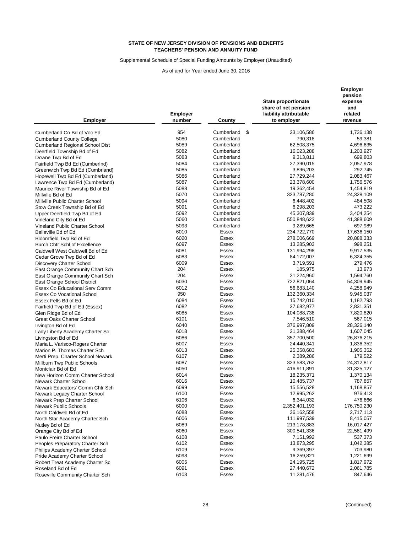Supplemental Schedule of Special Funding Amounts by Employer (Unaudited)

| Employer                          | <b>Employer</b><br>number | County           | <b>State proportionate</b><br>share of net pension<br>liability attributable<br>to employer | <b>Employer</b><br>pension<br>expense<br>and<br>related<br>revenue |
|-----------------------------------|---------------------------|------------------|---------------------------------------------------------------------------------------------|--------------------------------------------------------------------|
| Cumberland Co Bd of Voc Ed        | 954                       | \$<br>Cumberland | 23,106,586                                                                                  | 1,736,138                                                          |
|                                   | 5080                      | Cumberland       | 790,318                                                                                     | 59,381                                                             |
| <b>Cumberland County College</b>  | 5089                      |                  |                                                                                             |                                                                    |
| Cumberland Regional School Dist   |                           | Cumberland       | 62,508,375                                                                                  | 4,696,635                                                          |
| Deerfield Township Bd of Ed       | 5082<br>5083              | Cumberland       | 16,023,288                                                                                  | 1,203,927                                                          |
| Downe Twp Bd of Ed                |                           | Cumberland       | 9,313,811                                                                                   | 699,803                                                            |
| Fairfield Twp Bd Ed (CumberInd)   | 5084                      | Cumberland       | 27,390,015                                                                                  | 2,057,978                                                          |
| Greenwich Twp Bd Ed (Cumbrland)   | 5085                      | Cumberland       | 3,896,203                                                                                   | 292,745                                                            |
| Hopewell Twp Bd Ed (Cumberland)   | 5086                      | Cumberland       | 27,729,244                                                                                  | 2,083,467                                                          |
| Lawrence Twp Bd Ed (Cumberland)   | 5087                      | Cumberland       | 23,378,600                                                                                  | 1,756,576                                                          |
| Maurice River Township Bd of Ed   | 5088                      | Cumberland       | 19,362,454                                                                                  | 1,454,819                                                          |
| Millville Bd of Ed                | 5070                      | Cumberland       | 323,787,280                                                                                 | 24,328,109                                                         |
| Millville Public Charter School   | 5094                      | Cumberland       | 6,448,402                                                                                   | 484,508                                                            |
| Stow Creek Township Bd of Ed      | 5091                      | Cumberland       | 6,298,203                                                                                   | 473,222                                                            |
| Upper Deerfield Twp Bd of Ed      | 5092                      | Cumberland       | 45,307,839                                                                                  | 3,404,254                                                          |
| Vineland City Bd of Ed            | 5060                      | Cumberland       | 550,848,623                                                                                 | 41,388,609                                                         |
| Vineland Public Charter School    | 5093                      | Cumberland       | 9,289,665                                                                                   | 697,989                                                            |
| Belleville Bd of Ed               | 6010                      | Essex            | 234,722,770                                                                                 | 17,636,150                                                         |
| Bloomfield Twp Bd of Ed           | 6020                      | Essex            | 278,006,669                                                                                 | 20,888,333                                                         |
| Burch Chtr Schl of Excellence     | 6097                      | Essex            | 13,285,903                                                                                  | 998,251                                                            |
| Caldwell West Caldwell Bd of Ed   | 6081                      | Essex            | 131,994,298                                                                                 | 9,917,535                                                          |
| Cedar Grove Twp Bd of Ed          | 6083                      | Essex            | 84,172,007                                                                                  | 6,324,355                                                          |
| Discovery Charter School          | 6009                      | Essex            | 3,719,591                                                                                   | 279,476                                                            |
| East Orange Community Chart Sch   | 204                       | Essex            | 185,975                                                                                     | 13,973                                                             |
| East Orange Community Chart Sch   | 204                       | Essex            | 21,224,960                                                                                  | 1,594,760                                                          |
| East Orange School District       | 6030                      | Essex            | 722,821,064                                                                                 | 54,309,945                                                         |
| Essex Co Educational Serv Comm    | 6012                      | Essex            | 56,683,140                                                                                  | 4,258,949                                                          |
| Essex Co Vocational School        | 950                       | Essex            | 132,360,334                                                                                 | 9,945,037                                                          |
| Essex Fells Bd of Ed              | 6084                      | Essex            | 15,742,010                                                                                  | 1,182,793                                                          |
| Fairfield Twp Bd of Ed (Essex)    | 6082                      | Essex            | 37,682,977                                                                                  | 2,831,351                                                          |
| Glen Ridge Bd of Ed               | 6085                      | Essex            | 104,088,738                                                                                 | 7,820,820                                                          |
| <b>Great Oaks Charter School</b>  | 6101                      | Essex            | 7,546,510                                                                                   | 567,015                                                            |
| Irvington Bd of Ed                | 6040                      | Essex            | 376,997,809                                                                                 | 28,326,140                                                         |
| Lady Liberty Academy Charter Sc   | 6018                      | Essex            | 21,388,464                                                                                  | 1,607,045                                                          |
| Livingston Bd of Ed               | 6086                      | Essex            | 357,700,500                                                                                 | 26,876,215                                                         |
| Maria L. Varisco-Rogers Charter   | 6007                      | Essex            | 24,440,341                                                                                  | 1,836,352                                                          |
| Marion P. Thomas Charter Sch      | 6013                      | Essex            | 25,358,683                                                                                  | 1,905,352                                                          |
| Merti Prep. Charter School Newark | 6107                      | Essex            | 2,389,286                                                                                   | 179,522                                                            |
| Millburn Twp Public Schools       | 6087                      | Essex            | 323,583,762                                                                                 | 24,312,817                                                         |
| Montclair Bd of Ed                | 6050                      | Essex            | 416,911,891                                                                                 | 31,325,127                                                         |
| New Horizon Comm Charter School   | 6014                      | Essex            | 18,235,371                                                                                  | 1,370,134                                                          |
| Newark Charter School             | 6016                      | Essex            | 10,485,737                                                                                  | 787,857                                                            |
| Newark Educators' Comm Chtr Sch   | 6099                      | Essex            | 15,556,528                                                                                  | 1,168,857                                                          |
| Newark Legacy Charter School      | 6100                      | Essex            | 12,995,262                                                                                  | 976,413                                                            |
| Newark Prep Charter School        | 6106                      | Essex            | 6,344,032                                                                                   | 476,666                                                            |
| Newark Public Schools             | 6000                      | Essex            | 2,352,401,193                                                                               | 176,750,230                                                        |
| North Caldwell Bd of Ed           | 6088                      | Essex            | 36,162,558                                                                                  | 2,717,113                                                          |
| North Star Academy Charter Sch    | 6006                      | Essex            | 111,997,539                                                                                 | 8,415,057                                                          |
| Nutley Bd of Ed                   | 6089                      | Essex            | 213,178,883                                                                                 | 16,017,427                                                         |
| Orange City Bd of Ed              | 6060                      | Essex            | 300,541,336                                                                                 | 22,581,499                                                         |
| Paulo Freire Charter School       | 6108                      | Essex            | 7,151,992                                                                                   | 537,373                                                            |
| Peoples Preparatory Charter Sch   | 6102                      | Essex            | 13,873,295                                                                                  | 1,042,385                                                          |
| Philips Academy Charter School    | 6109                      | Essex            | 9,369,397                                                                                   | 703,980                                                            |
| Pride Academy Charter School      | 6098                      | Essex            | 16,259,821                                                                                  | 1,221,699                                                          |
| Robert Treat Academy Charter Sc   | 6005                      | Essex            | 24,195,725                                                                                  | 1,817,972                                                          |
| Roseland Bd of Ed                 | 6091                      | Essex            | 27,440,672                                                                                  | 2,061,785                                                          |
| Roseville Community Charter Sch   | 6103                      | Essex            | 11,281,476                                                                                  | 847,646                                                            |
|                                   |                           |                  |                                                                                             |                                                                    |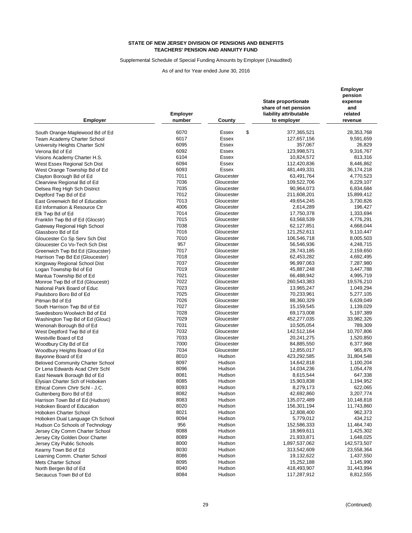Supplemental Schedule of Special Funding Amounts by Employer (Unaudited)

As of and for Year ended June 30, 2016

|                                                      | <b>Employer</b> |                  | State proportionate<br>share of net pension<br>liability attributable | pension<br>expense<br>and<br>related |  |
|------------------------------------------------------|-----------------|------------------|-----------------------------------------------------------------------|--------------------------------------|--|
| <b>Employer</b>                                      | number          | County           | to employer                                                           | revenue                              |  |
| South Orange-Maplewood Bd of Ed                      | 6070            | \$<br>Essex      | 377,365,521                                                           | 28,353,768                           |  |
| Team Academy Charter School                          | 6017            | Essex            | 127,657,156                                                           | 9,591,659                            |  |
| University Heights Charter Schl                      | 6095            | Essex            | 357,067                                                               | 26,829                               |  |
| Verona Bd of Ed                                      | 6092            | Essex            | 123,998,571                                                           | 9,316,767                            |  |
| Visions Academy Charter H.S.                         | 6104            | Essex            | 10,824,572                                                            | 813,316                              |  |
| West Essex Regional Sch Dist                         | 6094            | Essex            | 112,420,836                                                           | 8,446,862                            |  |
| West Orange Township Bd of Ed                        | 6093            | Essex            | 481,449,331                                                           | 36,174,218                           |  |
| Clayton Borough Bd of Ed                             | 7011            | Gloucester       | 63,491,764                                                            | 4,770,523                            |  |
| Clearview Regional Bd of Ed                          | 7036            | Gloucester       | 109,522,706                                                           | 8,229,107                            |  |
| Delsea Reg High Sch District                         | 7035            | Gloucester       | 90,964,073                                                            | 6,834,684                            |  |
| Deptford Twp Bd of Ed                                | 7012            | Gloucester       | 211,608,201                                                           | 15,899,412                           |  |
| East Greenwich Bd of Education                       | 7013            | Gloucester       | 49,654,245                                                            | 3,730,826                            |  |
| Ed Information & Resource Ctr                        | 4006            | Gloucester       | 2,614,289                                                             | 196,427                              |  |
| Elk Twp Bd of Ed                                     | 7014            | Gloucester       | 17,750,378                                                            | 1,333,694                            |  |
| Franklin Twp Bd of Ed (Glocstr)                      | 7015            | Gloucester       | 63,568,539                                                            | 4,776,291                            |  |
| Gateway Regional High School                         | 7038            | Gloucester       | 62,127,851                                                            | 4,668,044                            |  |
| Glassboro Bd of Ed                                   | 7016            | Gloucester       | 121,252,611                                                           | 9,110,447                            |  |
| Gloucester Co Sp Serv Sch Dist                       | 7010            | Gloucester       | 106,546,718                                                           | 8,005,503                            |  |
| Gloucester Co Vo-Tech Sch Dist                       | 957             | Gloucester       | 56,546,936                                                            | 4,248,715                            |  |
| Greenwich Twp Bd Ed (Gloucster)                      | 7017            | Gloucester       | 28,743,185                                                            | 2,159,650                            |  |
| Harrison Twp Bd Ed (Gloucester)                      | 7018            | Gloucester       | 62,453,282                                                            | 4,692,495                            |  |
| Kingsway Regional School Dist                        | 7037            | Gloucester       | 96,997,063                                                            | 7,287,980                            |  |
| Logan Township Bd of Ed                              | 7019            | Gloucester       | 45,887,248                                                            | 3,447,788                            |  |
| Mantua Township Bd of Ed                             | 7021            | Gloucester       | 66,488,942                                                            | 4,995,719                            |  |
| Monroe Twp Bd of Ed (Gloucestr)                      | 7022            | Gloucester       | 260,543,383                                                           | 19,576,210                           |  |
| National Park Board of Educ                          | 7023            | Gloucester       | 13,965,247                                                            | 1,049,294                            |  |
| Paulsboro Boro Bd of Ed                              | 7025            | Gloucester       | 70,233,961                                                            | 5,277,105                            |  |
| Pitman Bd of Ed                                      | 7026            | Gloucester       | 88,360,329                                                            | 6,639,049                            |  |
| South Harrison Twp Bd of Ed                          | 7027            | Gloucester       | 15,159,545                                                            | 1,139,029                            |  |
| Swedesboro Woolwich Bd of Ed                         | 7028            | Gloucester       | 69,173,008                                                            | 5,197,389                            |  |
| Washington Twp Bd of Ed (Glouc)                      | 7029            | Gloucester       | 452,277,035                                                           | 33,982,326                           |  |
| Wenonah Borough Bd of Ed                             | 7031            | Gloucester       | 10,505,054                                                            | 789,309                              |  |
| West Deptford Twp Bd of Ed                           | 7032            | Gloucester       | 142,512,164                                                           | 10,707,806                           |  |
| Westville Board of Ed                                | 7033            | Gloucester       | 20,241,275                                                            | 1,520,850                            |  |
| Woodbury City Bd of Ed                               | 7000            | Gloucester       | 84,885,550                                                            | 6,377,968                            |  |
| Woodbury Heights Board of Ed                         | 7034            | Gloucester       | 12,855,017                                                            | 965,876                              |  |
| Bayonne Board of Ed                                  | 8010            | Hudson           | 423,292,585                                                           | 31,804,548                           |  |
| <b>Beloved Community Charter School</b>              | 8097            | Hudson           | 14,642,818                                                            | 1,100,204                            |  |
| Dr Lena Edwards Acad Chrtr Schl                      | 8096            | Hudson           | 14,034,236                                                            | 1,054,478                            |  |
| East Newark Borough Bd of Ed                         | 8081            | Hudson           | 8,615,544                                                             | 647,338                              |  |
| Elysian Charter Sch of Hoboken                       | 8085            | Hudson           | 15,903,838                                                            | 1,194,952                            |  |
| Ethical Comm Chrtr Schl - J.C.                       | 8093            | Hudson           | 8,279,173                                                             | 622,065                              |  |
| Guttenberg Boro Bd of Ed                             | 8082            | Hudson           | 42,692,860                                                            | 3,207,774                            |  |
| Harrison Town Bd of Ed (Hudson)                      | 8083            | Hudson           | 135,072,489                                                           | 10,148,818                           |  |
| Hoboken Board of Education                           | 8020            | Hudson           | 156,301,194                                                           | 11,743,860                           |  |
| Hoboken Charter School                               | 8021            | Hudson           | 12,808,400                                                            | 962,373                              |  |
| Hoboken Dual Language Ch School                      | 8094<br>956     | Hudson           | 5,779,012                                                             | 434,212                              |  |
| Hudson Co Schools of Technology                      | 8088            | Hudson           | 152,586,333                                                           | 11,464,740                           |  |
| Jersey City Comm Charter School                      |                 | Hudson           | 18,969,611                                                            | 1,425,302                            |  |
| Jersey City Golden Door Charter                      | 8089            | Hudson<br>Hudson | 21,933,871                                                            | 1,648,025<br>142,573,507             |  |
| Jersey City Public Schools                           | 8000<br>8030    | Hudson           | 1,897,537,062                                                         | 23,558,364                           |  |
| Kearny Town Bd of Ed                                 | 8086            | Hudson           | 313,542,609<br>19,132,622                                             | 1,437,550                            |  |
| Learning Comm. Charter School<br>Mets Charter School | 8095            | Hudson           | 15,252,188                                                            | 1,145,990                            |  |
| North Bergen Bd of Ed                                | 8040            | Hudson           | 418,493,907                                                           | 31,443,994                           |  |
| Secaucus Town Bd of Ed                               | 8084            | Hudson           | 117,287,912                                                           | 8,812,555                            |  |
|                                                      |                 |                  |                                                                       |                                      |  |

**Employer**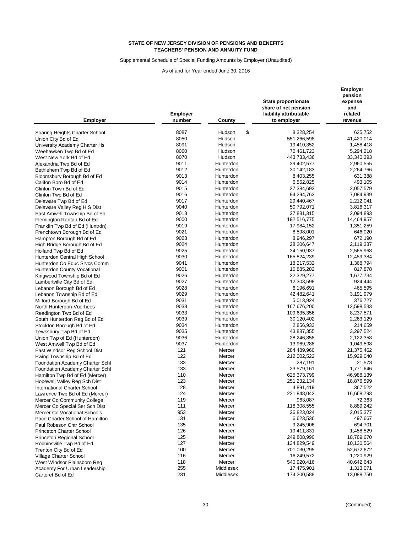Supplemental Schedule of Special Funding Amounts by Employer (Unaudited)

| <b>Employer</b>                 | <b>Employer</b><br>number | County       | State proportionate<br>share of net pension<br>liability attributable<br>to employer | <b>Employer</b><br>pension<br>expense<br>and<br>related<br>revenue |
|---------------------------------|---------------------------|--------------|--------------------------------------------------------------------------------------|--------------------------------------------------------------------|
| Soaring Heights Charter School  | 8087                      | \$<br>Hudson | 8,328,254                                                                            | 625,752                                                            |
|                                 | 8050                      | Hudson       | 551,266,598                                                                          | 41,420,014                                                         |
| Union City Bd of Ed             | 8091                      | Hudson       | 19,410,352                                                                           | 1,458,418                                                          |
| University Academy Charter Hs   | 8060                      | Hudson       | 70,461,723                                                                           | 5,294,218                                                          |
| Weehawken Twp Bd of Ed          | 8070                      | Hudson       | 443,733,436                                                                          | 33,340,393                                                         |
| West New York Bd of Ed          | 9011                      | Hunterdon    |                                                                                      |                                                                    |
| Alexandria Twp Bd of Ed         |                           | Hunterdon    | 39,402,577                                                                           | 2,960,555                                                          |
| Bethlehem Twp Bd of Ed          | 9012<br>9013              | Hunterdon    | 30,142,183                                                                           | 2,264,766                                                          |
| Bloomsbury Borough Bd of Ed     |                           |              | 8,403,255                                                                            | 631,388                                                            |
| Califon Boro Bd of Ed           | 9014                      | Hunterdon    | 6,562,825                                                                            | 493,105                                                            |
| Clinton Town Bd of Ed           | 9015                      | Hunterdon    | 27,384,693                                                                           | 2,057,579                                                          |
| Clinton Twp Bd of Ed            | 9016                      | Hunterdon    | 94,294,763                                                                           | 7,084,939                                                          |
| Delaware Twp Bd of Ed           | 9017                      | Hunterdon    | 29,440,467                                                                           | 2,212,041                                                          |
| Delaware Valley Reg H S Dist    | 9040                      | Hunterdon    | 50,792,071                                                                           | 3,816,317                                                          |
| East Amwell Township Bd of Ed   | 9018                      | Hunterdon    | 27,881,315                                                                           | 2,094,893                                                          |
| Flemington Raritan Bd of Ed     | 9000                      | Hunterdon    | 192,516,775                                                                          | 14,464,957                                                         |
| Franklin Twp Bd of Ed (Huntrdn) | 9019                      | Hunterdon    | 17,984,152                                                                           | 1,351,259                                                          |
| Frenchtown Borough Bd of Ed     | 9021                      | Hunterdon    | 8,598,001                                                                            | 646,020                                                            |
| Hampton Borough Bd of Ed        | 9023                      | Hunterdon    | 8,946,297                                                                            | 672,190                                                            |
| High Bridge Borough Bd of Ed    | 9024                      | Hunterdon    | 28,206,647                                                                           | 2,119,337                                                          |
| Holland Twp Bd of Ed            | 9025                      | Hunterdon    | 34,150,937                                                                           | 2,565,968                                                          |
| Hunterdon Central High School   | 9030                      | Hunterdon    | 165,824,239                                                                          | 12,459,384                                                         |
| Hunterdon Co Educ Srvcs Comm    | 9041                      | Hunterdon    | 18,217,532                                                                           | 1,368,794                                                          |
| Hunterdon County Vocational     | 9001                      | Hunterdon    | 10,885,282                                                                           | 817,878                                                            |
| Kingwood Township Bd of Ed      | 9026                      | Hunterdon    | 22,329,277                                                                           | 1,677,734                                                          |
| Lambertville City Bd of Ed      | 9027                      | Hunterdon    | 12,303,598                                                                           | 924,444                                                            |
| Lebanon Borough Bd of Ed        | 9028                      | Hunterdon    | 6,196,691                                                                            | 465,595                                                            |
| Lebanon Township Bd of Ed       | 9029                      | Hunterdon    | 42,482,641                                                                           | 3,191,979                                                          |
| Milford Borough Bd of Ed        | 9031                      | Hunterdon    | 5,013,924                                                                            | 376,727                                                            |
| North Hunterdon-Voorhees        | 9038                      | Hunterdon    | 167,676,200                                                                          | 12,598,533                                                         |
| Readington Twp Bd of Ed         | 9033                      | Hunterdon    | 109,635,356                                                                          | 8,237,571                                                          |
| South Hunterdon Reg Bd of Ed    | 9039                      | Hunterdon    | 30,120,402                                                                           | 2,263,129                                                          |
| Stockton Borough Bd of Ed       | 9034                      | Hunterdon    | 2,856,933                                                                            | 214,659                                                            |
| Tewksbury Twp Bd of Ed          | 9035                      | Hunterdon    | 43,887,355                                                                           | 3,297,524                                                          |
| Union Twp of Ed (Hunterdon)     | 9036                      | Hunterdon    | 28,246,858                                                                           | 2,122,358                                                          |
| West Amwell Twp Bd of Ed        | 9037                      | Hunterdon    | 13,969,288                                                                           | 1,049,598                                                          |
| East Windsor Reg School Dist    | 121                       | Mercer       | 284,489,960                                                                          | 21,375,462                                                         |
| Ewing Township Bd of Ed         | 122                       | Mercer       | 212,002,522                                                                          | 15,929,040                                                         |
| Foundation Academy Charter Schl | 133                       | Mercer       | 287,191                                                                              | 21,578                                                             |
| Foundation Academy Charter Schl | 133                       | Mercer       | 23,579,161                                                                           | 1,771,646                                                          |
| Hamilton Twp Bd of Ed (Mercer)  | 110                       | Mercer       | 625,373,799                                                                          | 46,988,139                                                         |
| Hopewell Valley Reg Sch Dist    | 123                       | Mercer       | 251,232,134                                                                          | 18,876,599                                                         |
| International Charter School    | 128                       | Mercer       | 4,891,419                                                                            | 367,522                                                            |
| Lawrence Twp Bd of Ed (Mercer)  | 124                       | Mercer       | 221,848,042                                                                          | 16,668,793                                                         |
| Mercer Co Community College     | 119                       | Mercer       | 963,087                                                                              | 72,363                                                             |
| Mercer Co Special Ser Sch Dist  | 111                       | Mercer       | 118,308,555                                                                          | 8,889,242                                                          |
| Mercer Co Vocational Schools    | 953                       | Mercer       | 26,823,024                                                                           | 2,015,377                                                          |
| Pace Charter School of Hamilton | 131                       | Mercer       | 6,623,536                                                                            | 497,667                                                            |
| Paul Robeson Chtr School        | 135                       | Mercer       | 9,245,906                                                                            | 694,701                                                            |
| <b>Princeton Charter School</b> | 126                       | Mercer       | 19,411,831                                                                           | 1,458,529                                                          |
| Princeton Regional School       | 125                       | Mercer       | 249,808,990                                                                          | 18,769,670                                                         |
| Robbinsville Twp Bd of Ed       | 127                       | Mercer       | 134,829,549                                                                          | 10,130,564                                                         |
| Trenton City Bd of Ed           | 100                       | Mercer       | 701,030,295                                                                          | 52,672,672                                                         |
| Village Charter School          | 116                       | Mercer       | 16,249,572                                                                           | 1,220,929                                                          |
| West Windsor Plainsboro Reg     | 118                       | Mercer       | 540,920,416                                                                          | 40,642,643                                                         |
| Academy For Urban Leadership    | 255                       | Middlesex    | 17,475,901                                                                           | 1,313,071                                                          |
| Carteret Bd of Ed               | 231                       | Middlesex    | 174,200,588                                                                          | 13,088,750                                                         |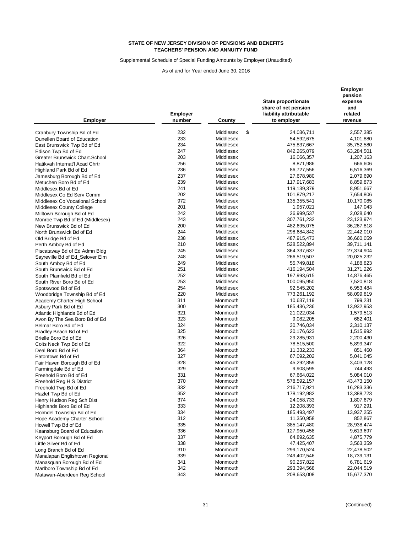Supplemental Schedule of Special Funding Amounts by Employer (Unaudited)

| <b>Employer</b>                                              | <b>Employer</b><br>number | County          | State proportionate<br>share of net pension<br>liability attributable<br>to employer | <b>Employer</b><br>pension<br>expense<br>and<br>related<br>revenue |
|--------------------------------------------------------------|---------------------------|-----------------|--------------------------------------------------------------------------------------|--------------------------------------------------------------------|
| Cranbury Township Bd of Ed                                   | 232                       | \$<br>Middlesex | 34,036,711                                                                           | 2,557,385                                                          |
| Dunellen Board of Education                                  | 233                       | Middlesex       | 54,592,675                                                                           | 4,101,880                                                          |
|                                                              | 234                       | Middlesex       | 475,837,667                                                                          | 35,752,580                                                         |
| East Brunswick Twp Bd of Ed                                  | 247                       | Middlesex       | 842,265,079                                                                          | 63,284,501                                                         |
| Edison Twp Bd of Ed<br><b>Greater Brunswick Chart.School</b> | 203                       | Middlesex       | 16,066,357                                                                           | 1,207,163                                                          |
|                                                              |                           |                 |                                                                                      |                                                                    |
| Hatikvah Internat'l Acad Chrtr                               | 256                       | Middlesex       | 8,871,986                                                                            | 666,606                                                            |
| Highland Park Bd of Ed                                       | 236                       | Middlesex       | 86,727,556                                                                           | 6,516,369                                                          |
| Jamesburg Borough Bd of Ed                                   | 237                       | Middlesex       | 27,678,980                                                                           | 2,079,690                                                          |
| Metuchen Boro Bd of Ed                                       | 239                       | Middlesex       | 117,917,683                                                                          | 8,859,873                                                          |
| Middlesex Bd of Ed                                           | 241                       | Middlesex       | 119,139,379                                                                          | 8,951,667                                                          |
| Middlesex Co Ed Serv Comm                                    | 202                       | Middlesex       | 101,879,217                                                                          | 7,654,806                                                          |
| Middlesex Co Vocational School                               | 972                       | Middlesex       | 135,355,541                                                                          | 10,170,085                                                         |
| Middlesex County College                                     | 201                       | Middlesex       | 1,957,021                                                                            | 147,043                                                            |
| Milltown Borough Bd of Ed                                    | 242                       | Middlesex       | 26,999,537                                                                           | 2,028,640                                                          |
| Monroe Twp Bd of Ed (Middlesex)                              | 243                       | Middlesex       | 307,761,232                                                                          | 23,123,974                                                         |
| New Brunswick Bd of Ed                                       | 200                       | Middlesex       | 482,695,075                                                                          | 36,267,818                                                         |
| North Brunswick Bd of Ed                                     | 244                       | Middlesex       | 298,684,842                                                                          | 22,442,010                                                         |
| Old Bridge Bd of Ed                                          | 238                       | Middlesex       | 487,915,473                                                                          | 36,660,059                                                         |
| Perth Amboy Bd of Ed                                         | 210                       | Middlesex       | 528,522,894                                                                          | 39,711,141                                                         |
| Piscataway Bd of Ed Admn Bldg                                | 245                       | Middlesex       | 364,337,637                                                                          | 27,374,904                                                         |
| Sayreville Bd of Ed_Selover Elm                              | 248                       | Middlesex       | 266,519,507                                                                          | 20,025,232                                                         |
| South Amboy Bd of Ed                                         | 249                       | Middlesex       | 55,749,818                                                                           | 4,188,823                                                          |
| South Brunswick Bd of Ed                                     | 251                       | Middlesex       | 416,194,504                                                                          | 31,271,226                                                         |
| South Plainfield Bd of Ed                                    | 252                       | Middlesex       | 197,993,615                                                                          | 14,876,465                                                         |
| South River Boro Bd of Ed                                    | 253                       | Middlesex       | 100,095,950                                                                          | 7,520,818                                                          |
| Spotswood Bd of Ed                                           | 254                       | Middlesex       | 92,545,202                                                                           | 6,953,484                                                          |
| Woodbridge Township Bd of Ed                                 | 220                       | Middlesex       | 773,261,192                                                                          | 58,099,819                                                         |
| Academy Charter High School                                  | 311                       | Monmouth        | 10,637,119                                                                           | 799,231                                                            |
| Asbury Park Bd of Ed                                         | 300                       | Monmouth        | 185,436,236                                                                          | 13,932,953                                                         |
| Atlantic Highlands Bd of Ed                                  | 321                       | Monmouth        | 21,022,034                                                                           | 1,579,513                                                          |
| Avon By The Sea Boro Bd of Ed                                | 323                       | Monmouth        | 9,082,205                                                                            | 682,401                                                            |
| Belmar Boro Bd of Ed                                         | 324                       | Monmouth        | 30,746,034                                                                           | 2,310,137                                                          |
| Bradley Beach Bd of Ed                                       | 325                       | Monmouth        | 20,176,623                                                                           | 1,515,992                                                          |
| Brielle Boro Bd of Ed                                        | 326                       | Monmouth        | 29,285,931                                                                           | 2,200,430                                                          |
| Colts Neck Twp Bd of Ed                                      | 322                       | Monmouth        | 78,515,500                                                                           | 5,899,347                                                          |
| Deal Boro Bd of Ed                                           | 364                       | Monmouth        | 11,332,233                                                                           | 851,460                                                            |
| Eatontown Bd of Ed                                           | 327                       | Monmouth        | 67,092,202                                                                           | 5,041,045                                                          |
| Fair Haven Borough Bd of Ed                                  | 328                       | Monmouth        | 45,292,859                                                                           | 3,403,128                                                          |
| Farmingdale Bd of Ed                                         | 329                       | Monmouth        | 9,908,595                                                                            | 744,493                                                            |
| Freehold Boro Bd of Ed                                       | 331                       | Monmouth        | 67,664,022                                                                           | 5,084,010                                                          |
| Freehold Reg H S District                                    | 370                       | Monmouth        | 578,592,157                                                                          | 43,473,150                                                         |
| Freehold Twp Bd of Ed                                        | 332                       | Monmouth        | 216,717,921                                                                          | 16,283,336                                                         |
| Hazlet Twp Bd of Ed                                          | 352                       | Monmouth        | 178,192,982                                                                          | 13,388,723                                                         |
| Henry Hudson Reg Sch Dist                                    | 374                       | Monmouth        | 24,058,733                                                                           | 1,807,679                                                          |
| Highlands Boro Bd of Ed                                      | 333                       | Monmouth        | 12,208,393                                                                           | 917,291                                                            |
| Holmdel Township Bd of Ed                                    | 334                       | Monmouth        | 185,493,497                                                                          | 13,937,255                                                         |
| Hope Academy Charter School                                  | 312                       | Monmouth        | 11,350,958                                                                           | 852,867                                                            |
| Howell Twp Bd of Ed                                          | 335                       | Monmouth        | 385,147,480                                                                          | 28,938,474                                                         |
| Keansburg Board of Education                                 | 336                       | Monmouth        | 127,950,458                                                                          | 9,613,697                                                          |
| Keyport Borough Bd of Ed                                     | 337                       | Monmouth        | 64,892,635                                                                           | 4,875,779                                                          |
| Little Silver Bd of Ed                                       | 338                       | Monmouth        | 47,425,407                                                                           | 3,563,359                                                          |
| Long Branch Bd of Ed                                         | 310                       | Monmouth        | 299,170,524                                                                          | 22,478,502                                                         |
| Manalapan Englishtown Regional                               | 339                       | Monmouth        | 249,402,546                                                                          | 18,739,131                                                         |
| Manasquan Borough Bd of Ed                                   | 341                       | Monmouth        | 90,257,822                                                                           | 6,781,619                                                          |
|                                                              | 342                       | Monmouth        | 293,394,568                                                                          | 22,044,519                                                         |
| Marlboro Township Bd of Ed                                   | 343                       | Monmouth        | 208,653,008                                                                          | 15,677,370                                                         |
| Matawan-Aberdeen Reg School                                  |                           |                 |                                                                                      |                                                                    |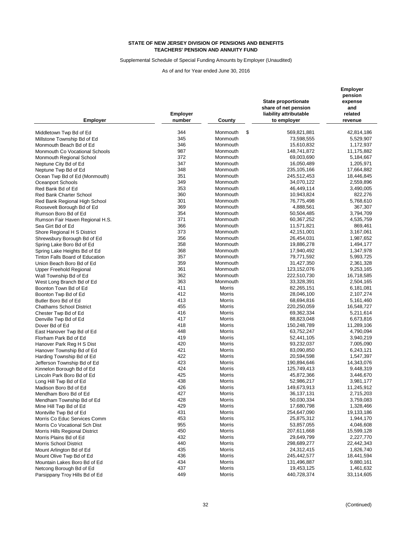Supplemental Schedule of Special Funding Amounts by Employer (Unaudited)

| <b>Employer</b>                        | <b>Employer</b><br>number | County         | <b>State proportionate</b><br>share of net pension<br>liability attributable<br>to employer | Employer<br>pension<br>expense<br>and<br>related<br>revenue |
|----------------------------------------|---------------------------|----------------|---------------------------------------------------------------------------------------------|-------------------------------------------------------------|
| Middletown Twp Bd of Ed                | 344                       | \$<br>Monmouth | 569,821,881                                                                                 | 42,814,186                                                  |
|                                        | 345                       | Monmouth       | 73,598,555                                                                                  | 5,529,907                                                   |
| Millstone Township Bd of Ed            | 346                       |                |                                                                                             |                                                             |
| Monmouth Beach Bd of Ed                |                           | Monmouth       | 15,610,832                                                                                  | 1,172,937                                                   |
| Monmouth Co Vocational Schools         | 987                       | Monmouth       | 148,741,872                                                                                 | 11,175,882                                                  |
| Monmouth Regional School               | 372                       | Monmouth       | 69,003,690                                                                                  | 5,184,667                                                   |
| Neptune City Bd of Ed                  | 347                       | Monmouth       | 16,050,489                                                                                  | 1,205,971                                                   |
| Neptune Twp Bd of Ed                   | 348                       | Monmouth       | 235,105,166                                                                                 | 17,664,882                                                  |
| Ocean Twp Bd of Ed (Monmouth)          | 351                       | Monmouth       | 245,512,453                                                                                 | 18,446,845                                                  |
| Oceanport Schools                      | 349                       | Monmouth       | 34,070,122                                                                                  | 2,559,896                                                   |
| Red Bank Bd of Ed                      | 353                       | Monmouth       | 46,449,114                                                                                  | 3,490,005                                                   |
| <b>Red Bank Charter School</b>         | 360                       | Monmouth       | 10,943,824                                                                                  | 822,276                                                     |
| Red Bank Regional High School          | 301                       | Monmouth       | 76,775,498                                                                                  | 5,768,610                                                   |
| Roosevelt Borough Bd of Ed             | 369                       | Monmouth       | 4,888,561                                                                                   | 367,307                                                     |
| Rumson Boro Bd of Ed                   | 354                       | Monmouth       | 50,504,485                                                                                  | 3,794,709                                                   |
| Rumson Fair Haven Regional H.S.        | 371                       | Monmouth       | 60,367,252                                                                                  | 4,535,759                                                   |
| Sea Girt Bd of Ed                      | 366                       | Monmouth       | 11,571,821                                                                                  | 869,461                                                     |
| Shore Regional H S District            | 373                       | Monmouth       | 42,151,001                                                                                  | 3,167,061                                                   |
| Shrewsbury Borough Bd of Ed            | 356                       | Monmouth       | 26,454,031                                                                                  | 1,987,652                                                   |
| Spring Lake Boro Bd of Ed              | 358                       | Monmouth       | 19,886,278                                                                                  | 1,494,177                                                   |
| Spring Lake Heights Bd of Ed           | 368                       | Monmouth       | 17,940,492                                                                                  | 1,347,978                                                   |
| <b>Tinton Falls Board of Education</b> | 357                       | Monmouth       | 79,771,592                                                                                  | 5,993,725                                                   |
| Union Beach Boro Bd of Ed              | 359                       | Monmouth       | 31,427,350                                                                                  | 2,361,328                                                   |
| <b>Upper Freehold Regional</b>         | 361                       | Monmouth       | 123,152,076                                                                                 | 9,253,165                                                   |
| Wall Township Bd of Ed                 | 362                       | Monmouth       | 222,510,730                                                                                 | 16,718,585                                                  |
| West Long Branch Bd of Ed              | 363                       | Monmouth       | 33,328,391                                                                                  | 2,504,165                                                   |
| Boonton Town Bd of Ed                  | 411                       | Morris         | 82,265,151                                                                                  | 6,181,081                                                   |
| Boonton Twp Bd of Ed                   | 412                       | <b>Morris</b>  | 28,046,100                                                                                  | 2,107,274                                                   |
| Butler Boro Bd of Ed                   | 413                       | Morris         | 68,694,816                                                                                  | 5,161,460                                                   |
| <b>Chathams School District</b>        | 455                       | Morris         | 220,250,059                                                                                 | 16,548,727                                                  |
| Chester Twp Bd of Ed                   | 416                       | Morris         | 69,362,334                                                                                  | 5,211,614                                                   |
| Denville Twp Bd of Ed                  | 417                       | Morris         | 88,823,048                                                                                  | 6,673,816                                                   |
| Dover Bd of Ed                         | 418                       | <b>Morris</b>  | 150,248,789                                                                                 | 11,289,106                                                  |
| East Hanover Twp Bd of Ed              | 448                       | <b>Morris</b>  | 63,752,247                                                                                  | 4,790,094                                                   |
| Florham Park Bd of Ed                  | 419                       | Morris         | 52,441,105                                                                                  | 3,940,219                                                   |
| Hanover Park Reg H S Dist              | 420                       | Morris         | 93,232,037                                                                                  | 7,005,090                                                   |
| Hanover Township Bd of Ed              | 421                       | Morris         | 83,090,850                                                                                  | 6,243,121                                                   |
| Harding Township Bd of Ed              | 422                       | <b>Morris</b>  | 20,594,598                                                                                  | 1,547,397                                                   |
| Jefferson Township Bd of Ed            | 423                       | <b>Morris</b>  | 190,894,646                                                                                 | 14,343,076                                                  |
| Kinnelon Borough Bd of Ed              | 424                       | <b>Morris</b>  | 125,749,413                                                                                 | 9,448,319                                                   |
| Lincoln Park Boro Bd of Ed             | 425                       | Morris         | 45,872,366                                                                                  | 3,446,670                                                   |
| Long Hill Twp Bd of Ed                 | 438                       | Morris         | 52,986,217                                                                                  | 3,981,177                                                   |
| Madison Boro Bd of Ed                  | 426                       | Morris         | 149,673,913                                                                                 | 11,245,912                                                  |
| Mendham Boro Bd of Ed                  | 427                       | Morris         | 36, 137, 131                                                                                | 2,715,203                                                   |
| Mendham Township Bd of Ed              | 428                       | Morris         | 50,030,334                                                                                  | 3,759,083                                                   |
| Mine Hill Twp Bd of Ed                 | 429                       | Morris         | 17,680,798                                                                                  | 1,328,466                                                   |
| Montville Twp Bd of Ed                 | 431                       | Morris         | 254,647,090                                                                                 | 19,133,186                                                  |
| Morris Co Educ Services Comm           | 453                       | Morris         | 25,875,312                                                                                  | 1,944,170                                                   |
| Morris Co Vocational Sch Dist          | 955                       | Morris         | 53,857,055                                                                                  | 4,046,608                                                   |
| Morris Hills Regional District         | 450                       | Morris         | 207,611,668                                                                                 | 15,599,128                                                  |
| Morris Plains Bd of Ed                 | 432                       | Morris         | 29,649,799                                                                                  | 2,227,770                                                   |
| <b>Morris School District</b>          | 440                       | Morris         | 298,689,277                                                                                 | 22,442,343                                                  |
| Mount Arlington Bd of Ed               | 435                       | Morris         | 24,312,415                                                                                  | 1,826,740                                                   |
| Mount Olive Twp Bd of Ed               | 436                       | Morris         | 245,442,577                                                                                 | 18,441,594                                                  |
| Mountain Lakes Boro Bd of Ed           | 434                       | Morris         | 131,496,887                                                                                 | 9,880,161                                                   |
| Netcong Borough Bd of Ed               | 437                       | Morris         | 19,453,125                                                                                  | 1,461,632                                                   |
| Parsippany Troy Hills Bd of Ed         | 449                       | Morris         | 440,728,374                                                                                 | 33,114,605                                                  |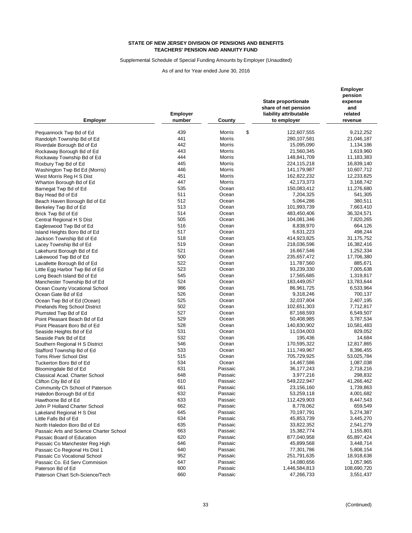Supplemental Schedule of Special Funding Amounts by Employer (Unaudited)

| <b>Employer</b>                         | <b>Employer</b><br>number | County       | State proportionate<br>share of net pension<br>liability attributable<br>to employer | <b>Employer</b><br>pension<br>expense<br>and<br>related<br>revenue |
|-----------------------------------------|---------------------------|--------------|--------------------------------------------------------------------------------------|--------------------------------------------------------------------|
| Pequannock Twp Bd of Ed                 | 439                       | \$<br>Morris | 122,607,555                                                                          | 9,212,252                                                          |
|                                         | 441                       | Morris       | 280,107,581                                                                          | 21,046,187                                                         |
| Randolph Township Bd of Ed              | 442                       | Morris       | 15,095,090                                                                           | 1,134,186                                                          |
| Riverdale Borough Bd of Ed              | 443                       | Morris       | 21,560,345                                                                           | 1,619,960                                                          |
| Rockaway Borough Bd of Ed               | 444                       | Morris       |                                                                                      |                                                                    |
| Rockaway Township Bd of Ed              | 445                       |              | 148,841,709                                                                          | 11,183,383                                                         |
| Roxbury Twp Bd of Ed                    |                           | Morris       | 224,115,218                                                                          | 16,839,140                                                         |
| Washington Twp Bd Ed (Morris)           | 446<br>451                | Morris       | 141,179,987                                                                          | 10,607,712                                                         |
| West Morris Reg H S Dist                |                           | Morris       | 162,822,232                                                                          | 12,233,825                                                         |
| Wharton Borough Bd of Ed                | 447                       | Morris       | 42,173,373                                                                           | 3,168,742                                                          |
| Barnegat Twp Bd of Ed                   | 535                       | Ocean        | 150,083,412                                                                          | 11,276,680                                                         |
| Bay Head Bd of Ed                       | 511                       | Ocean        | 7,204,325                                                                            | 541,305                                                            |
| Beach Haven Borough Bd of Ed            | 512                       | Ocean        | 5,064,286                                                                            | 380,511                                                            |
| Berkeley Twp Bd of Ed                   | 513                       | Ocean        | 101,993,739                                                                          | 7,663,410                                                          |
| Brick Twp Bd of Ed                      | 514                       | Ocean        | 483,450,406                                                                          | 36,324,571                                                         |
| Central Regional H S Dist               | 505                       | Ocean        | 104,081,346                                                                          | 7,820,265                                                          |
| Eagleswood Twp Bd of Ed                 | 516                       | Ocean        | 8,838,970                                                                            | 664,126                                                            |
| Island Heights Boro Bd of Ed            | 517                       | Ocean        | 6,631,223                                                                            | 498,244                                                            |
| Jackson Township Bd of Ed               | 518                       | Ocean        | 414,923,825                                                                          | 31,175,752                                                         |
| Lacey Township Bd of Ed                 | 519                       | Ocean        | 218,036,596                                                                          | 16,382,416                                                         |
| Lakehurst Borough Bd of Ed              | 521                       | Ocean        | 16,667,546                                                                           | 1,252,334                                                          |
| Lakewood Twp Bd of Ed                   | 500                       | Ocean        | 235,657,472                                                                          | 17,706,380                                                         |
| Lavallette Borough Bd of Ed             | 522                       | Ocean        | 11,787,560                                                                           | 885,671                                                            |
| Little Egg Harbor Twp Bd of Ed          | 523                       | Ocean        | 93,239,330                                                                           | 7,005,638                                                          |
| Long Beach Island Bd of Ed              | 545                       | Ocean        | 17,565,685                                                                           | 1,319,817                                                          |
| Manchester Township Bd of Ed            | 524                       | Ocean        | 183,449,057                                                                          | 13,783,644                                                         |
| Ocean County Vocational School          | 986                       | Ocean        | 86,961,725                                                                           | 6,533,964                                                          |
| Ocean Gate Bd of Ed                     | 526                       | Ocean        | 9,318,246                                                                            | 700,137                                                            |
| Ocean Twp Bd of Ed (Ocean)              | 525                       | Ocean        | 32,037,804                                                                           | 2,407,195                                                          |
| Pinelands Reg School District           | 502                       | Ocean        | 102,651,303                                                                          | 7,712,817                                                          |
| Plumsted Twp Bd of Ed                   | 527                       | Ocean        | 87,168,593                                                                           | 6,549,507                                                          |
| Point Pleasant Beach Bd of Ed           | 529                       | Ocean        | 50,408,985                                                                           | 3,787,534                                                          |
| Point Pleasant Boro Bd of Ed            | 528                       | Ocean        | 140,830,902                                                                          | 10,581,483                                                         |
| Seaside Heights Bd of Ed                | 531                       | Ocean        | 11,034,003                                                                           | 829,052                                                            |
| Seaside Park Bd of Ed                   | 532                       | Ocean        | 195,436                                                                              | 14,684                                                             |
| Southern Regional H S District          | 546                       | Ocean        | 170,595,322                                                                          | 12,817,865                                                         |
| Stafford Township Bd of Ed              | 533                       | Ocean        | 111,749,967                                                                          | 8,396,455                                                          |
| <b>Toms River School Dist</b>           | 515                       | Ocean        | 705,729,925                                                                          | 53,025,784                                                         |
| Tuckerton Boro Bd of Ed                 | 534                       | Ocean        | 14,467,586                                                                           | 1,087,038                                                          |
| Bloomingdale Bd of Ed                   | 631                       | Passaic      | 36, 177, 243                                                                         | 2,718,216                                                          |
| Classical Acad. Charter School          | 648                       | Passaic      | 3,977,216                                                                            | 298,832                                                            |
| Clifton City Bd of Ed                   | 610                       | Passaic      | 549,222,947                                                                          | 41,266,462                                                         |
| Community Ch School of Paterson         | 661                       | Passaic      | 23,156,160                                                                           | 1,739,863                                                          |
| Haledon Borough Bd of Ed                | 632                       | Passaic      | 53,259,118                                                                           | 4,001,682                                                          |
| Hawthorne Bd of Ed                      | 633                       | Passaic      | 112,429,903                                                                          | 8,447,543                                                          |
| John P Holland Charter School           | 662                       | Passaic      | 8,778,062                                                                            | 659,549                                                            |
| Lakeland Regional H S Dist              | 645                       | Passaic      | 70,197,791                                                                           | 5,274,387                                                          |
| Little Falls Bd of Ed                   | 634                       | Passaic      | 45,853,739                                                                           | 3,445,270                                                          |
| North Haledon Boro Bd of Ed             | 635                       | Passaic      | 33,822,352                                                                           | 2,541,279                                                          |
| Passaic Arts and Science Charter School | 663                       | Passaic      | 15,382,774                                                                           | 1,155,801                                                          |
| Passaic Board of Education              | 620                       | Passaic      | 877,040,958                                                                          | 65,897,424                                                         |
| Passaic Co Manchester Reg High          | 646                       | Passaic      | 45,899,568                                                                           | 3,448,714                                                          |
| Passaic Co Regional Hs Dist 1           | 640                       | Passaic      | 77,301,786                                                                           | 5,808,154                                                          |
| Passaic Co Vocational School            | 952                       | Passaic      | 251,791,635                                                                          | 18,918,638                                                         |
| Passaic Co. Ed Serv Commision           | 647                       | Passaic      | 14,080,656                                                                           | 1,057,965                                                          |
| Paterson Bd of Ed                       | 600                       | Passaic      | 1,446,584,813                                                                        | 108,690,720                                                        |
| Paterson Chart Sch-Science/Tech         | 660                       | Passaic      | 47,266,733                                                                           | 3,551,437                                                          |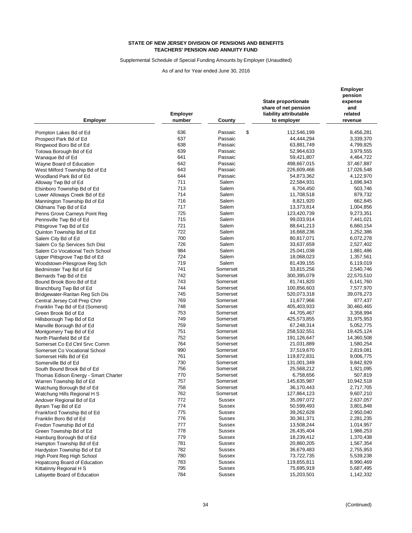Supplemental Schedule of Special Funding Amounts by Employer (Unaudited)

| <b>Employer</b>                                          | Employer<br>number | County        | <b>State proportionate</b><br>share of net pension<br>liability attributable<br>to employer | Employer<br>pension<br>expense<br>and<br>related<br>revenue |
|----------------------------------------------------------|--------------------|---------------|---------------------------------------------------------------------------------------------|-------------------------------------------------------------|
|                                                          | 636                | \$<br>Passaic | 112,546,199                                                                                 | 8,456,281                                                   |
| Pompton Lakes Bd of Ed                                   | 637                | Passaic       | 44,444,294                                                                                  | 3,339,370                                                   |
| Prospect Park Bd of Ed                                   | 638                | Passaic       | 63,881,749                                                                                  | 4,799,825                                                   |
| Ringwood Boro Bd of Ed                                   | 639                | Passaic       |                                                                                             |                                                             |
| Totowa Borough Bd of Ed                                  | 641                | Passaic       | 52,964,633<br>59,421,807                                                                    | 3,979,555<br>4,464,722                                      |
| Wanaque Bd of Ed                                         | 642                | Passaic       | 498,667,015                                                                                 | 37,467,887                                                  |
| Wayne Board of Education                                 | 643                | Passaic       | 226,609,466                                                                                 | 17,026,548                                                  |
| West Milford Township Bd of Ed<br>Woodland Park Bd of Ed | 644                | Passaic       |                                                                                             |                                                             |
|                                                          | 711                | Salem         | 54,873,362                                                                                  | 4,122,970                                                   |
| Alloway Twp Bd of Ed                                     | 713                | Salem         | 22,584,931                                                                                  | 1,696,943                                                   |
| Elsinboro Township Bd of Ed                              | 714                | Salem         | 6,704,450<br>11,708,518                                                                     | 503,746<br>879,732                                          |
| Lower Alloways Creek Bd of Ed                            | 716                | Salem         |                                                                                             | 662,845                                                     |
| Mannington Township Bd of Ed                             | 717                | Salem         | 8,821,920                                                                                   |                                                             |
| Oldmans Twp Bd of Ed                                     | 725                | Salem         | 13,373,814                                                                                  | 1,004,856                                                   |
| Penns Grove Carneys Point Reg                            | 715                |               | 123,420,739                                                                                 | 9,273,351                                                   |
| Pennsville Twp Bd of Ed                                  |                    | Salem         | 99,033,914                                                                                  | 7,441,021                                                   |
| Pittsgrove Twp Bd of Ed                                  | 721                | Salem         | 88,641,213                                                                                  | 6,660,154                                                   |
| Quinton Township Bd of Ed                                | 722                | Salem         | 16,668,236                                                                                  | 1,252,386                                                   |
| Salem City Bd of Ed                                      | 700                | Salem         | 80,817,071                                                                                  | 6,072,278                                                   |
| Salem Co Sp Services Sch Dist                            | 726                | Salem         | 33,637,659                                                                                  | 2,527,402                                                   |
| Salem Co Vocational Tech School                          | 984                | Salem         | 25,041,038                                                                                  | 1,881,486                                                   |
| Upper Pittsgrove Twp Bd of Ed                            | 724                | Salem         | 18,068,023                                                                                  | 1,357,561                                                   |
| Woodstown-Pilesgrove Reg Sch                             | 719                | Salem         | 81,439,155                                                                                  | 6,119,019                                                   |
| Bedminster Twp Bd of Ed                                  | 741                | Somerset      | 33,815,256                                                                                  | 2,540,746                                                   |
| Bernards Twp Bd of Ed                                    | 742                | Somerset      | 300,395,079                                                                                 | 22,570,510                                                  |
| Bound Brook Boro Bd of Ed                                | 743                | Somerset      | 81,741,820                                                                                  | 6,141,760                                                   |
| Branchburg Twp Bd of Ed                                  | 744                | Somerset      | 100,856,603                                                                                 | 7,577,970                                                   |
| Bridgewater-Raritan Reg Sch Dis                          | 745                | Somerset      | 520,073,318                                                                                 | 39,076,273                                                  |
| Central Jersey Coll Prep Chrtr                           | 769                | Somerset      | 11,677,966                                                                                  | 877,437                                                     |
| Franklin Twp Bd of Ed (Somerst)                          | 748                | Somerset      | 405,403,933                                                                                 | 30,460,465                                                  |
| Green Brook Bd of Ed                                     | 753                | Somerset      | 44,705,467                                                                                  | 3,358,994                                                   |
| Hillsborough Twp Bd of Ed                                | 749                | Somerset      | 425,573,855                                                                                 | 31,975,953                                                  |
| Manville Borough Bd of Ed                                | 759                | Somerset      | 67,248,314                                                                                  | 5,052,775                                                   |
| Montgomery Twp Bd of Ed                                  | 751                | Somerset      | 258,532,551                                                                                 | 19,425,124                                                  |
| North Plainfield Bd of Ed                                | 752                | Somerset      | 191,126,647                                                                                 | 14,360,508                                                  |
| Somerset Co Ed Ctnl Srvc Comm                            | 764                | Somerset      | 21,031,889                                                                                  | 1,580,254                                                   |
| Somerset Co Vocational School                            | 990                | Somerset      | 37,519,670                                                                                  | 2,819,081                                                   |
| Somerset Hills Bd of Ed                                  | 761                | Somerset      | 119,872,831                                                                                 | 9,006,775                                                   |
| Somerville Bd of Ed                                      | 730                | Somerset      | 131,001,349                                                                                 | 9,842,929                                                   |
| South Bound Brook Bd of Ed                               | 756                | Somerset      | 25,568,212                                                                                  | 1,921,095                                                   |
| Thomas Edison Energy - Smart Charter                     | 770                | Somerset      | 6,758,656                                                                                   | 507,819                                                     |
| Warren Township Bd of Ed                                 | 757                | Somerset      | 145,635,987                                                                                 | 10,942,518                                                  |
| Watchung Borough Bd of Ed                                | 758                | Somerset      | 36,170,443                                                                                  | 2,717,705                                                   |
| Watchung Hills Regional H S                              | 762                | Somerset      | 127,864,123                                                                                 | 9,607,210                                                   |
| Andover Regional Bd of Ed                                | 772                | <b>Sussex</b> | 35,097,072                                                                                  | 2,637,057                                                   |
| Byram Twp Bd of Ed                                       | 774                | <b>Sussex</b> | 50,599,493                                                                                  | 3,801,848                                                   |
| Frankford Township Bd of Ed                              | 775                | <b>Sussex</b> | 39,262,628                                                                                  | 2,950,040                                                   |
| Franklin Boro Bd of Ed                                   | 776                | <b>Sussex</b> | 30,361,371                                                                                  | 2,281,235                                                   |
| Fredon Township Bd of Ed                                 | 777                | <b>Sussex</b> | 13,508,244                                                                                  | 1,014,957                                                   |
| Green Township Bd of Ed                                  | 778                | <b>Sussex</b> | 26,435,404                                                                                  | 1,986,253                                                   |
| Hamburg Borough Bd of Ed                                 | 779                | <b>Sussex</b> | 18,239,412                                                                                  | 1,370,438                                                   |
| Hampton Township Bd of Ed                                | 781                | <b>Sussex</b> | 20,860,205                                                                                  | 1,567,354                                                   |
| Hardyston Township Bd of Ed                              | 782                | <b>Sussex</b> | 36,679,483                                                                                  | 2,755,953                                                   |
| High Point Reg High School                               | 780                | <b>Sussex</b> | 73,722,735                                                                                  | 5,539,238                                                   |
| Hopatcong Board of Education                             | 783                | <b>Sussex</b> | 119,655,811                                                                                 | 8,990,469                                                   |
| Kittatinny Regional H S                                  | 795                | Sussex        | 75,695,919                                                                                  | 5,687,495                                                   |
| Lafayette Board of Education                             | 784                | <b>Sussex</b> | 15,203,501                                                                                  | 1,142,332                                                   |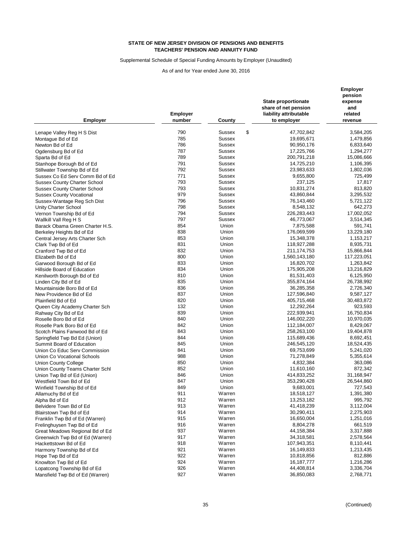Supplemental Schedule of Special Funding Amounts by Employer (Unaudited)

| <b>Employer</b>                                            | <b>Employer</b><br>number | County           | State proportionate<br>share of net pension<br>liability attributable<br>to employer | Employer<br>pension<br>expense<br>and<br>related<br>revenue |
|------------------------------------------------------------|---------------------------|------------------|--------------------------------------------------------------------------------------|-------------------------------------------------------------|
| Lenape Valley Reg H S Dist                                 | 790                       | \$<br>Sussex     | 47,702,842                                                                           | 3,584,205                                                   |
| Montague Bd of Ed                                          | 785                       | Sussex           | 19,695,671                                                                           | 1,479,856                                                   |
| Newton Bd of Ed                                            | 786                       | <b>Sussex</b>    | 90,950,176                                                                           | 6,833,640                                                   |
| Ogdensburg Bd of Ed                                        | 787                       | Sussex           | 17,225,766                                                                           | 1,294,277                                                   |
| Sparta Bd of Ed                                            | 789                       | Sussex           | 200,791,218                                                                          | 15,086,666                                                  |
|                                                            | 791                       | Sussex           | 14,725,210                                                                           | 1,106,395                                                   |
| Stanhope Borough Bd of Ed<br>Stillwater Township Bd of Ed  | 792                       | <b>Sussex</b>    | 23,983,633                                                                           | 1,802,036                                                   |
| Sussex Co Ed Serv Comm Bd of Ed                            | 771                       | <b>Sussex</b>    | 9,655,800                                                                            | 725,499                                                     |
| <b>Sussex County Charter School</b>                        | 793                       | <b>Sussex</b>    | 237,125                                                                              | 17,817                                                      |
| <b>Sussex County Charter School</b>                        | 793                       | <b>Sussex</b>    | 10,831,274                                                                           | 813,820                                                     |
| <b>Sussex County Vocational</b>                            | 979                       | <b>Sussex</b>    | 43,860,844                                                                           | 3,295,532                                                   |
| Sussex-Wantage Reg Sch Dist                                | 796                       | <b>Sussex</b>    | 76,143,460                                                                           | 5,721,122                                                   |
| Unity Charter School                                       | 798                       | <b>Sussex</b>    | 8,548,132                                                                            | 642,273                                                     |
|                                                            | 794                       | <b>Sussex</b>    | 226, 283, 443                                                                        | 17,002,052                                                  |
| Vernon Township Bd of Ed<br>Wallkill Vall Reg H S          | 797                       | <b>Sussex</b>    | 46,773,067                                                                           | 3,514,345                                                   |
| Barack Obama Green Charter H.S.                            | 854                       | Union            | 7,875,588                                                                            | 591,741                                                     |
|                                                            | 838                       | Union            | 176,069,599                                                                          | 13,229,180                                                  |
| Berkeley Heights Bd of Ed                                  | 853                       | Union            | 15,348,378                                                                           | 1,153,217                                                   |
| Central Jersey Arts Charter Sch                            | 831                       | Union            |                                                                                      | 8,935,731                                                   |
| Clark Twp Bd of Ed                                         | 832                       | Union            | 118,927,288                                                                          |                                                             |
| Cranford Twp Bd of Ed                                      | 800                       | Union            | 211, 174, 753                                                                        | 15,866,844<br>117,223,051                                   |
| Elizabeth Bd of Ed                                         | 833                       | Union            | 1,560,143,180<br>16,820,702                                                          | 1,263,842                                                   |
| Garwood Borough Bd of Ed                                   | 834                       | Union            | 175,905,208                                                                          | 13,216,829                                                  |
| Hillside Board of Education                                | 810                       | Union            | 81,531,403                                                                           | 6,125,950                                                   |
| Kenilworth Borough Bd of Ed                                | 835                       | Union            | 355,874,164                                                                          | 26,738,992                                                  |
| Linden City Bd of Ed                                       | 836                       | Union            | 36,285,358                                                                           | 2,726,340                                                   |
| Mountainside Boro Bd of Ed<br>New Providence Bd of Ed      | 837                       | Union            | 127,596,840                                                                          | 9,587,127                                                   |
| Plainfield Bd of Ed                                        | 820                       | Union            | 405,715,468                                                                          | 30,483,872                                                  |
|                                                            | 132                       | Union            | 12,292,264                                                                           | 923,593                                                     |
| Queen City Academy Charter Sch                             | 839                       | Union            | 222,939,941                                                                          | 16,750,834                                                  |
| Rahway City Bd of Ed<br>Roselle Boro Bd of Ed              | 840                       | Union            | 146,002,220                                                                          | 10,970,035                                                  |
| Roselle Park Boro Bd of Ed                                 | 842                       | Union            | 112,184,007                                                                          | 8,429,067                                                   |
| Scotch Plains Fanwood Bd of Ed                             | 843                       | Union            | 258,263,100                                                                          | 19,404,878                                                  |
|                                                            | 844                       | Union            | 115,689,436                                                                          | 8,692,451                                                   |
| Springfield Twp Bd Ed (Union)<br>Summit Board of Education | 845                       | Union            | 246,545,120                                                                          | 18,524,435                                                  |
| Union Co Educ Serv Commission                              | 841                       | Union            | 69,753,699                                                                           | 5,241,020                                                   |
| Union Co Vocational Schools                                | 988                       | Union            | 71,278,849                                                                           | 5,355,614                                                   |
| <b>Union County College</b>                                | 850                       | Union            | 4,832,384                                                                            | 363,086                                                     |
| Union County Teams Charter Schl                            | 852                       | Union            | 11,610,160                                                                           | 872,342                                                     |
| Union Twp Bd of Ed (Union)                                 | 846                       | Union            | 414,833,252                                                                          | 31,168,947                                                  |
| Westfield Town Bd of Ed                                    | 847                       | Union            | 353,290,428                                                                          | 26,544,860                                                  |
| Winfield Township Bd of Ed                                 | 849                       | Union            | 9,683,001                                                                            | 727,543                                                     |
| Allamuchy Bd of Ed                                         | 911                       | Warren           | 18,518,127                                                                           | 1,391,380                                                   |
| Alpha Bd of Ed                                             | 912                       | Warren           | 13,253,182                                                                           | 995,792                                                     |
| Belvidere Town Bd of Ed                                    | 913                       | Warren           | 41,418,239                                                                           | 3,112,004                                                   |
| Blairstown Twp Bd of Ed                                    | 914                       | Warren           | 30,290,411                                                                           | 2,275,903                                                   |
| Franklin Twp Bd of Ed (Warren)                             | 915                       | Warren           | 16,650,004                                                                           | 1,251,016                                                   |
| Frelinghuysen Twp Bd of Ed                                 | 916                       | Warren           | 8,804,278                                                                            | 661,519                                                     |
|                                                            | 937                       | Warren           | 44,158,384                                                                           | 3,317,888                                                   |
| Great Meadows Regional Bd of Ed                            | 917                       |                  |                                                                                      | 2,578,564                                                   |
| Greenwich Twp Bd of Ed (Warren)                            | 918                       | Warren<br>Warren | 34,318,581<br>107,943,351                                                            |                                                             |
| Hackettstown Bd of Ed                                      |                           |                  | 16,149,833                                                                           | 8,110,441                                                   |
| Harmony Township Bd of Ed                                  | 921                       | Warren           |                                                                                      | 1,213,435                                                   |
| Hope Twp Bd of Ed                                          | 922<br>924                | Warren           | 10,818,856                                                                           | 812,886                                                     |
| Knowlton Twp Bd of Ed                                      | 926                       | Warren<br>Warren | 16,187,777<br>44,408,814                                                             | 1,216,286                                                   |
| Lopatcong Township Bd of Ed                                |                           |                  |                                                                                      | 3,336,704                                                   |
| Mansfield Twp Bd of Ed (Warren)                            | 927                       | Warren           | 36,850,083                                                                           | 2,768,771                                                   |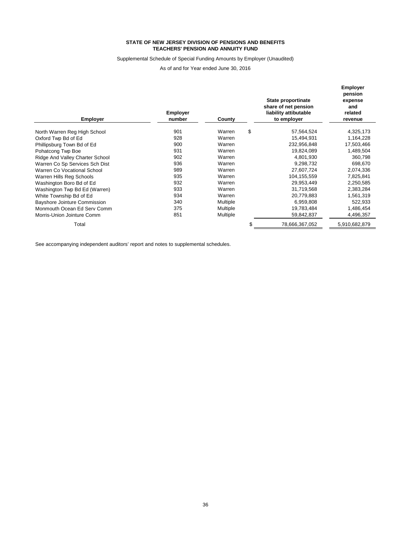#### Supplemental Schedule of Special Funding Amounts by Employer (Unaudited)

As of and for Year ended June 30, 2016

| <b>Employer</b>                 | <b>Employer</b><br>number | County   |    | State proportinate<br>share of net pension<br>liability attibutable<br>to employer | <b>Employer</b><br>pension<br>expense<br>and<br>related<br>revenue |
|---------------------------------|---------------------------|----------|----|------------------------------------------------------------------------------------|--------------------------------------------------------------------|
| North Warren Reg High School    | 901                       | Warren   | \$ | 57,564,524                                                                         | 4,325,173                                                          |
| Oxford Twp Bd of Ed             | 928                       | Warren   |    | 15,494,931                                                                         | 1,164,228                                                          |
| Phillipsburg Town Bd of Ed      | 900                       | Warren   |    | 232,956,848                                                                        | 17,503,466                                                         |
| Pohatcong Twp Boe               | 931                       | Warren   |    | 19,824,089                                                                         | 1,489,504                                                          |
| Ridge And Valley Charter School | 902                       | Warren   |    | 4,801,930                                                                          | 360,798                                                            |
| Warren Co Sp Services Sch Dist  | 936                       | Warren   |    | 9,298,732                                                                          | 698,670                                                            |
| Warren Co Vocational School     | 989                       | Warren   |    | 27,607,724                                                                         | 2,074,336                                                          |
| Warren Hills Reg Schools        | 935                       | Warren   |    | 104,155,559                                                                        | 7,825,841                                                          |
| Washington Boro Bd of Ed        | 932                       | Warren   |    | 29,953,449                                                                         | 2,250,585                                                          |
| Washington Twp Bd Ed (Warren)   | 933                       | Warren   |    | 31,719,568                                                                         | 2,383,284                                                          |
| White Township Bd of Ed         | 934                       | Warren   |    | 20,779,883                                                                         | 1,561,319                                                          |
| Bayshore Jointure Commission    | 340                       | Multiple |    | 6,959,808                                                                          | 522,933                                                            |
| Monmouth Ocean Ed Serv Comm     | 375                       | Multiple |    | 19,783,484                                                                         | 1,486,454                                                          |
| Morris-Union Jointure Comm      | 851                       | Multiple |    | 59,842,837                                                                         | 4,496,357                                                          |
| Total                           |                           |          | S  | 78,666,367,052                                                                     | 5,910,682,879                                                      |

See accompanying independent auditors' report and notes to supplemental schedules.